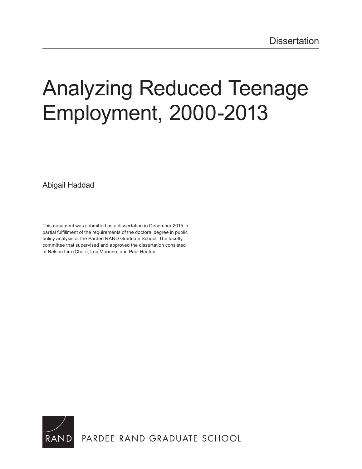# [Analyzing Reduced Teenage](http://www.rand.org/pubs/rgs_dissertations/RGSD368.html)  Employment, 2000-2013

Abigail Haddad

This document was submitted as a dissertation in December 2015 in partial fulfillment of the requirements of the doctoral degree in public policy analysis at the Pardee RAND Graduate School. The faculty committee that supervised and approved the dissertation consisted of Nelson Lim (Chair), Lou Mariano, and Paul Heaton.

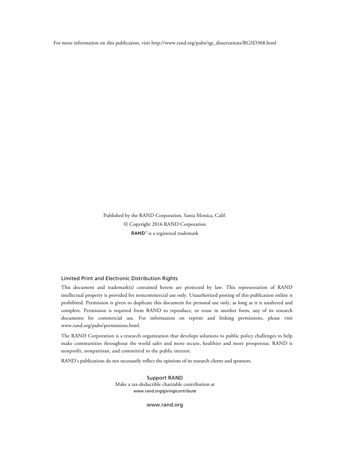For more information on this publication, visit [http://www.rand.org/pubs/rgs\\_dissertations/RGSD368.html](http://www.rand.org/pubs/rgs_dissertations/RGSD368.html)

Published by the RAND Corporation, Santa Monica, Calif. © Copyright 2016 RAND Corporation RAND<sup>®</sup> is a registered trademark

#### Limited Print and Electronic Distribution Rights

This document and trademark(s) contained herein are protected by law. This representation of RAND intellectual property is provided for noncommercial use only. Unauthorized posting of this publication online is prohibited. Permission is given to duplicate this document for personal use only, as long as it is unaltered and complete. Permission is required from RAND to reproduce, or reuse in another form, any of its research documents for commercial use. For information on reprint and linking permissions, please visit [www.rand.org/pubs/permissions.html.](http://www.rand.org/pubs/permissions.html)

The RAND Corporation is a research organization that develops solutions to public policy challenges to help make communities throughout the world safer and more secure, healthier and more prosperous. RAND is nonprofit, nonpartisan, and committed to the public interest.

RAND's publications do not necessarily reflect the opinions of its research clients and sponsors.

Support RAND Make a tax-deductible charitable contribution at [www.rand.org/giving/contribute](http://www.rand.org/giving/contribute)

[www.rand.org](http://www.rand.org)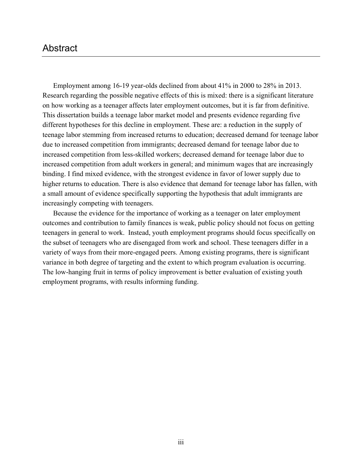# Abstract

Employment among 16-19 year-olds declined from about 41% in 2000 to 28% in 2013. Research regarding the possible negative effects of this is mixed: there is a significant literature on how working as a teenager affects later employment outcomes, but it is far from definitive. This dissertation builds a teenage labor market model and presents evidence regarding five different hypotheses for this decline in employment. These are: a reduction in the supply of teenage labor stemming from increased returns to education; decreased demand for teenage labor due to increased competition from immigrants; decreased demand for teenage labor due to increased competition from less-skilled workers; decreased demand for teenage labor due to increased competition from adult workers in general; and minimum wages that are increasingly binding. I find mixed evidence, with the strongest evidence in favor of lower supply due to higher returns to education. There is also evidence that demand for teenage labor has fallen, with a small amount of evidence specifically supporting the hypothesis that adult immigrants are increasingly competing with teenagers.

Because the evidence for the importance of working as a teenager on later employment outcomes and contribution to family finances is weak, public policy should not focus on getting teenagers in general to work. Instead, youth employment programs should focus specifically on the subset of teenagers who are disengaged from work and school. These teenagers differ in a variety of ways from their more-engaged peers. Among existing programs, there is significant variance in both degree of targeting and the extent to which program evaluation is occurring. The low-hanging fruit in terms of policy improvement is better evaluation of existing youth employment programs, with results informing funding.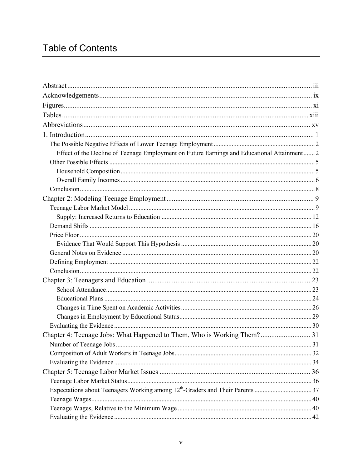# **Table of Contents**

| Effect of the Decline of Teenage Employment on Future Earnings and Educational Attainment 2 |  |
|---------------------------------------------------------------------------------------------|--|
|                                                                                             |  |
|                                                                                             |  |
|                                                                                             |  |
|                                                                                             |  |
|                                                                                             |  |
|                                                                                             |  |
|                                                                                             |  |
|                                                                                             |  |
|                                                                                             |  |
|                                                                                             |  |
|                                                                                             |  |
|                                                                                             |  |
|                                                                                             |  |
|                                                                                             |  |
|                                                                                             |  |
|                                                                                             |  |
|                                                                                             |  |
|                                                                                             |  |
|                                                                                             |  |
| Chapter 4: Teenage Jobs: What Happened to Them, Who is Working Them? 31                     |  |
|                                                                                             |  |
|                                                                                             |  |
|                                                                                             |  |
|                                                                                             |  |
|                                                                                             |  |
|                                                                                             |  |
|                                                                                             |  |
|                                                                                             |  |
|                                                                                             |  |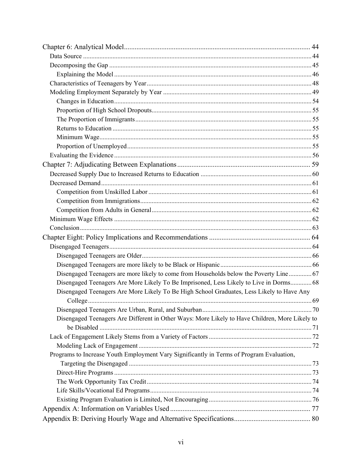| Disengaged Teenagers are more likely to come from Households below the Poverty Line 67         |  |
|------------------------------------------------------------------------------------------------|--|
| Disengaged Teenagers Are More Likely To Be Imprisoned, Less Likely to Live in Dorms 68         |  |
| Disengaged Teenagers Are More Likely To Be High School Graduates, Less Likely to Have Any      |  |
|                                                                                                |  |
|                                                                                                |  |
| Disengaged Teenagers Are Different in Other Ways: More Likely to Have Children, More Likely to |  |
|                                                                                                |  |
|                                                                                                |  |
|                                                                                                |  |
| Programs to Increase Youth Employment Vary Significantly in Terms of Program Evaluation,       |  |
|                                                                                                |  |
|                                                                                                |  |
|                                                                                                |  |
|                                                                                                |  |
|                                                                                                |  |
|                                                                                                |  |
|                                                                                                |  |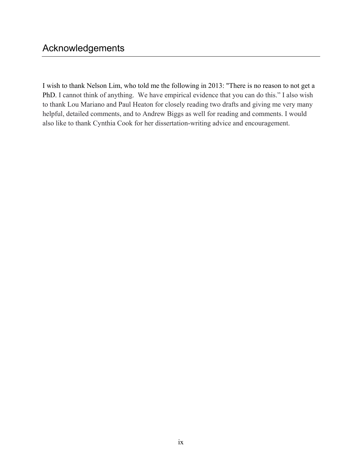I wish to thank Nelson Lim, who told me the following in 2013: "There is no reason to not get a PhD. I cannot think of anything. We have empirical evidence that you can do this." I also wish to thank Lou Mariano and Paul Heaton for closely reading two drafts and giving me very many helpful, detailed comments, and to Andrew Biggs as well for reading and comments. I would also like to thank Cynthia Cook for her dissertation-writing advice and encouragement.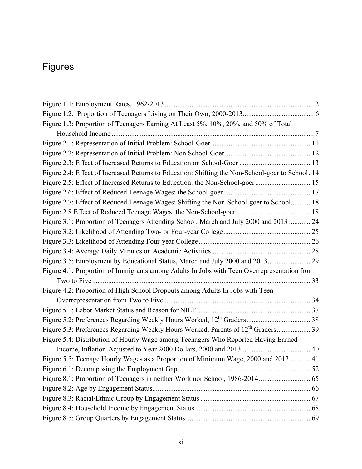# Figures

| Figure 1.3: Proportion of Teenagers Earning At Least 5%, 10%, 20%, and 50% of Total              |  |
|--------------------------------------------------------------------------------------------------|--|
|                                                                                                  |  |
|                                                                                                  |  |
|                                                                                                  |  |
|                                                                                                  |  |
| Figure 2.4: Effect of Increased Returns to Education: Shifting the Non-School-goer to School. 14 |  |
|                                                                                                  |  |
|                                                                                                  |  |
| Figure 2.7: Effect of Reduced Teenage Wages: Shifting the Non-School-goer to School 18           |  |
|                                                                                                  |  |
| Figure 3.1: Proportion of Teenagers Attending School, March and July 2000 and 2013  24           |  |
|                                                                                                  |  |
|                                                                                                  |  |
|                                                                                                  |  |
| Figure 3.5: Employment by Educational Status, March and July 2000 and 2013 29                    |  |
| Figure 4.1: Proportion of Immigrants among Adults In Jobs with Teen Overrepresentation from      |  |
|                                                                                                  |  |
| Figure 4.2: Proportion of High School Dropouts among Adults In Jobs with Teen                    |  |
|                                                                                                  |  |
|                                                                                                  |  |
|                                                                                                  |  |
|                                                                                                  |  |
| Figure 5.4: Distribution of Hourly Wage among Teenagers Who Reported Having Earned               |  |
|                                                                                                  |  |
| Figure 5.5: Teenage Hourly Wages as a Proportion of Minimum Wage, 2000 and 2013 41               |  |
|                                                                                                  |  |
|                                                                                                  |  |
|                                                                                                  |  |
|                                                                                                  |  |
|                                                                                                  |  |
|                                                                                                  |  |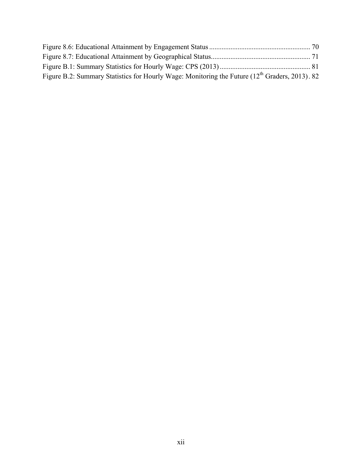| Figure B.2: Summary Statistics for Hourly Wage: Monitoring the Future (12 <sup>th</sup> Graders, 2013). 82 |  |
|------------------------------------------------------------------------------------------------------------|--|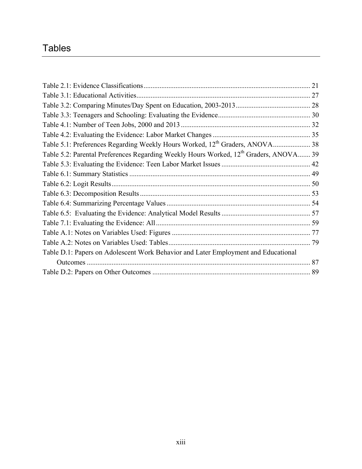# **Tables**

|                                                                                                   | 21 |
|---------------------------------------------------------------------------------------------------|----|
|                                                                                                   |    |
|                                                                                                   |    |
|                                                                                                   |    |
|                                                                                                   |    |
|                                                                                                   |    |
| Table 5.1: Preferences Regarding Weekly Hours Worked, 12 <sup>th</sup> Graders, ANOVA 38          |    |
| Table 5.2: Parental Preferences Regarding Weekly Hours Worked, 12 <sup>th</sup> Graders, ANOVA 39 |    |
|                                                                                                   |    |
|                                                                                                   |    |
|                                                                                                   |    |
|                                                                                                   |    |
|                                                                                                   |    |
|                                                                                                   |    |
|                                                                                                   |    |
|                                                                                                   |    |
|                                                                                                   |    |
| Table D.1: Papers on Adolescent Work Behavior and Later Employment and Educational                |    |
| Outcomes.                                                                                         | 87 |
|                                                                                                   |    |
|                                                                                                   |    |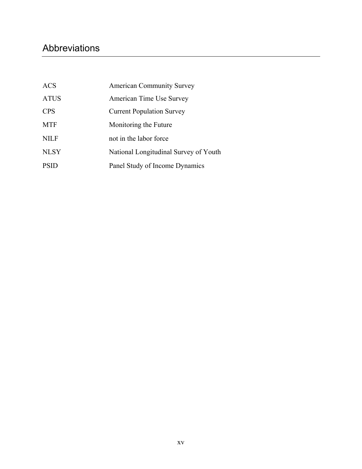# Abbreviations

| ACS         | <b>American Community Survey</b>      |
|-------------|---------------------------------------|
| <b>ATUS</b> | American Time Use Survey              |
| <b>CPS</b>  | <b>Current Population Survey</b>      |
| <b>MTF</b>  | Monitoring the Future                 |
| <b>NILF</b> | not in the labor force                |
| <b>NLSY</b> | National Longitudinal Survey of Youth |
| <b>PSID</b> | Panel Study of Income Dynamics        |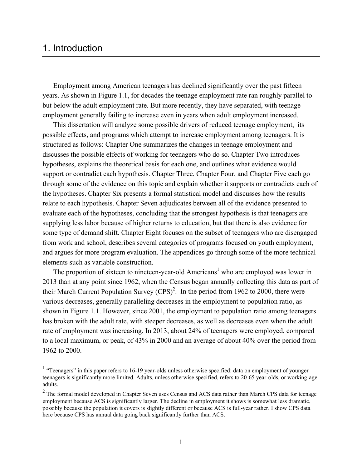# 1. Introduction

Employment among American teenagers has declined significantly over the past fifteen years. As shown in Figure 1.1, for decades the teenage employment rate ran roughly parallel to but below the adult employment rate. But more recently, they have separated, with teenage employment generally failing to increase even in years when adult employment increased.

This dissertation will analyze some possible drivers of reduced teenage employment, its possible effects, and programs which attempt to increase employment among teenagers. It is structured as follows: Chapter One summarizes the changes in teenage employment and discusses the possible effects of working for teenagers who do so. Chapter Two introduces hypotheses, explains the theoretical basis for each one, and outlines what evidence would support or contradict each hypothesis. Chapter Three, Chapter Four, and Chapter Five each go through some of the evidence on this topic and explain whether it supports or contradicts each of the hypotheses. Chapter Six presents a formal statistical model and discusses how the results relate to each hypothesis. Chapter Seven adjudicates between all of the evidence presented to evaluate each of the hypotheses, concluding that the strongest hypothesis is that teenagers are supplying less labor because of higher returns to education, but that there is also evidence for some type of demand shift. Chapter Eight focuses on the subset of teenagers who are disengaged from work and school, describes several categories of programs focused on youth employment, and argues for more program evaluation. The appendices go through some of the more technical elements such as variable construction.

The proportion of sixteen to nineteen-year-old Americans<sup>1</sup> who are employed was lower in 2013 than at any point since 1962, when the Census began annually collecting this data as part of their March Current Population Survey  $(CPS)^2$ . In the period from 1962 to 2000, there were various decreases, generally paralleling decreases in the employment to population ratio, as shown in Figure 1.1. However, since 2001, the employment to population ratio among teenagers has broken with the adult rate, with steeper decreases, as well as decreases even when the adult rate of employment was increasing. In 2013, about 24% of teenagers were employed, compared to a local maximum, or peak, of 43% in 2000 and an average of about 40% over the period from 1962 to 2000.

<sup>&</sup>lt;sup>1</sup> "Teenagers" in this paper refers to 16-19 year-olds unless otherwise specified: data on employment of younger teenagers is significantly more limited. Adults, unless otherwise specified, refers to 20-65 year-olds, or working-age adults.

 $2$  The formal model developed in Chapter Seven uses Census and ACS data rather than March CPS data for teenage employment because ACS is significantly larger. The decline in employment it shows is somewhat less dramatic, possibly because the population it covers is slightly different or because ACS is full-year rather. I show CPS data here because CPS has annual data going back significantly further than ACS.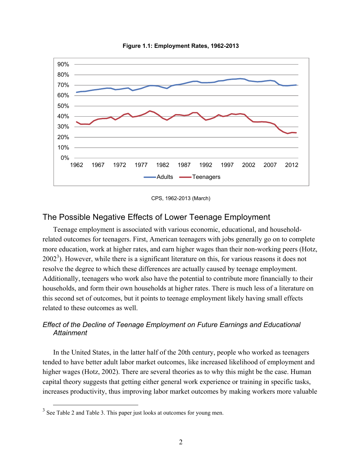

**Figure 1.1: Employment Rates, 1962-2013** 

CPS, 1962-2013 (March)

## The Possible Negative Effects of Lower Teenage Employment

Teenage employment is associated with various economic, educational, and householdrelated outcomes for teenagers. First, American teenagers with jobs generally go on to complete more education, work at higher rates, and earn higher wages than their non-working peers (Hotz,  $2002<sup>3</sup>$ ). However, while there is a significant literature on this, for various reasons it does not resolve the degree to which these differences are actually caused by teenage employment. Additionally, teenagers who work also have the potential to contribute more financially to their households, and form their own households at higher rates. There is much less of a literature on this second set of outcomes, but it points to teenage employment likely having small effects related to these outcomes as well.

#### *Effect of the Decline of Teenage Employment on Future Earnings and Educational Attainment*

In the United States, in the latter half of the 20th century, people who worked as teenagers tended to have better adult labor market outcomes, like increased likelihood of employment and higher wages (Hotz, 2002). There are several theories as to why this might be the case. Human capital theory suggests that getting either general work experience or training in specific tasks, increases productivity, thus improving labor market outcomes by making workers more valuable

<sup>&</sup>lt;sup>3</sup> See Table 2 and Table 3. This paper just looks at outcomes for young men.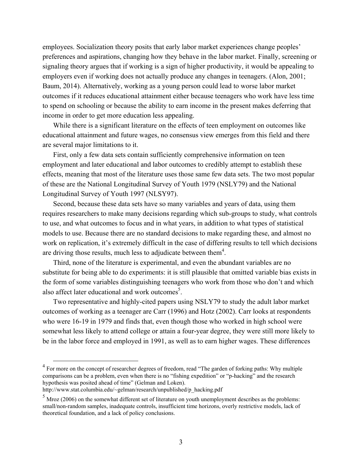employees. Socialization theory posits that early labor market experiences change peoples' preferences and aspirations, changing how they behave in the labor market. Finally, screening or signaling theory argues that if working is a sign of higher productivity, it would be appealing to employers even if working does not actually produce any changes in teenagers. (Alon, 2001; Baum, 2014). Alternatively, working as a young person could lead to worse labor market outcomes if it reduces educational attainment either because teenagers who work have less time to spend on schooling or because the ability to earn income in the present makes deferring that income in order to get more education less appealing.

While there is a significant literature on the effects of teen employment on outcomes like educational attainment and future wages, no consensus view emerges from this field and there are several major limitations to it.

First, only a few data sets contain sufficiently comprehensive information on teen employment and later educational and labor outcomes to credibly attempt to establish these effects, meaning that most of the literature uses those same few data sets. The two most popular of these are the National Longitudinal Survey of Youth 1979 (NSLY79) and the National Longitudinal Survey of Youth 1997 (NLSY97).

Second, because these data sets have so many variables and years of data, using them requires researchers to make many decisions regarding which sub-groups to study, what controls to use, and what outcomes to focus and in what years, in addition to what types of statistical models to use. Because there are no standard decisions to make regarding these, and almost no work on replication, it's extremely difficult in the case of differing results to tell which decisions are driving those results, much less to adjudicate between them $4$ .

Third, none of the literature is experimental, and even the abundant variables are no substitute for being able to do experiments: it is still plausible that omitted variable bias exists in the form of some variables distinguishing teenagers who work from those who don't and which also affect later educational and work outcomes<sup>5</sup>.

Two representative and highly-cited papers using NSLY79 to study the adult labor market outcomes of working as a teenager are Carr (1996) and Hotz (2002). Carr looks at respondents who were 16-19 in 1979 and finds that, even though those who worked in high school were somewhat less likely to attend college or attain a four-year degree, they were still more likely to be in the labor force and employed in 1991, as well as to earn higher wages. These differences

<sup>&</sup>lt;sup>4</sup> For more on the concept of researcher degrees of freedom, read "The garden of forking paths: Why multiple comparisons can be a problem, even when there is no "fishing expedition" or "p-hacking" and the research hypothesis was posited ahead of time" (Gelman and Loken).

[http://www.stat.columbia.edu/~gelman/research/unpublished/p\\_hacking.pdf](http://www.stat.columbia.edu/~gelman/research/unpublished/p_hacking.pdf) 

 $<sup>5</sup>$  Mroz (2006) on the somewhat different set of literature on youth unemployment describes as the problems:</sup> small/non-random samples, inadequate controls, insufficient time horizons, overly restrictive models, lack of theoretical foundation, and a lack of policy conclusions.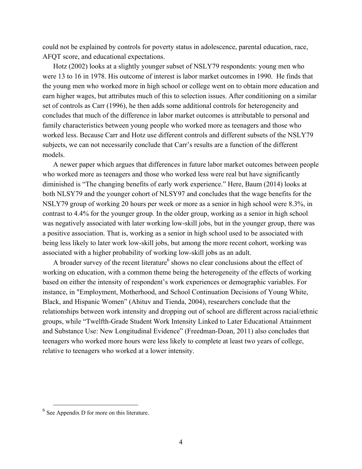could not be explained by controls for poverty status in adolescence, parental education, race, AFQT score, and educational expectations.

Hotz (2002) looks at a slightly younger subset of NSLY79 respondents: young men who were 13 to 16 in 1978. His outcome of interest is labor market outcomes in 1990. He finds that the young men who worked more in high school or college went on to obtain more education and earn higher wages, but attributes much of this to selection issues. After conditioning on a similar set of controls as Carr (1996), he then adds some additional controls for heterogeneity and concludes that much of the difference in labor market outcomes is attributable to personal and family characteristics between young people who worked more as teenagers and those who worked less. Because Carr and Hotz use different controls and different subsets of the NSLY79 subjects, we can not necessarily conclude that Carr's results are a function of the different models.

A newer paper which argues that differences in future labor market outcomes between people who worked more as teenagers and those who worked less were real but have significantly diminished is "The changing benefits of early work experience." Here, Baum (2014) looks at both NLSY79 and the younger cohort of NLSY97 and concludes that the wage benefits for the NSLY79 group of working 20 hours per week or more as a senior in high school were 8.3%, in contrast to 4.4% for the younger group. In the older group, working as a senior in high school was negatively associated with later working low-skill jobs, but in the younger group, there was a positive association. That is, working as a senior in high school used to be associated with being less likely to later work low-skill jobs, but among the more recent cohort, working was associated with a higher probability of working low-skill jobs as an adult.

A broader survey of the recent literature  $6$  shows no clear conclusions about the effect of working on education, with a common theme being the heterogeneity of the effects of working based on either the intensity of respondent's work experiences or demographic variables. For instance, in "Employment, Motherhood, and School Continuation Decisions of Young White, Black, and Hispanic Women" (Ahituv and Tienda, 2004), researchers conclude that the relationships between work intensity and dropping out of school are different across racial/ethnic groups, while "Twelfth-Grade Student Work Intensity Linked to Later Educational Attainment and Substance Use: New Longitudinal Evidence" (Freedman-Doan, 2011) also concludes that teenagers who worked more hours were less likely to complete at least two years of college, relative to teenagers who worked at a lower intensity.

 <sup>6</sup> See Appendix D for more on this literature.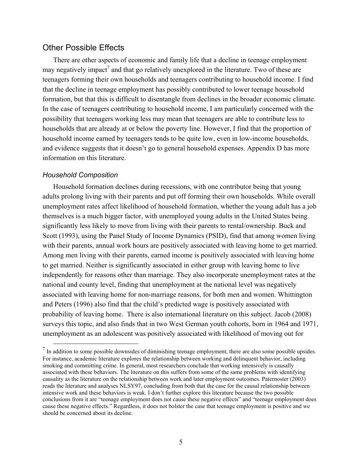#### Other Possible Effects

There are other aspects of economic and family life that a decline in teenage employment may negatively impact<sup>7</sup> and that go relatively unexplored in the literature. Two of these are teenagers forming their own households and teenagers contributing to household income. I find that the decline in teenage employment has possibly contributed to lower teenage household formation, but that this is difficult to disentangle from declines in the broader economic climate. In the case of teenagers contributing to household income, I am particularly concerned with the possibility that teenagers working less may mean that teenagers are able to contribute less to households that are already at or below the poverty line. However, I find that the proportion of household income earned by teenagers tends to be quite low, even in low-income households, and evidence suggests that it doesn't go to general household expenses. Appendix D has more information on this literature.

#### *Household Composition*

Household formation declines during recessions, with one contributor being that young adults prolong living with their parents and put off forming their own households. While overall unemployment rates affect likelihood of household formation, whether the young adult has a job themselves is a much bigger factor, with unemployed young adults in the United States being significantly less likely to move from living with their parents to rental/ownership. Buck and Scott (1993), using the Panel Study of Income Dynamics (PSID), find that among women living with their parents, annual work hours are positively associated with leaving home to get married. Among men living with their parents, earned income is positively associated with leaving home to get married. Neither is significantly associated in either group with leaving home to live independently for reasons other than marriage. They also incorporate unemployment rates at the national and county level, finding that unemployment at the national level was negatively associated with leaving home for non-marriage reasons, for both men and women. Whittington and Peters (1996) also find that the child's predicted wage is positively associated with probability of leaving home. There is also international literature on this subject. Jacob (2008) surveys this topic, and also finds that in two West German youth cohorts, born in 1964 and 1971, unemployment as an adolescent was positively associated with likelihood of moving out for

<sup>&</sup>lt;sup>7</sup> In addition to some possible downsides of diminishing teenage employment, there are also some possible upsides. For instance, academic literature explores the relationship between working and delinquent behavior, including smoking and committing crime. In general, most researchers conclude that working intensively is causally associated with these behaviors. The literature on this suffers from some of the same problems with identifying causality as the literature on the relationship between work and later employment outcomes. Paternoster (2003) reads the literature and analyses NLSY97, concluding from both that the case for the causal relationship between intensive work and these behaviors is weak. I don't further explore this literature because the two possible conclusions from it are "teenage employment does not cause these negative effects" and "teenage employment does cause these negative effects." Regardless, it does not bolster the case that teenage employment is positive and we should be concerned about its decline.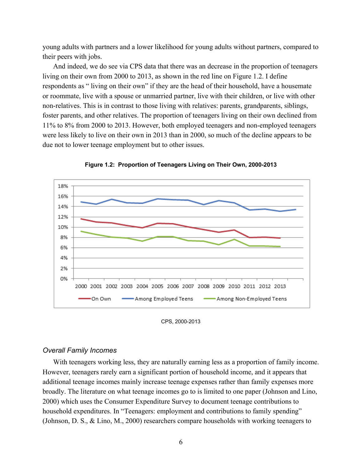young adults with partners and a lower likelihood for young adults without partners, compared to their peers with jobs.

And indeed, we do see via CPS data that there was an decrease in the proportion of teenagers living on their own from 2000 to 2013, as shown in the red line on Figure 1.2. I define respondents as " living on their own" if they are the head of their household, have a housemate or roommate, live with a spouse or unmarried partner, live with their children, or live with other non-relatives. This is in contrast to those living with relatives: parents, grandparents, siblings, foster parents, and other relatives. The proportion of teenagers living on their own declined from 11% to 8% from 2000 to 2013. However, both employed teenagers and non-employed teenagers were less likely to live on their own in 2013 than in 2000, so much of the decline appears to be due not to lower teenage employment but to other issues.



**Figure 1.2: Proportion of Teenagers Living on Their Own, 2000-2013** 

CPS, 2000-2013

#### *Overall Family Incomes*

With teenagers working less, they are naturally earning less as a proportion of family income. However, teenagers rarely earn a significant portion of household income, and it appears that additional teenage incomes mainly increase teenage expenses rather than family expenses more broadly. The literature on what teenage incomes go to is limited to one paper (Johnson and Lino, 2000) which uses the Consumer Expenditure Survey to document teenage contributions to household expenditures. In "Teenagers: employment and contributions to family spending" (Johnson, D. S., & Lino, M., 2000) researchers compare households with working teenagers to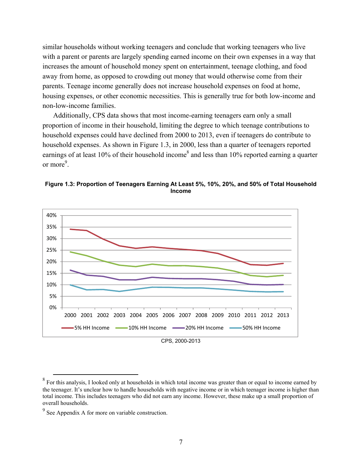similar households without working teenagers and conclude that working teenagers who live with a parent or parents are largely spending earned income on their own expenses in a way that increases the amount of household money spent on entertainment, teenage clothing, and food away from home, as opposed to crowding out money that would otherwise come from their parents. Teenage income generally does not increase household expenses on food at home, housing expenses, or other economic necessities. This is generally true for both low-income and non-low-income families.

Additionally, CPS data shows that most income-earning teenagers earn only a small proportion of income in their household, limiting the degree to which teenage contributions to household expenses could have declined from 2000 to 2013, even if teenagers do contribute to household expenses. As shown in Figure 1.3, in 2000, less than a quarter of teenagers reported earnings of at least 10% of their household income<sup>8</sup> and less than 10% reported earning a quarter or more<sup>9</sup>.





<sup>&</sup>lt;sup>8</sup> For this analysis, I looked only at households in which total income was greater than or equal to income earned by the teenager. It's unclear how to handle households with negative income or in which teenager income is higher than total income. This includes teenagers who did not earn any income. However, these make up a small proportion of overall households.

 $9^9$  See Appendix A for more on variable construction.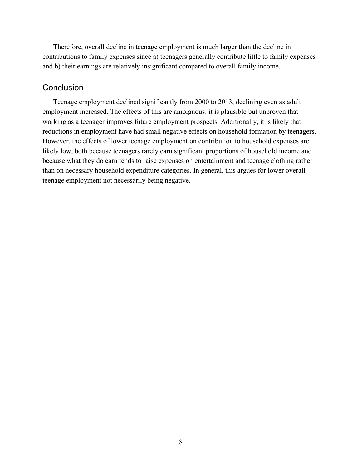Therefore, overall decline in teenage employment is much larger than the decline in contributions to family expenses since a) teenagers generally contribute little to family expenses and b) their earnings are relatively insignificant compared to overall family income.

## **Conclusion**

Teenage employment declined significantly from 2000 to 2013, declining even as adult employment increased. The effects of this are ambiguous: it is plausible but unproven that working as a teenager improves future employment prospects. Additionally, it is likely that reductions in employment have had small negative effects on household formation by teenagers. However, the effects of lower teenage employment on contribution to household expenses are likely low, both because teenagers rarely earn significant proportions of household income and because what they do earn tends to raise expenses on entertainment and teenage clothing rather than on necessary household expenditure categories. In general, this argues for lower overall teenage employment not necessarily being negative.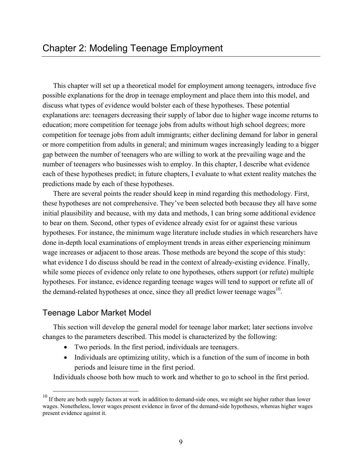This chapter will set up a theoretical model for employment among teenagers, introduce five possible explanations for the drop in teenage employment and place them into this model, and discuss what types of evidence would bolster each of these hypotheses. These potential explanations are: teenagers decreasing their supply of labor due to higher wage income returns to education; more competition for teenage jobs from adults without high school degrees; more competition for teenage jobs from adult immigrants; either declining demand for labor in general or more competition from adults in general; and minimum wages increasingly leading to a bigger gap between the number of teenagers who are willing to work at the prevailing wage and the number of teenagers who businesses wish to employ. In this chapter, I describe what evidence each of these hypotheses predict; in future chapters, I evaluate to what extent reality matches the predictions made by each of these hypotheses.

There are several points the reader should keep in mind regarding this methodology. First, these hypotheses are not comprehensive. They've been selected both because they all have some initial plausibility and because, with my data and methods, I can bring some additional evidence to bear on them. Second, other types of evidence already exist for or against these various hypotheses. For instance, the minimum wage literature include studies in which researchers have done in-depth local examinations of employment trends in areas either experiencing minimum wage increases or adjacent to those areas. Those methods are beyond the scope of this study: what evidence I do discuss should be read in the context of already-existing evidence. Finally, while some pieces of evidence only relate to one hypotheses, others support (or refute) multiple hypotheses. For instance, evidence regarding teenage wages will tend to support or refute all of the demand-related hypotheses at once, since they all predict lower teenage wages $^{10}$ .

## Teenage Labor Market Model

This section will develop the general model for teenage labor market; later sections involve changes to the parameters described. This model is characterized by the following:

- Two periods. In the first period, individuals are teenagers.
- Individuals are optimizing utility, which is a function of the sum of income in both periods and leisure time in the first period.

Individuals choose both how much to work and whether to go to school in the first period.

 $10$  If there are both supply factors at work in addition to demand-side ones, we might see higher rather than lower wages. Nonetheless, lower wages present evidence in favor of the demand-side hypotheses, whereas higher wages present evidence against it.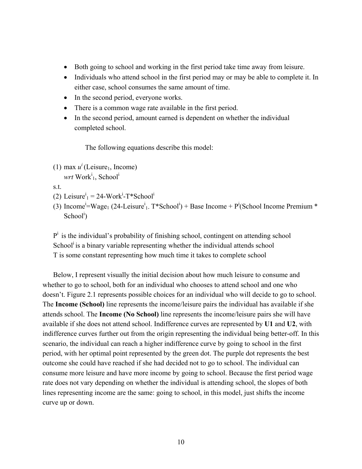- Both going to school and working in the first period take time away from leisure.
- Individuals who attend school in the first period may or may be able to complete it. In either case, school consumes the same amount of time.
- In the second period, everyone works.
- There is a common wage rate available in the first period.
- In the second period, amount earned is dependent on whether the individual completed school.

The following equations describe this model:

(1) max  $u^i$  (Leisure<sub>1</sub>, Income) wrt Work<sup>i</sup><sub>1</sub>, School<sup>i</sup>

s.t.

- (2) Leisure<sup>i</sup><sub>1</sub> = 24-Work<sup>i</sup>-T\*School<sup>i</sup>
- (3) Income<sup>i</sup>=Wage<sub>1</sub> (24-Leisure<sup>i</sup><sub>1</sub>. T\*School<sup>i</sup>) + Base Income + P<sup>i</sup>(School Income Premium \*  $School<sup>i</sup>$ )

 $P<sup>i</sup>$  is the individual's probability of finishing school, contingent on attending school School<sup>i</sup> is a binary variable representing whether the individual attends school T is some constant representing how much time it takes to complete school

Below, I represent visually the initial decision about how much leisure to consume and whether to go to school, both for an individual who chooses to attend school and one who doesn't. Figure 2.1 represents possible choices for an individual who will decide to go to school. The **Income (School)** line represents the income/leisure pairs the individual has available if she attends school. The **Income (No School)** line represents the income/leisure pairs she will have available if she does not attend school. Indifference curves are represented by **U1** and **U2**, with indifference curves further out from the origin representing the individual being better-off. In this scenario, the individual can reach a higher indifference curve by going to school in the first period, with her optimal point represented by the green dot. The purple dot represents the best outcome she could have reached if she had decided not to go to school. The individual can consume more leisure and have more income by going to school. Because the first period wage rate does not vary depending on whether the individual is attending school, the slopes of both lines representing income are the same: going to school, in this model, just shifts the income curve up or down.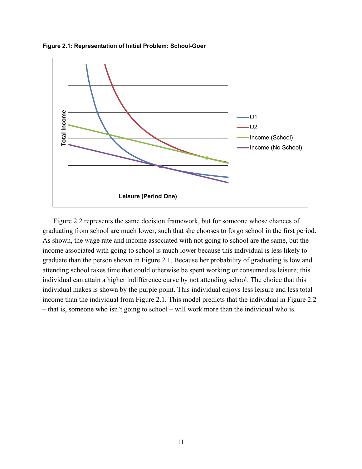



Figure 2.2 represents the same decision framework, but for someone whose chances of graduating from school are much lower, such that she chooses to forgo school in the first period. As shown, the wage rate and income associated with not going to school are the same, but the income associated with going to school is much lower because this individual is less likely to graduate than the person shown in Figure 2.1. Because her probability of graduating is low and attending school takes time that could otherwise be spent working or consumed as leisure, this individual can attain a higher indifference curve by not attending school. The choice that this individual makes is shown by the purple point. This individual enjoys less leisure and less total income than the individual from Figure 2.1. This model predicts that the individual in Figure 2.2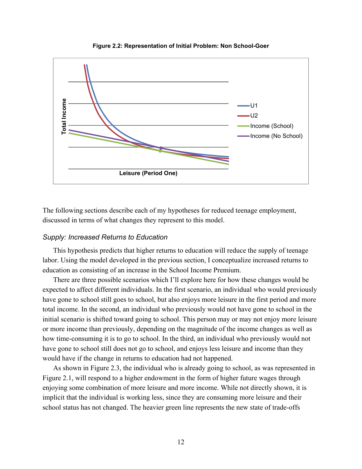

**Figure 2.2: Representation of Initial Problem: Non School-Goer** 

The following sections describe each of my hypotheses for reduced teenage employment, discussed in terms of what changes they represent to this model.

#### *Supply: Increased Returns to Education*

This hypothesis predicts that higher returns to education will reduce the supply of teenage labor. Using the model developed in the previous section, I conceptualize increased returns to education as consisting of an increase in the School Income Premium.

There are three possible scenarios which I'll explore here for how these changes would be expected to affect different individuals. In the first scenario, an individual who would previously have gone to school still goes to school, but also enjoys more leisure in the first period and more total income. In the second, an individual who previously would not have gone to school in the initial scenario is shifted toward going to school. This person may or may not enjoy more leisure or more income than previously, depending on the magnitude of the income changes as well as how time-consuming it is to go to school. In the third, an individual who previously would not have gone to school still does not go to school, and enjoys less leisure and income than they would have if the change in returns to education had not happened.

As shown in Figure 2.3, the individual who is already going to school, as was represented in Figure 2.1, will respond to a higher endowment in the form of higher future wages through enjoying some combination of more leisure and more income. While not directly shown, it is implicit that the individual is working less, since they are consuming more leisure and their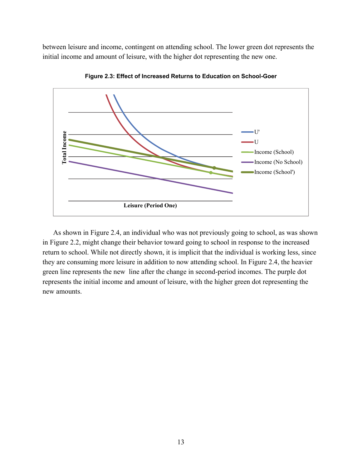between leisure and income, contingent on attending school. The lower green dot represents the initial income and amount of leisure, with the higher dot representing the new one.



**Figure 2.3: Effect of Increased Returns to Education on School-Goer** 

As shown in Figure 2.4, an individual who was not previously going to school, as was shown in Figure 2.2, might change their behavior toward going to school in response to the increased return to school. While not directly shown, it is implicit that the individual is working less, since they are consuming more leisure in addition to now attending school. In Figure 2.4, the heavier green line represents the new line after the change in second-period incomes. The purple dot represents the initial income and amount of leisure, with the higher green dot representing the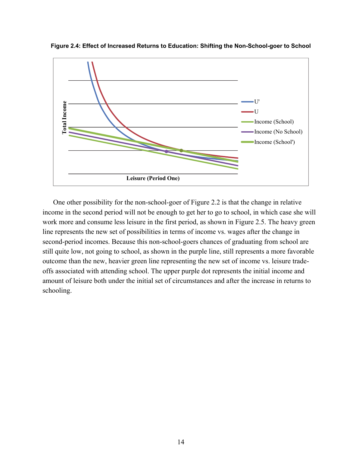

**Figure 2.4: Effect of Increased Returns to Education: Shifting the Non-School-goer to School** 

external contained a set of the schooling.<br>
The schooling of the schooling of the schooling. One other possibility for the non-school-goer of Figure 2.2 is that the change in relative income in the second period will not be enough to get her to go to school, in which case she will work more and consume less leisure in the first period, as shown in Figure 2.5. The heavy green line represents the new set of possibilities in terms of income vs. wages after the change in second-period incomes. Because this non-school-goers chances of graduating from school are still quite low, not going to school, as shown in the purple line, still represents a more favorable outcome than the new, heavier green line representing the new set of income vs. leisure tradeoffs associated with attending school. The upper purple dot represents the initial income and amount of leisure both under the initial set of circumstances and after the increase in returns to schooling.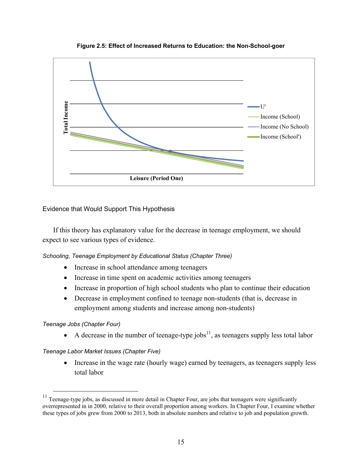

**Figure 2.5: Effect of Increased Returns to Education: the Non-School-goer** 

#### Evidence that Would Support This Hypothesis

If this theory has explanatory value for the decrease in teenage employment, we should expect to see various types of evidence.

*Schooling, Teenage Employment by Educational Status (Chapter Three)* 

- Increase in school attendance among teenagers
- Increase in time spent on academic activities among teenagers
- Increase in proportion of high school students who plan to continue their education
- Decrease in employment confined to teenage non-students (that is, decrease in employment among students and increase among non-students)

#### *Teenage Jobs (Chapter Four)*

A decrease in the number of teenage-type jobs<sup>11</sup>, as teenagers supply less total labor

*Teenage Labor Market Issues (Chapter Five)* 

• Increase in the wage rate (hourly wage) earned by teenagers, as teenagers supply less total labor

 $11$  Teenage-type jobs, as discussed in more detail in Chapter Four, are jobs that teenagers were significantly overrepresented in in 2000, relative to their overall proportion among workers. In Chapter Four, I examine whether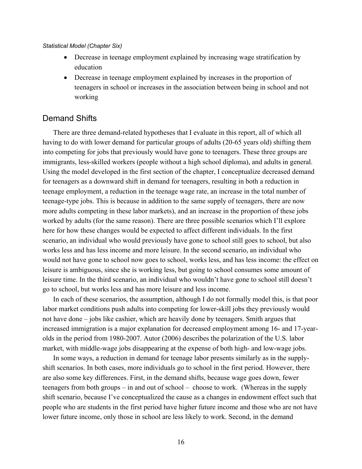#### *Statistical Model (Chapter Six)*

- Decrease in teenage employment explained by increasing wage stratification by education
- Decrease in teenage employment explained by increases in the proportion of teenagers in school or increases in the association between being in school and not working

#### Demand Shifts

There are three demand-related hypotheses that I evaluate in this report, all of which all having to do with lower demand for particular groups of adults (20-65 years old) shifting them into competing for jobs that previously would have gone to teenagers. These three groups are immigrants, less-skilled workers (people without a high school diploma), and adults in general. Using the model developed in the first section of the chapter, I conceptualize decreased demand for teenagers as a downward shift in demand for teenagers, resulting in both a reduction in teenage employment, a reduction in the teenage wage rate, an increase in the total number of teenage-type jobs. This is because in addition to the same supply of teenagers, there are now more adults competing in these labor markets), and an increase in the proportion of these jobs worked by adults (for the same reason). There are three possible scenarios which I'll explore here for how these changes would be expected to affect different individuals. In the first scenario, an individual who would previously have gone to school still goes to school, but also works less and has less income and more leisure. In the second scenario, an individual who would not have gone to school now goes to school, works less, and has less income: the effect on leisure is ambiguous, since she is working less, but going to school consumes some amount of leisure time. In the third scenario, an individual who wouldn't have gone to school still doesn't go to school, but works less and has more leisure and less income.

In each of these scenarios, the assumption, although I do not formally model this, is that poor labor market conditions push adults into competing for lower-skill jobs they previously would not have done – jobs like cashier, which are heavily done by teenagers. Smith argues that increased immigration is a major explanation for decreased employment among 16- and 17-yearolds in the period from 1980-2007. Autor (2006) describes the polarization of the U.S. labor market, with middle-wage jobs disappearing at the expense of both high- and low-wage jobs.

In some ways, a reduction in demand for teenage labor presents similarly as in the supplyshift scenarios. In both cases, more individuals go to school in the first period. However, there are also some key differences. First, in the demand shifts, because wage goes down, fewer teenagers from both groups – in and out of school – choose to work. (Whereas in the supply shift scenario, because I've conceptualized the cause as a changes in endowment effect such that people who are students in the first period have higher future income and those who are not have lower future income, only those in school are less likely to work. Second, in the demand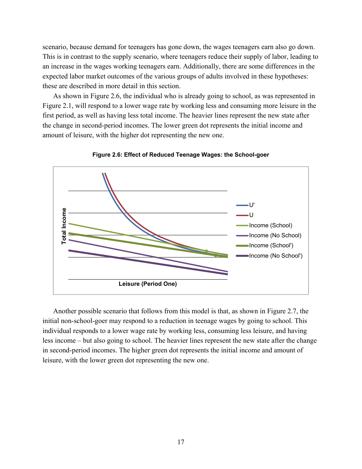scenario, because demand for teenagers has gone down, the wages teenagers earn also go down. This is in contrast to the supply scenario, where teenagers reduce their supply of labor, leading to an increase in the wages working teenagers earn. Additionally, there are some differences in the expected labor market outcomes of the various groups of adults involved in these hypotheses: these are described in more detail in this section.

As shown in Figure 2.6, the individual who is already going to school, as was represented in Figure 2.1, will respond to a lower wage rate by working less and consuming more leisure in the first period, as well as having less total income. The heavier lines represent the new state after the change in second-period incomes. The lower green dot represents the initial income and amount of leisure, with the higher dot representing the new one.



**Figure 2.6: Effect of Reduced Teenage Wages: the School-goer** 

Another possible scenario that follows from this model is that, as shown in Figure 2.7, the initial non-school-goer may respond to a reduction in teenage wages by going to school. This individual responds to a lower wage rate by working less, consuming less leisure, and having less income – but also going to school. The heavier lines represent the new state after the change in second-period incomes. The higher green dot represents the initial income and amount of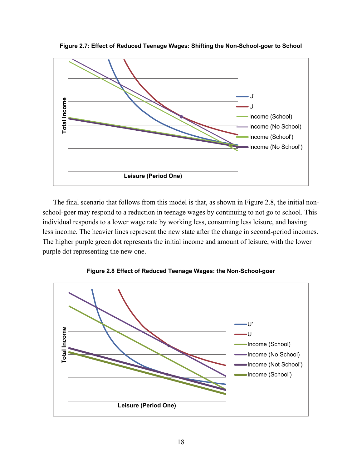

**Figure 2.7: Effect of Reduced Teenage Wages: Shifting the Non-School-goer to School** 

The final scenario that follows from this model is that, as shown in Figure 2.8, the initial nonschool-goer may respond to a reduction in teenage wages by continuing to not go to school. This individual responds to a lower wage rate by working less, consuming less leisure, and having less income. The heavier lines represent the new state after the change in second-period incomes. The higher purple green dot represents the initial income and amount of leisure, with the lower purple dot representing the new one.



**Figure 2.8 Effect of Reduced Teenage Wages: the Non-School-goer**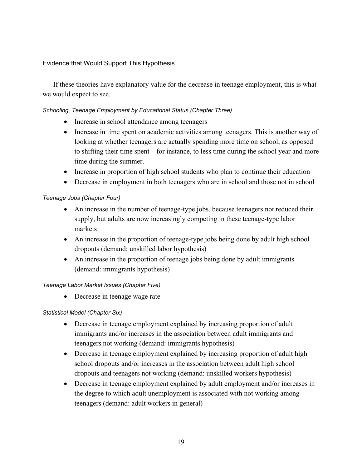#### Evidence that Would Support This Hypothesis

If these theories have explanatory value for the decrease in teenage employment, this is what we would expect to see.

#### *Schooling, Teenage Employment by Educational Status (Chapter Three)*

- Increase in school attendance among teenagers
- Increase in time spent on academic activities among teenagers. This is another way of looking at whether teenagers are actually spending more time on school, as opposed to shifting their time spent – for instance, to less time during the school year and more time during the summer.
- Increase in proportion of high school students who plan to continue their education
- Decrease in employment in both teenagers who are in school and those not in school

#### *Teenage Jobs (Chapter Four)*

- An increase in the number of teenage-type jobs, because teenagers not reduced their supply, but adults are now increasingly competing in these teenage-type labor markets
- An increase in the proportion of teenage-type jobs being done by adult high school dropouts (demand: unskilled labor hypothesis)
- An increase in the proportion of teenage jobs being done by adult immigrants (demand: immigrants hypothesis)

#### *Teenage Labor Market Issues (Chapter Five)*

• Decrease in teenage wage rate

#### *Statistical Model (Chapter Six)*

- Decrease in teenage employment explained by increasing proportion of adult immigrants and/or increases in the association between adult immigrants and teenagers not working (demand: immigrants hypothesis)
- Decrease in teenage employment explained by increasing proportion of adult high school dropouts and/or increases in the association between adult high school dropouts and teenagers not working (demand: unskilled workers hypothesis)
- Decrease in teenage employment explained by adult employment and/or increases in the degree to which adult unemployment is associated with not working among teenagers (demand: adult workers in general)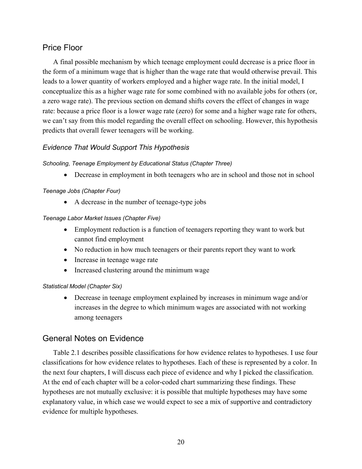# Price Floor

A final possible mechanism by which teenage employment could decrease is a price floor in the form of a minimum wage that is higher than the wage rate that would otherwise prevail. This leads to a lower quantity of workers employed and a higher wage rate. In the initial model, I conceptualize this as a higher wage rate for some combined with no available jobs for others (or, a zero wage rate). The previous section on demand shifts covers the effect of changes in wage rate: because a price floor is a lower wage rate (zero) for some and a higher wage rate for others, we can't say from this model regarding the overall effect on schooling. However, this hypothesis predicts that overall fewer teenagers will be working.

## *Evidence That Would Support This Hypothesis*

#### *Schooling, Teenage Employment by Educational Status (Chapter Three)*

Decrease in employment in both teenagers who are in school and those not in school

#### *Teenage Jobs (Chapter Four)*

• A decrease in the number of teenage-type jobs

#### *Teenage Labor Market Issues (Chapter Five)*

- Employment reduction is a function of teenagers reporting they want to work but cannot find employment
- No reduction in how much teenagers or their parents report they want to work
- Increase in teenage wage rate
- Increased clustering around the minimum wage

#### *Statistical Model (Chapter Six)*

 Decrease in teenage employment explained by increases in minimum wage and/or increases in the degree to which minimum wages are associated with not working among teenagers

## General Notes on Evidence

Table 2.1 describes possible classifications for how evidence relates to hypotheses. I use four classifications for how evidence relates to hypotheses. Each of these is represented by a color. In the next four chapters, I will discuss each piece of evidence and why I picked the classification. At the end of each chapter will be a color-coded chart summarizing these findings. These hypotheses are not mutually exclusive: it is possible that multiple hypotheses may have some explanatory value, in which case we would expect to see a mix of supportive and contradictory evidence for multiple hypotheses.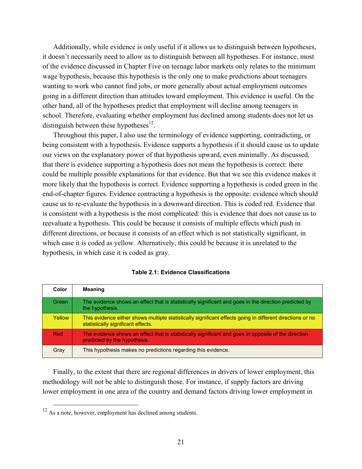Additionally, while evidence is only useful if it allows us to distinguish between hypotheses, it doesn't necessarily need to allow us to distinguish between all hypotheses. For instance, most of the evidence discussed in Chapter Five on teenage labor markets only relates to the minimum wage hypothesis, because this hypothesis is the only one to make predictions about teenagers wanting to work who cannot find jobs, or more generally about actual employment outcomes going in a different direction than attitudes toward employment. This evidence is useful. On the other hand, all of the hypotheses predict that employment will decline among teenagers in school. Therefore, evaluating whether employment has declined among students does not let us distinguish between these hypotheses<sup>12</sup>.

Throughout this paper, I also use the terminology of evidence supporting, contradicting, or being consistent with a hypothesis. Evidence supports a hypothesis if it should cause us to update our views on the explanatory power of that hypothesis upward, even minimally. As discussed, that there is evidence supporting a hypothesis does not mean the hypothesis is correct: there could be multiple possible explanations for that evidence. But that we see this evidence makes it more likely that the hypothesis is correct. Evidence supporting a hypothesis is coded green in the end-of-chapter figures. Evidence contracting a hypothesis is the opposite: evidence which should cause us to re-evaluate the hypothesis in a downward direction. This is coded red. Evidence that is consistent with a hypothesis is the most complicated: this is evidence that does not cause us to reevaluate a hypothesis. This could be because it consists of multiple effects which push in different directions, or because it consists of an effect which is not statistically significant, in which case it is coded as yellow. Alternatively, this could be because it is unrelated to the hypothesis, in which case it is coded as gray.

| Color  | <b>Meaning</b>                                                                                                                                  |
|--------|-------------------------------------------------------------------------------------------------------------------------------------------------|
| Green  | The evidence shows an effect that is statistically significant and goes in the direction predicted by<br>the hypothesis.                        |
| Yellow | This evidence either shows multiple statistically significant effects going in different directions or no<br>statistically significant effects. |
| Red    | The evidence shows an effect that is statistically significant and goes in opposite of the direction<br>predicted by the hypothesis.            |
| Gray   | This hypothesis makes no predictions regarding this evidence.                                                                                   |

#### **Table 2.1: Evidence Classifications**

Finally, to the extent that there are regional differences in drivers of lower employment, this methodology will not be able to distinguish those. For instance, if supply factors are driving lower employment in one area of the country and demand factors driving lower employment in

 $12$  As a note, however, employment has declined among students.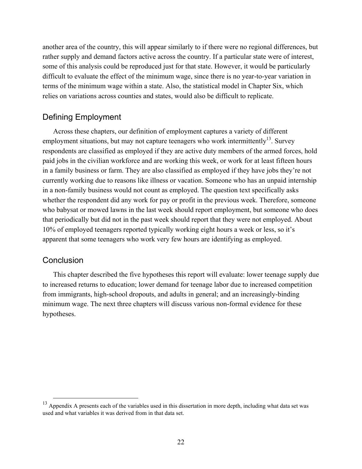another area of the country, this will appear similarly to if there were no regional differences, but rather supply and demand factors active across the country. If a particular state were of interest, some of this analysis could be reproduced just for that state. However, it would be particularly difficult to evaluate the effect of the minimum wage, since there is no year-to-year variation in terms of the minimum wage within a state. Also, the statistical model in Chapter Six, which relies on variations across counties and states, would also be difficult to replicate.

## Defining Employment

Across these chapters, our definition of employment captures a variety of different employment situations, but may not capture teenagers who work intermittently<sup>13</sup>. Survey respondents are classified as employed if they are active duty members of the armed forces, hold paid jobs in the civilian workforce and are working this week, or work for at least fifteen hours in a family business or farm. They are also classified as employed if they have jobs they're not currently working due to reasons like illness or vacation. Someone who has an unpaid internship in a non-family business would not count as employed. The question text specifically asks whether the respondent did any work for pay or profit in the previous week. Therefore, someone who babysat or mowed lawns in the last week should report employment, but someone who does that periodically but did not in the past week should report that they were not employed. About 10% of employed teenagers reported typically working eight hours a week or less, so it's apparent that some teenagers who work very few hours are identifying as employed.

## **Conclusion**

This chapter described the five hypotheses this report will evaluate: lower teenage supply due to increased returns to education; lower demand for teenage labor due to increased competition from immigrants, high-school dropouts, and adults in general; and an increasingly-binding minimum wage. The next three chapters will discuss various non-formal evidence for these hypotheses.

<sup>&</sup>lt;sup>13</sup> Appendix A presents each of the variables used in this dissertation in more depth, including what data set was used and what variables it was derived from in that data set.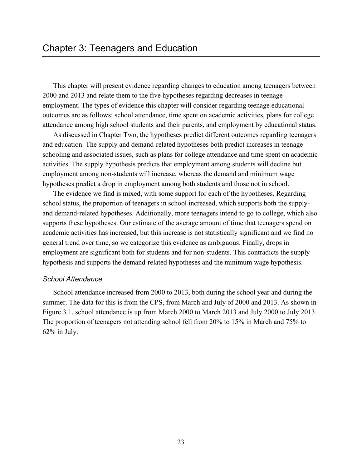This chapter will present evidence regarding changes to education among teenagers between 2000 and 2013 and relate them to the five hypotheses regarding decreases in teenage employment. The types of evidence this chapter will consider regarding teenage educational outcomes are as follows: school attendance, time spent on academic activities, plans for college attendance among high school students and their parents, and employment by educational status.

As discussed in Chapter Two, the hypotheses predict different outcomes regarding teenagers and education. The supply and demand-related hypotheses both predict increases in teenage schooling and associated issues, such as plans for college attendance and time spent on academic activities. The supply hypothesis predicts that employment among students will decline but employment among non-students will increase, whereas the demand and minimum wage hypotheses predict a drop in employment among both students and those not in school.

The evidence we find is mixed, with some support for each of the hypotheses. Regarding school status, the proportion of teenagers in school increased, which supports both the supplyand demand-related hypotheses. Additionally, more teenagers intend to go to college, which also supports these hypotheses. Our estimate of the average amount of time that teenagers spend on academic activities has increased, but this increase is not statistically significant and we find no general trend over time, so we categorize this evidence as ambiguous. Finally, drops in employment are significant both for students and for non-students. This contradicts the supply hypothesis and supports the demand-related hypotheses and the minimum wage hypothesis.

#### *School Attendance*

School attendance increased from 2000 to 2013, both during the school year and during the summer. The data for this is from the CPS, from March and July of 2000 and 2013. As shown in Figure 3.1, school attendance is up from March 2000 to March 2013 and July 2000 to July 2013. The proportion of teenagers not attending school fell from 20% to 15% in March and 75% to 62% in July.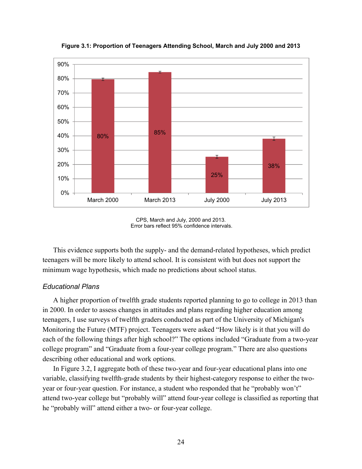

**Figure 3.1: Proportion of Teenagers Attending School, March and July 2000 and 2013** 

This evidence supports both the supply- and the demand-related hypotheses, which predict teenagers will be more likely to attend school. It is consistent with but does not support the minimum wage hypothesis, which made no predictions about school status.

## *Educational Plans*

A higher proportion of twelfth grade students reported planning to go to college in 2013 than in 2000. In order to assess changes in attitudes and plans regarding higher education among teenagers, I use surveys of twelfth graders conducted as part of the University of Michigan's Monitoring the Future (MTF) project. Teenagers were asked "How likely is it that you will do each of the following things after high school?" The options included "Graduate from a two-year college program" and "Graduate from a four-year college program." There are also questions describing other educational and work options.

In Figure 3.2, I aggregate both of these two-year and four-year educational plans into one variable, classifying twelfth-grade students by their highest-category response to either the twoyear or four-year question. For instance, a student who responded that he "probably won't" attend two-year college but "probably will" attend four-year college is classified as reporting that he "probably will" attend either a two- or four-year college.

CPS, March and July, 2000 and 2013. Error bars reflect 95% confidence intervals.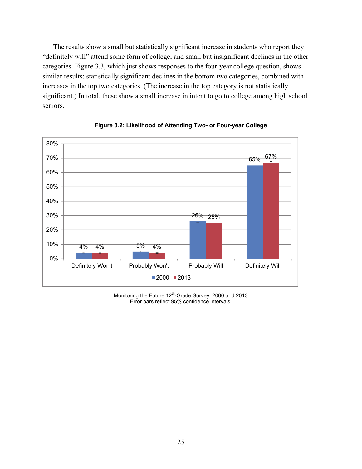The results show a small but statistically significant increase in students who report they "definitely will" attend some form of college, and small but insignificant declines in the other categories. Figure 3.3, which just shows responses to the four-year college question, shows similar results: statistically significant declines in the bottom two categories, combined with increases in the top two categories. (The increase in the top category is not statistically significant.) In total, these show a small increase in intent to go to college among high school seniors.



**Figure 3.2: Likelihood of Attending Two- or Four-year College** 

Monitoring the Future 12<sup>th</sup>-Grade Survey, 2000 and 2013 Error bars reflect 95% confidence intervals.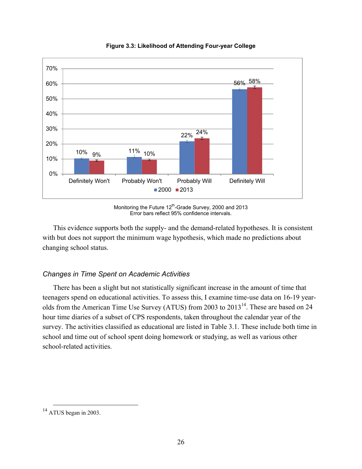

**Figure 3.3: Likelihood of Attending Four-year College** 

Monitoring the Future 12<sup>th</sup>-Grade Survey, 2000 and 2013 Error bars reflect 95% confidence intervals.

This evidence supports both the supply- and the demand-related hypotheses. It is consistent with but does not support the minimum wage hypothesis, which made no predictions about changing school status.

## *Changes in Time Spent on Academic Activities*

There has been a slight but not statistically significant increase in the amount of time that teenagers spend on educational activities. To assess this, I examine time-use data on 16-19 yearolds from the American Time Use Survey (ATUS) from 2003 to  $2013<sup>14</sup>$ . These are based on 24 hour time diaries of a subset of CPS respondents, taken throughout the calendar year of the survey. The activities classified as educational are listed in Table 3.1. These include both time in school and time out of school spent doing homework or studying, as well as various other school-related activities.

<sup>&</sup>lt;sup>14</sup> ATUS began in 2003.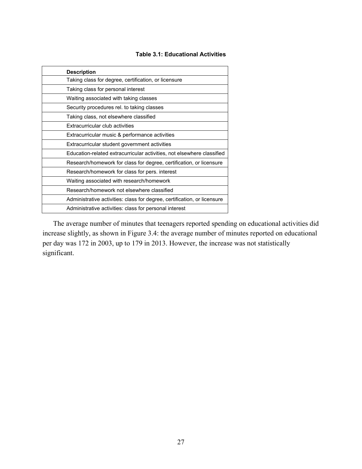### **Table 3.1: Educational Activities**

| <b>Description</b>                                                       |
|--------------------------------------------------------------------------|
| Taking class for degree, certification, or licensure                     |
| Taking class for personal interest                                       |
| Waiting associated with taking classes                                   |
| Security procedures rel. to taking classes                               |
| Taking class, not elsewhere classified                                   |
| Extracurricular club activities                                          |
| Extracurricular music & performance activities                           |
| Extracurricular student government activities                            |
| Education-related extracurricular activities, not elsewhere classified   |
| Research/homework for class for degree, certification, or licensure      |
| Research/homework for class for pers. interest                           |
| Waiting associated with research/homework                                |
| Research/homework not elsewhere classified                               |
| Administrative activities: class for degree, certification, or licensure |
| Administrative activities: class for personal interest                   |

The average number of minutes that teenagers reported spending on educational activities did increase slightly, as shown in Figure 3.4: the average number of minutes reported on educational per day was 172 in 2003, up to 179 in 2013. However, the increase was not statistically significant.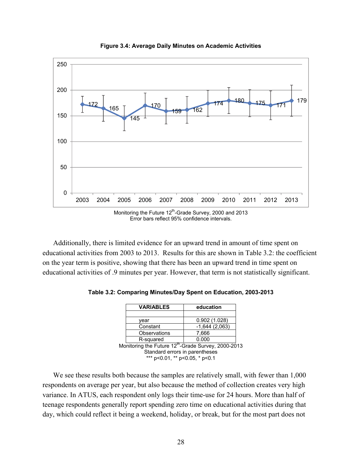

**Figure 3.4: Average Daily Minutes on Academic Activities** 

Additionally, there is limited evidence for an upward trend in amount of time spent on educational activities from 2003 to 2013. Results for this are shown in Table 3.2: the coefficient on the year term is positive, showing that there has been an upward trend in time spent on educational activities of .9 minutes per year. However, that term is not statistically significant.

|                                                                 | <b>VARIABLES</b>               | education       |  |  |  |  |
|-----------------------------------------------------------------|--------------------------------|-----------------|--|--|--|--|
|                                                                 |                                |                 |  |  |  |  |
|                                                                 | vear                           | 0.902(1.028)    |  |  |  |  |
|                                                                 | Constant                       | $-1,644(2,063)$ |  |  |  |  |
|                                                                 | Observations                   | 7,666           |  |  |  |  |
|                                                                 | R-squared                      | 0.000           |  |  |  |  |
| Monitoring the Future 12 <sup>th</sup> -Grade Survey, 2000-2013 |                                |                 |  |  |  |  |
|                                                                 | Standard errors in parentheses |                 |  |  |  |  |
|                                                                 | *** p<0.01, ** p<0.05, * p<0.1 |                 |  |  |  |  |

**Table 3.2: Comparing Minutes/Day Spent on Education, 2003-2013** 

We see these results both because the samples are relatively small, with fewer than 1,000 respondents on average per year, but also because the method of collection creates very high variance. In ATUS, each respondent only logs their time-use for 24 hours. More than half of teenage respondents generally report spending zero time on educational activities during that day, which could reflect it being a weekend, holiday, or break, but for the most part does not

Error bars reflect 95% confidence intervals.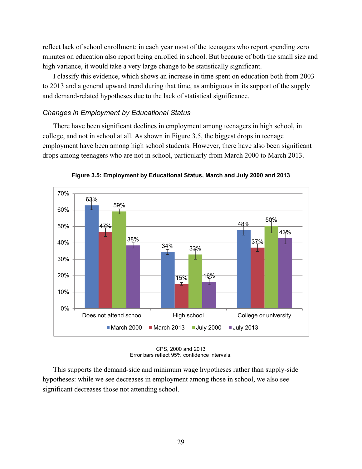reflect lack of school enrollment: in each year most of the teenagers who report spending zero minutes on education also report being enrolled in school. But because of both the small size and high variance, it would take a very large change to be statistically significant.

I classify this evidence, which shows an increase in time spent on education both from 2003 to 2013 and a general upward trend during that time, as ambiguous in its support of the supply and demand-related hypotheses due to the lack of statistical significance.

## *Changes in Employment by Educational Status*

There have been significant declines in employment among teenagers in high school, in college, and not in school at all. As shown in Figure 3.5, the biggest drops in teenage employment have been among high school students. However, there have also been significant drops among teenagers who are not in school, particularly from March 2000 to March 2013.



**Figure 3.5: Employment by Educational Status, March and July 2000 and 2013** 

CPS, 2000 and 2013 Error bars reflect 95% confidence intervals.

This supports the demand-side and minimum wage hypotheses rather than supply-side hypotheses: while we see decreases in employment among those in school, we also see significant decreases those not attending school.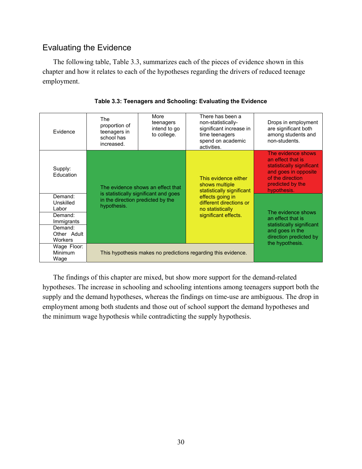# Evaluating the Evidence

The following table, Table 3.3, summarizes each of the pieces of evidence shown in this chapter and how it relates to each of the hypotheses regarding the drivers of reduced teenage employment.

| Evidence                                                                                        | The<br>proportion of<br>teenagers in<br>school has<br>increased. | More<br>teenagers<br>intend to go<br>to college. | There has been a<br>non-statistically-<br>significant increase in<br>time teenagers<br>spend on academic<br>activities. | Drops in employment<br>are significant both<br>among students and<br>non-students.                                                                  |
|-------------------------------------------------------------------------------------------------|------------------------------------------------------------------|--------------------------------------------------|-------------------------------------------------------------------------------------------------------------------------|-----------------------------------------------------------------------------------------------------------------------------------------------------|
| Supply:<br>Education                                                                            |                                                                  | The evidence shows an effect that                | This evidence either<br>shows multiple<br>statistically significant                                                     | The evidence shows<br>an effect that is<br>statistically significant<br>and goes in opposite<br>of the direction<br>predicted by the<br>hypothesis. |
| Demand:<br>Unskilled<br>Labor<br>Demand:<br>Immigrants<br>Demand:<br>Other Adult<br>Workers     | in the direction predicted by the<br>hypothesis.                 | is statistically significant and goes            | effects going in<br>different directions or<br>no statistically<br>significant effects.                                 | The evidence shows<br>an effect that is<br>statistically significant<br>and goes in the<br>direction predicted by                                   |
| Wage Floor:<br>Minimum<br>This hypothesis makes no predictions regarding this evidence.<br>Wage |                                                                  |                                                  |                                                                                                                         | the hypothesis.                                                                                                                                     |

|  |  | Table 3.3: Teenagers and Schooling: Evaluating the Evidence |
|--|--|-------------------------------------------------------------|
|  |  |                                                             |

The findings of this chapter are mixed, but show more support for the demand-related hypotheses. The increase in schooling and schooling intentions among teenagers support both the supply and the demand hypotheses, whereas the findings on time-use are ambiguous. The drop in employment among both students and those out of school support the demand hypotheses and the minimum wage hypothesis while contradicting the supply hypothesis.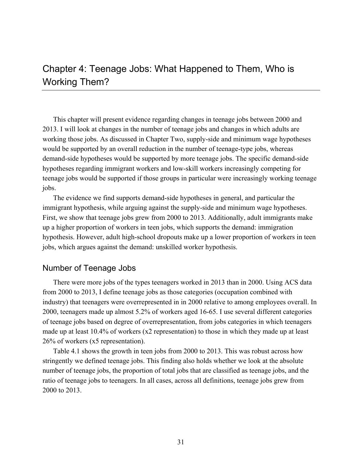# Chapter 4: Teenage Jobs: What Happened to Them, Who is Working Them?

This chapter will present evidence regarding changes in teenage jobs between 2000 and 2013. I will look at changes in the number of teenage jobs and changes in which adults are working those jobs. As discussed in Chapter Two, supply-side and minimum wage hypotheses would be supported by an overall reduction in the number of teenage-type jobs, whereas demand-side hypotheses would be supported by more teenage jobs. The specific demand-side hypotheses regarding immigrant workers and low-skill workers increasingly competing for teenage jobs would be supported if those groups in particular were increasingly working teenage jobs.

The evidence we find supports demand-side hypotheses in general, and particular the immigrant hypothesis, while arguing against the supply-side and minimum wage hypotheses. First, we show that teenage jobs grew from 2000 to 2013. Additionally, adult immigrants make up a higher proportion of workers in teen jobs, which supports the demand: immigration hypothesis. However, adult high-school dropouts make up a lower proportion of workers in teen jobs, which argues against the demand: unskilled worker hypothesis.

## Number of Teenage Jobs

There were more jobs of the types teenagers worked in 2013 than in 2000. Using ACS data from 2000 to 2013, I define teenage jobs as those categories (occupation combined with industry) that teenagers were overrepresented in in 2000 relative to among employees overall. In 2000, teenagers made up almost 5.2% of workers aged 16-65. I use several different categories of teenage jobs based on degree of overrepresentation, from jobs categories in which teenagers made up at least 10.4% of workers (x2 representation) to those in which they made up at least 26% of workers (x5 representation).

Table 4.1 shows the growth in teen jobs from 2000 to 2013. This was robust across how stringently we defined teenage jobs. This finding also holds whether we look at the absolute number of teenage jobs, the proportion of total jobs that are classified as teenage jobs, and the ratio of teenage jobs to teenagers. In all cases, across all definitions, teenage jobs grew from 2000 to 2013.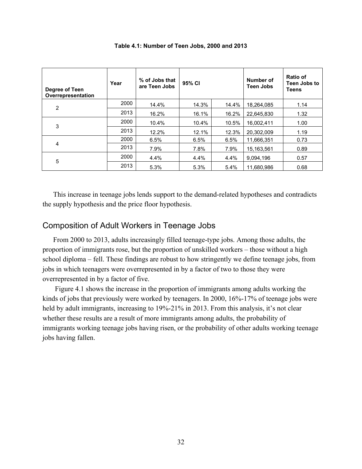| Degree of Teen<br>Overrepresentation | Year | % of Jobs that<br>are Teen Jobs | 95% CI |       | Number of<br><b>Teen Jobs</b> | Ratio of<br>Teen Jobs to<br><b>Teens</b> |
|--------------------------------------|------|---------------------------------|--------|-------|-------------------------------|------------------------------------------|
| 2                                    | 2000 | 14.4%                           | 14.3%  | 14.4% | 18,264,085                    | 1.14                                     |
|                                      | 2013 | 16.2%                           | 16.1%  | 16.2% | 22.645.830                    | 1.32                                     |
| 3                                    | 2000 | 10.4%                           | 10.4%  | 10.5% | 16,002,411                    | 1.00                                     |
|                                      | 2013 | 12.2%                           | 12.1%  | 12.3% | 20.302.009                    | 1.19                                     |
|                                      | 2000 | 6.5%                            | 6.5%   | 6.5%  | 11,666,351                    | 0.73                                     |
| 4                                    | 2013 | 7.9%                            | 7.8%   | 7.9%  | 15.163.561                    | 0.89                                     |
| 5                                    | 2000 | 4.4%                            | 4.4%   | 4.4%  | 9,094,196                     | 0.57                                     |
|                                      | 2013 | 5.3%                            | 5.3%   | 5.4%  | 11.680.986                    | 0.68                                     |

**Table 4.1: Number of Teen Jobs, 2000 and 2013** 

This increase in teenage jobs lends support to the demand-related hypotheses and contradicts the supply hypothesis and the price floor hypothesis.

## Composition of Adult Workers in Teenage Jobs

From 2000 to 2013, adults increasingly filled teenage-type jobs. Among those adults, the proportion of immigrants rose, but the proportion of unskilled workers – those without a high school diploma – fell. These findings are robust to how stringently we define teenage jobs, from jobs in which teenagers were overrepresented in by a factor of two to those they were overrepresented in by a factor of five.

 Figure 4.1 shows the increase in the proportion of immigrants among adults working the kinds of jobs that previously were worked by teenagers. In 2000, 16%-17% of teenage jobs were held by adult immigrants, increasing to 19%-21% in 2013. From this analysis, it's not clear whether these results are a result of more immigrants among adults, the probability of immigrants working teenage jobs having risen, or the probability of other adults working teenage jobs having fallen.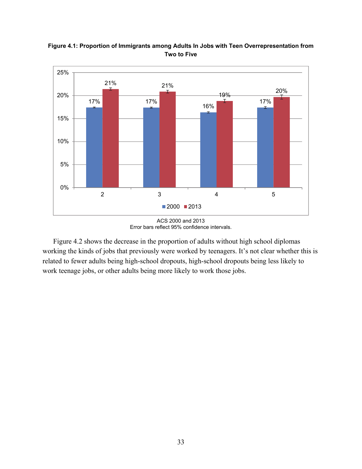

**Figure 4.1: Proportion of Immigrants among Adults In Jobs with Teen Overrepresentation from Two to Five** 

Figure 4.2 shows the decrease in the proportion of adults without high school diplomas working the kinds of jobs that previously were worked by teenagers. It's not clear whether this is related to fewer adults being high-school dropouts, high-school dropouts being less likely to work teenage jobs, or other adults being more likely to work those jobs.

ACS 2000 and 2013 Error bars reflect 95% confidence intervals.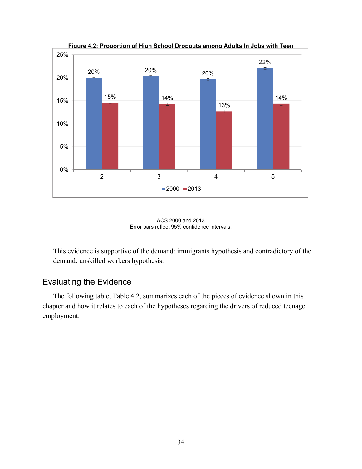

**Figure 4.2: Proportion of High School Dropouts among Adults In Jobs with Teen** 



This evidence is supportive of the demand: immigrants hypothesis and contradictory of the demand: unskilled workers hypothesis.

# Evaluating the Evidence

The following table, Table 4.2, summarizes each of the pieces of evidence shown in this chapter and how it relates to each of the hypotheses regarding the drivers of reduced teenage employment.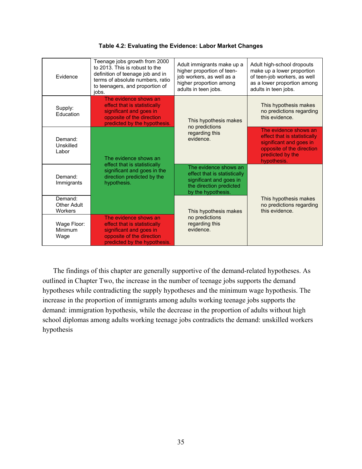| Evidence                          | Teenage jobs growth from 2000<br>to 2013. This is robust to the<br>definition of teenage job and in<br>terms of absolute numbers, ratio<br>to teenagers, and proportion of<br>iobs. | Adult immigrants make up a<br>higher proportion of teen-<br>job workers, as well as a<br>higher proportion among<br>adults in teen jobs. | Adult high-school dropouts<br>make up a lower proportion<br>of teen-job workers, as well<br>as a lower proportion among<br>adults in teen jobs.  |  |
|-----------------------------------|-------------------------------------------------------------------------------------------------------------------------------------------------------------------------------------|------------------------------------------------------------------------------------------------------------------------------------------|--------------------------------------------------------------------------------------------------------------------------------------------------|--|
| Supply:<br>Education              | The evidence shows an<br>effect that is statistically<br>significant and goes in<br>opposite of the direction<br>predicted by the hypothesis.                                       | This hypothesis makes                                                                                                                    | This hypothesis makes<br>no predictions regarding<br>this evidence.                                                                              |  |
| Demand:<br>Unskilled<br>Labor     | The evidence shows an                                                                                                                                                               | no predictions<br>regarding this<br>evidence.                                                                                            | The evidence shows an<br>effect that is statistically<br>significant and goes in<br>opposite of the direction<br>predicted by the<br>hypothesis. |  |
| Demand:<br>Immigrants             | effect that is statistically<br>significant and goes in the<br>direction predicted by the<br>hypothesis.                                                                            | The evidence shows an<br>effect that is statistically<br>significant and goes in<br>the direction predicted<br>by the hypothesis.        |                                                                                                                                                  |  |
| Demand:<br>Other Adult<br>Workers |                                                                                                                                                                                     | This hypothesis makes                                                                                                                    | This hypothesis makes<br>no predictions regarding<br>this evidence.                                                                              |  |
| Wage Floor:<br>Minimum<br>Wage    | The evidence shows an<br>effect that is statistically<br>significant and goes in<br>opposite of the direction<br>predicted by the hypothesis.                                       | no predictions<br>regarding this<br>evidence.                                                                                            |                                                                                                                                                  |  |

The findings of this chapter are generally supportive of the demand-related hypotheses. As outlined in Chapter Two, the increase in the number of teenage jobs supports the demand hypotheses while contradicting the supply hypotheses and the minimum wage hypothesis. The increase in the proportion of immigrants among adults working teenage jobs supports the demand: immigration hypothesis, while the decrease in the proportion of adults without high school diplomas among adults working teenage jobs contradicts the demand: unskilled workers hypothesis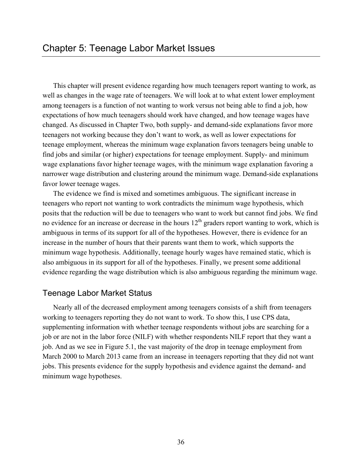This chapter will present evidence regarding how much teenagers report wanting to work, as well as changes in the wage rate of teenagers. We will look at to what extent lower employment among teenagers is a function of not wanting to work versus not being able to find a job, how expectations of how much teenagers should work have changed, and how teenage wages have changed. As discussed in Chapter Two, both supply- and demand-side explanations favor more teenagers not working because they don't want to work, as well as lower expectations for teenage employment, whereas the minimum wage explanation favors teenagers being unable to find jobs and similar (or higher) expectations for teenage employment. Supply- and minimum wage explanations favor higher teenage wages, with the minimum wage explanation favoring a narrower wage distribution and clustering around the minimum wage. Demand-side explanations favor lower teenage wages.

The evidence we find is mixed and sometimes ambiguous. The significant increase in teenagers who report not wanting to work contradicts the minimum wage hypothesis, which posits that the reduction will be due to teenagers who want to work but cannot find jobs. We find no evidence for an increase or decrease in the hours  $12<sup>th</sup>$  graders report wanting to work, which is ambiguous in terms of its support for all of the hypotheses. However, there is evidence for an increase in the number of hours that their parents want them to work, which supports the minimum wage hypothesis. Additionally, teenage hourly wages have remained static, which is also ambiguous in its support for all of the hypotheses. Finally, we present some additional evidence regarding the wage distribution which is also ambiguous regarding the minimum wage.

## Teenage Labor Market Status

Nearly all of the decreased employment among teenagers consists of a shift from teenagers working to teenagers reporting they do not want to work. To show this, I use CPS data, supplementing information with whether teenage respondents without jobs are searching for a job or are not in the labor force (NILF) with whether respondents NILF report that they want a job. And as we see in Figure 5.1, the vast majority of the drop in teenage employment from March 2000 to March 2013 came from an increase in teenagers reporting that they did not want jobs. This presents evidence for the supply hypothesis and evidence against the demand- and minimum wage hypotheses.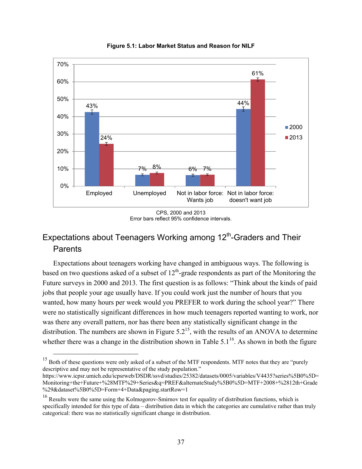

**Figure 5.1: Labor Market Status and Reason for NILF** 

# Expectations about Teenagers Working among 12<sup>th</sup>-Graders and Their **Parents**

Expectations about teenagers working have changed in ambiguous ways. The following is based on two questions asked of a subset of  $12<sup>th</sup>$ -grade respondents as part of the Monitoring the Future surveys in 2000 and 2013. The first question is as follows: "Think about the kinds of paid jobs that people your age usually have. If you could work just the number of hours that you wanted, how many hours per week would you PREFER to work during the school year?" There were no statistically significant differences in how much teenagers reported wanting to work, nor was there any overall pattern, nor has there been any statistically significant change in the distribution. The numbers are shown in Figure  $5.2^{15}$ , with the results of an ANOVA to determine whether there was a change in the distribution shown in Table  $5.1^{16}$ . As shown in both the figure

CPS, 2000 and 2013 Error bars reflect 95% confidence intervals.

<sup>&</sup>lt;sup>15</sup> Both of these questions were only asked of a subset of the MTF respondents. MTF notes that they are "purely descriptive and may not be representative of the study population."

[https://www.icpsr.umich.edu/icpsrweb/DSDR/ssvd/studies/25382/datasets/0005/variables/V4435?series%5B0%5D=](https://www.icpsr.umich.edu/icpsrweb/DSDR/ssvd/studies/25382/datasets/0005/variables/V4435?series%5B0%5D=Monitoring+the+Future+%28MTF%29+Series&q=PREF&alternateStudy%5B0%5D=MTF+2008+%2812th+Grade%29&dataset%5B0%5D=Form+4+Data&paging.startRow=1) Monitoring+the+Future+%28MTF%29+Series&q=PREF&alternateStudy%5B0%5D=MTF+2008+%2812th+Grade %29&dataset%5B0%5D=Form+4+Data&paging.startRow=1

<sup>&</sup>lt;sup>16</sup> Results were the same using the Kolmogorov-Smirnov test for equality of distribution functions, which is specifically intended for this type of data – distribution data in which the categories are cumulative rather than truly categorical: there was no statistically significant change in distribution.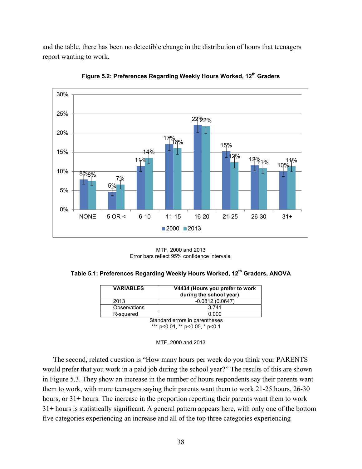and the table, there has been no detectible change in the distribution of hours that teenagers report wanting to work.



**Figure 5.2: Preferences Regarding Weekly Hours Worked, 12th Graders** 

MTF, 2000 and 2013 Error bars reflect 95% confidence intervals.

| Table 5.1: Preferences Regarding Weekly Hours Worked, 12 <sup>th</sup> Graders, ANOVA |  |  |  |  |
|---------------------------------------------------------------------------------------|--|--|--|--|
|---------------------------------------------------------------------------------------|--|--|--|--|

| <b><i>VARIABLES</i></b>        | V4434 (Hours you prefer to work<br>during the school year) |  |  |  |
|--------------------------------|------------------------------------------------------------|--|--|--|
| 2013                           | $-0.0812(0.0647)$                                          |  |  |  |
| Observations                   | 3.741                                                      |  |  |  |
| R-squared                      | 0.000                                                      |  |  |  |
| Standard arrors in naranthasas |                                                            |  |  |  |

Standard errors in parentheses \*\*\* p<0.01, \*\* p<0.05, \* p<0.1



The second, related question is "How many hours per week do you think your PARENTS would prefer that you work in a paid job during the school year?" The results of this are shown in Figure 5.3. They show an increase in the number of hours respondents say their parents want them to work, with more teenagers saying their parents want them to work 21-25 hours, 26-30 hours, or 31+ hours. The increase in the proportion reporting their parents want them to work 31+ hours is statistically significant. A general pattern appears here, with only one of the bottom five categories experiencing an increase and all of the top three categories experiencing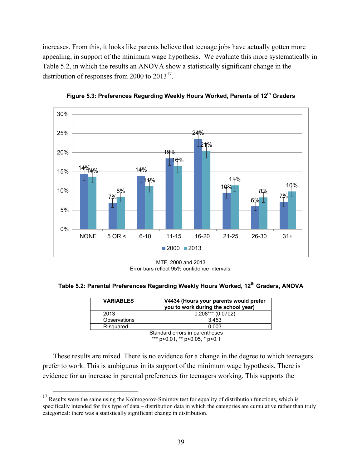increases. From this, it looks like parents believe that teenage jobs have actually gotten more appealing, in support of the minimum wage hypothesis. We evaluate this more systematically in Table 5.2, in which the results an ANOVA show a statistically significant change in the distribution of responses from 2000 to  $2013^{17}$ .



**Figure 5.3: Preferences Regarding Weekly Hours Worked, Parents of 12th Graders** 

Error bars reflect 95% confidence intervals.

**Table 5.2: Parental Preferences Regarding Weekly Hours Worked, 12th Graders, ANOVA** 

| <b><i>VARIABLES</i></b> | V4434 (Hours your parents would prefer<br>you to work during the school year) |
|-------------------------|-------------------------------------------------------------------------------|
| 2013                    | $0.208***$ (0.0702)                                                           |
| Observations            | 3.453                                                                         |
| R-squared               | 0.003                                                                         |
|                         | Standard errors in parentheses                                                |

\*\*\* p<0.01, \*\* p<0.05, \* p<0.1

These results are mixed. There is no evidence for a change in the degree to which teenagers prefer to work. This is ambiguous in its support of the minimum wage hypothesis. There is evidence for an increase in parental preferences for teenagers working. This supports the

MTF, 2000 and 2013

 $17$  Results were the same using the Kolmogorov-Smirnov test for equality of distribution functions, which is specifically intended for this type of data – distribution data in which the categories are cumulative rather than truly categorical: there was a statistically significant change in distribution.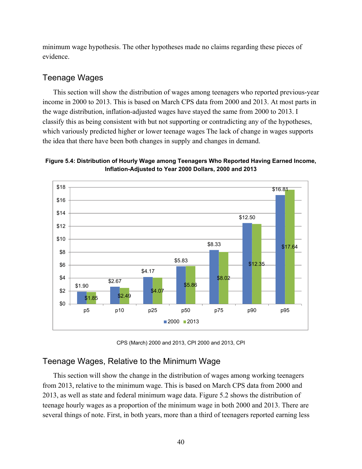minimum wage hypothesis. The other hypotheses made no claims regarding these pieces of evidence.

## Teenage Wages

This section will show the distribution of wages among teenagers who reported previous-year income in 2000 to 2013. This is based on March CPS data from 2000 and 2013. At most parts in the wage distribution, inflation-adjusted wages have stayed the same from 2000 to 2013. I classify this as being consistent with but not supporting or contradicting any of the hypotheses, which variously predicted higher or lower teenage wages The lack of change in wages supports the idea that there have been both changes in supply and changes in demand.

## **Figure 5.4: Distribution of Hourly Wage among Teenagers Who Reported Having Earned Income, Inflation-Adjusted to Year 2000 Dollars, 2000 and 2013**



CPS (March) 2000 and 2013, CPI 2000 and 2013, CPI

# Teenage Wages, Relative to the Minimum Wage

This section will show the change in the distribution of wages among working teenagers from 2013, relative to the minimum wage. This is based on March CPS data from 2000 and 2013, as well as state and federal minimum wage data. Figure 5.2 shows the distribution of teenage hourly wages as a proportion of the minimum wage in both 2000 and 2013. There are several things of note. First, in both years, more than a third of teenagers reported earning less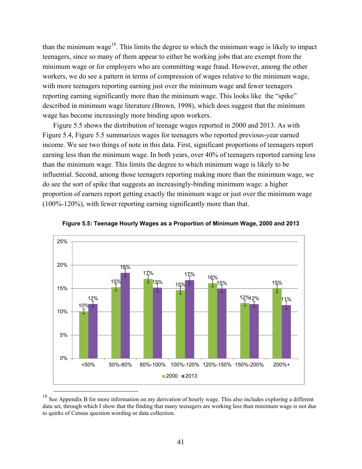than the minimum wage<sup>18</sup>. This limits the degree to which the minimum wage is likely to impact teenagers, since so many of them appear to either be working jobs that are exempt from the minimum wage or for employers who are committing wage fraud. However, among the other workers, we do see a pattern in terms of compression of wages relative to the minimum wage, with more teenagers reporting earning just over the minimum wage and fewer teenagers reporting earning significantly more than the minimum wage. This looks like the "spike" described in minimum wage literature (Brown, 1998), which does suggest that the minimum wage has become increasingly more binding upon workers.

Figure 5.5 shows the distribution of teenage wages reported in 2000 and 2013. As with Figure 5.4, Figure 5.5 summarizes wages for teenagers who reported previous-year earned income. We see two things of note in this data. First, significant proportions of teenagers report earning less than the minimum wage. In both years, over 40% of teenagers reported earning less than the minimum wage. This limits the degree to which minimum wage is likely to be influential. Second, among those teenagers reporting making more than the minimum wage, we do see the sort of spike that suggests an increasingly-binding minimum wage: a higher proportion of earners report getting exactly the minimum wage or just over the minimum wage (100%-120%), with fewer reporting earning significantly more than that.





<sup>&</sup>lt;sup>18</sup> See Appendix B for more information on my derivation of hourly wage. This also includes exploring a different data set, through which I show that the finding that many teenagers are working less than minimum wage is not due to quirks of Census question wording or data collection.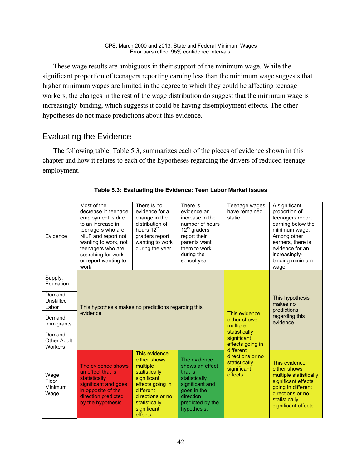These wage results are ambiguous in their support of the minimum wage. While the significant proportion of teenagers reporting earning less than the minimum wage suggests that higher minimum wages are limited in the degree to which they could be affecting teenage workers, the changes in the rest of the wage distribution do suggest that the minimum wage is increasingly-binding, which suggests it could be having disemployment effects. The other hypotheses do not make predictions about this evidence.

# Evaluating the Evidence

The following table, Table 5.3, summarizes each of the pieces of evidence shown in this chapter and how it relates to each of the hypotheses regarding the drivers of reduced teenage employment.

| Evidence                          | Most of the<br>decrease in teenage<br>employment is due<br>to an increase in<br>teenagers who are<br>NILF and report not<br>wanting to work, not<br>teenagers who are<br>searching for work<br>or report wanting to<br>work | There is no<br>evidence for a<br>change in the<br>distribution of<br>hours 12 <sup>th</sup><br>graders report<br>wanting to work<br>during the year.                       | There is<br>evidence an<br>increase in the<br>number of hours<br>$12^{th}$ graders<br>report their<br>parents want<br>them to work<br>during the<br>school year. | Teenage wages<br>have remained<br>static.                                 | A significant<br>proportion of<br>teenagers report<br>earning below the<br>minimum wage.<br>Among other<br>earners, there is<br>evidence for an<br>increasingly-<br>binding minimum<br>wage. |
|-----------------------------------|-----------------------------------------------------------------------------------------------------------------------------------------------------------------------------------------------------------------------------|----------------------------------------------------------------------------------------------------------------------------------------------------------------------------|------------------------------------------------------------------------------------------------------------------------------------------------------------------|---------------------------------------------------------------------------|----------------------------------------------------------------------------------------------------------------------------------------------------------------------------------------------|
| Supply:<br>Education              |                                                                                                                                                                                                                             |                                                                                                                                                                            |                                                                                                                                                                  |                                                                           |                                                                                                                                                                                              |
| Demand:<br>Unskilled<br>Labor     | This hypothesis makes no predictions regarding this                                                                                                                                                                         |                                                                                                                                                                            | This evidence<br>either shows<br>multiple                                                                                                                        | This hypothesis<br>makes no<br>predictions<br>regarding this<br>evidence. |                                                                                                                                                                                              |
| Demand:<br>Immigrants             | evidence.                                                                                                                                                                                                                   |                                                                                                                                                                            |                                                                                                                                                                  |                                                                           |                                                                                                                                                                                              |
| Demand:<br>Other Adult<br>Workers |                                                                                                                                                                                                                             |                                                                                                                                                                            | statistically<br>significant<br>effects going in<br>different                                                                                                    |                                                                           |                                                                                                                                                                                              |
| Wage<br>Floor:<br>Minimum<br>Wage | The evidence shows<br>an effect that is<br>statistically<br>significant and goes<br>in opposite of the<br>direction predicted<br>by the hypothesis.                                                                         | This evidence<br>either shows<br>multiple<br>statistically<br>significant<br>effects going in<br>different<br>directions or no<br>statistically<br>significant<br>effects. | The evidence<br>shows an effect<br>that is<br>statistically<br>significant and<br>goes in the<br>direction<br>predicted by the<br>hypothesis.                    | directions or no<br>statistically<br>significant<br>effects.              | This evidence<br>either shows<br>multiple statistically<br>significant effects<br>going in different<br>directions or no<br>statistically<br>significant effects.                            |

## **Table 5.3: Evaluating the Evidence: Teen Labor Market Issues**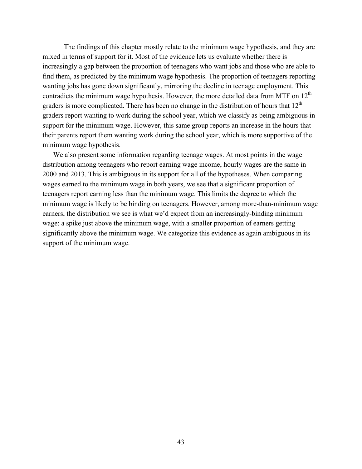The findings of this chapter mostly relate to the minimum wage hypothesis, and they are mixed in terms of support for it. Most of the evidence lets us evaluate whether there is increasingly a gap between the proportion of teenagers who want jobs and those who are able to find them, as predicted by the minimum wage hypothesis. The proportion of teenagers reporting wanting jobs has gone down significantly, mirroring the decline in teenage employment. This contradicts the minimum wage hypothesis. However, the more detailed data from MTF on  $12<sup>th</sup>$ graders is more complicated. There has been no change in the distribution of hours that  $12<sup>th</sup>$ graders report wanting to work during the school year, which we classify as being ambiguous in support for the minimum wage. However, this same group reports an increase in the hours that their parents report them wanting work during the school year, which is more supportive of the minimum wage hypothesis.

We also present some information regarding teenage wages. At most points in the wage distribution among teenagers who report earning wage income, hourly wages are the same in 2000 and 2013. This is ambiguous in its support for all of the hypotheses. When comparing wages earned to the minimum wage in both years, we see that a significant proportion of teenagers report earning less than the minimum wage. This limits the degree to which the minimum wage is likely to be binding on teenagers. However, among more-than-minimum wage earners, the distribution we see is what we'd expect from an increasingly-binding minimum wage: a spike just above the minimum wage, with a smaller proportion of earners getting significantly above the minimum wage. We categorize this evidence as again ambiguous in its support of the minimum wage.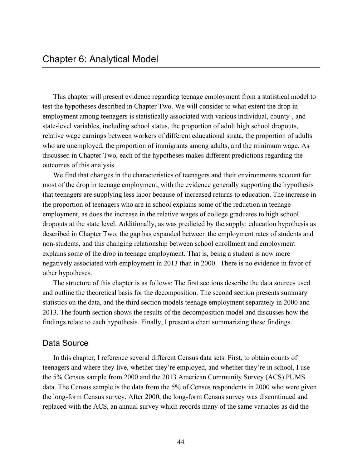This chapter will present evidence regarding teenage employment from a statistical model to test the hypotheses described in Chapter Two. We will consider to what extent the drop in employment among teenagers is statistically associated with various individual, county-, and state-level variables, including school status, the proportion of adult high school dropouts, relative wage earnings between workers of different educational strata, the proportion of adults who are unemployed, the proportion of immigrants among adults, and the minimum wage. As discussed in Chapter Two, each of the hypotheses makes different predictions regarding the outcomes of this analysis.

We find that changes in the characteristics of teenagers and their environments account for most of the drop in teenage employment, with the evidence generally supporting the hypothesis that teenagers are supplying less labor because of increased returns to education. The increase in the proportion of teenagers who are in school explains some of the reduction in teenage employment, as does the increase in the relative wages of college graduates to high school dropouts at the state level. Additionally, as was predicted by the supply: education hypothesis as described in Chapter Two, the gap has expanded between the employment rates of students and non-students, and this changing relationship between school enrollment and employment explains some of the drop in teenage employment. That is, being a student is now more negatively associated with employment in 2013 than in 2000. There is no evidence in favor of other hypotheses.

The structure of this chapter is as follows: The first sections describe the data sources used and outline the theoretical basis for the decomposition. The second section presents summary statistics on the data, and the third section models teenage employment separately in 2000 and 2013. The fourth section shows the results of the decomposition model and discusses how the findings relate to each hypothesis. Finally, I present a chart summarizing these findings.

## Data Source

In this chapter, I reference several different Census data sets. First, to obtain counts of teenagers and where they live, whether they're employed, and whether they're in school, I use the 5% Census sample from 2000 and the 2013 American Community Survey (ACS) PUMS data. The Census sample is the data from the 5% of Census respondents in 2000 who were given the long-form Census survey. After 2000, the long-form Census survey was discontinued and replaced with the ACS, an annual survey which records many of the same variables as did the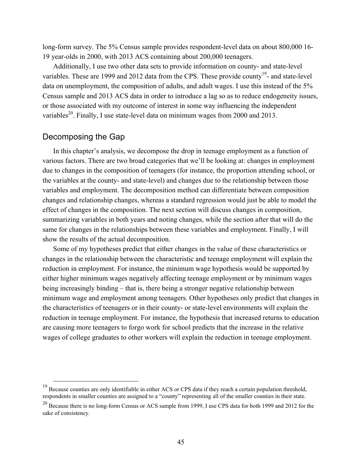long-form survey. The 5% Census sample provides respondent-level data on about 800,000 16- 19 year-olds in 2000, with 2013 ACS containing about 200,000 teenagers.

Additionally, I use two other data sets to provide information on county- and state-level variables. These are 1999 and 2012 data from the CPS. These provide county<sup>19</sup>- and state-level data on unemployment, the composition of adults, and adult wages. I use this instead of the 5% Census sample and 2013 ACS data in order to introduce a lag so as to reduce endogeneity issues, or those associated with my outcome of interest in some way influencing the independent variables<sup>20</sup>. Finally, I use state-level data on minimum wages from 2000 and 2013.

## Decomposing the Gap

In this chapter's analysis, we decompose the drop in teenage employment as a function of various factors. There are two broad categories that we'll be looking at: changes in employment due to changes in the composition of teenagers (for instance, the proportion attending school, or the variables at the county- and state-level) and changes due to the relationship between those variables and employment. The decomposition method can differentiate between composition changes and relationship changes, whereas a standard regression would just be able to model the effect of changes in the composition. The next section will discuss changes in composition, summarizing variables in both years and noting changes, while the section after that will do the same for changes in the relationships between these variables and employment. Finally, I will show the results of the actual decomposition.

Some of my hypotheses predict that either changes in the value of these characteristics or changes in the relationship between the characteristic and teenage employment will explain the reduction in employment. For instance, the minimum wage hypothesis would be supported by either higher minimum wages negatively affecting teenage employment or by minimum wages being increasingly binding – that is, there being a stronger negative relationship between minimum wage and employment among teenagers. Other hypotheses only predict that changes in the characteristics of teenagers or in their county- or state-level environments will explain the reduction in teenage employment. For instance, the hypothesis that increased returns to education are causing more teenagers to forgo work for school predicts that the increase in the relative wages of college graduates to other workers will explain the reduction in teenage employment.

 $19$  Because counties are only identifiable in either ACS or CPS data if they reach a certain population threshold, respondents in smaller counties are assigned to a "county" representing all of the smaller counties in their state.

<sup>&</sup>lt;sup>20</sup> Because there is no long-form Census or ACS sample from 1999, I use CPS data for both 1999 and 2012 for the sake of consistency.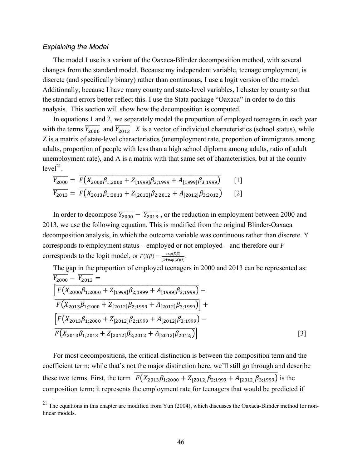#### *Explaining the Model*

The model I use is a variant of the Oaxaca-Blinder decomposition method, with several changes from the standard model. Because my independent variable, teenage employment, is discrete (and specifically binary) rather than continuous, I use a logit version of the model. Additionally, because I have many county and state-level variables, I cluster by county so that the standard errors better reflect this. I use the Stata package "Oaxaca" in order to do this analysis. This section will show how the decomposition is computed.

In equations 1 and 2, we separately model the proportion of employed teenagers in each year with the terms  $\overline{Y_{2000}}$  and  $\overline{Y_{2013}}$ . X is a vector of individual characteristics (school status), while Z is a matrix of state-level characteristics (unemployment rate, proportion of immigrants among adults, proportion of people with less than a high school diploma among adults, ratio of adult unemployment rate), and A is a matrix with that same set of characteristics, but at the county  $level<sup>21</sup>$ .

$$
\overline{Y_{2000}} = \overline{F(X_{2000}\beta_{1;2000} + Z_{[1999]}\beta_{2;1999} + A_{[1999]}\beta_{3;1999})}
$$
[1]  
\n
$$
\overline{Y_{2013}} = \overline{F(X_{2013}\beta_{1;2013} + Z_{[2012]}\beta_{2;2012} + A_{[2012]}\beta_{3;2012})
$$
[2]

In order to decompose  $\overline{Y_{2000}} - \overline{Y_{2013}}$ , or the reduction in employment between 2000 and 2013, we use the following equation. This is modified from the original Blinder-Oaxaca decomposition analysis, in which the outcome variable was continuous rather than discrete. Y corresponds to employment status – employed or not employed – and therefore our  $F$ corresponds to the logit model, or  $F(X\beta) = \frac{\exp(X\beta)}{[1 + \exp(X\beta)]}$ .

The gap in the proportion of employed teenagers in 2000 and 2013 can be represented as:  
\n
$$
\frac{\overline{Y_{2000}} - \overline{Y_{2013}}}{\left[ F(X_{2000}\beta_{1;2000} + Z_{[1999]}\beta_{2;1999} + A_{[1999]}\beta_{3;1999}) - F(X_{2013}\beta_{1;2000} + Z_{[2012]}\beta_{2;1999} + A_{[2012]}\beta_{3;1999}) \right] + \frac{\left[ F(X_{2013}\beta_{1;2000} + Z_{[2012]}\beta_{2;1999} + A_{[2012]}\beta_{3;1999}) - F(X_{2013}\beta_{1;2013} + Z_{[2012]}\beta_{2;2012} + A_{[2012]}\beta_{2012;}) \right]}
$$
\n[3]

For most decompositions, the critical distinction is between the composition term and the coefficient term; while that's not the major distinction here, we'll still go through and describe these two terms. First, the term  $\overline{F(X_{2013}\beta_{1;2000} + Z_{[2012]}\beta_{2;1999} + A_{[2012]}\beta_{3;1999})}$  is the composition term; it represents the employment rate for teenagers that would be predicted if

 $21$  The equations in this chapter are modified from Yun (2004), which discusses the Oaxaca-Blinder method for nonlinear models.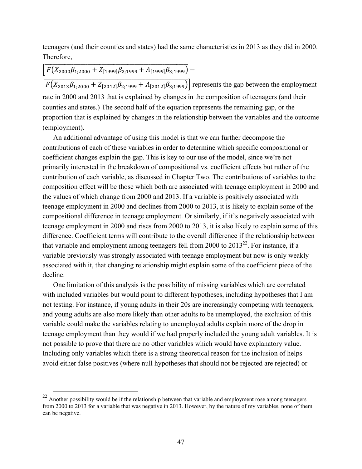teenagers (and their counties and states) had the same characteristics in 2013 as they did in 2000. Therefore,

# $\overline{F(X_{2000}\beta_{1;2000}+Z_{[1999]}\beta_{2;1999}+A_{[1999]}\beta_{3;1999})}-$

 $\frac{1}{F(X_{2013}\beta_{1;2000} + Z_{[2012]}\beta_{2;1999} + A_{[2012]}\beta_{3;1999})}$  represents the gap between the employment rate in 2000 and 2013 that is explained by changes in the composition of teenagers (and their counties and states.) The second half of the equation represents the remaining gap, or the proportion that is explained by changes in the relationship between the variables and the outcome (employment).

An additional advantage of using this model is that we can further decompose the contributions of each of these variables in order to determine which specific compositional or coefficient changes explain the gap. This is key to our use of the model, since we're not primarily interested in the breakdown of compositional vs. coefficient effects but rather of the contribution of each variable, as discussed in Chapter Two. The contributions of variables to the composition effect will be those which both are associated with teenage employment in 2000 and the values of which change from 2000 and 2013. If a variable is positively associated with teenage employment in 2000 and declines from 2000 to 2013, it is likely to explain some of the compositional difference in teenage employment. Or similarly, if it's negatively associated with teenage employment in 2000 and rises from 2000 to 2013, it is also likely to explain some of this difference. Coefficient terms will contribute to the overall difference if the relationship between that variable and employment among teenagers fell from 2000 to  $2013^{22}$ . For instance, if a variable previously was strongly associated with teenage employment but now is only weakly associated with it, that changing relationship might explain some of the coefficient piece of the decline.

One limitation of this analysis is the possibility of missing variables which are correlated with included variables but would point to different hypotheses, including hypotheses that I am not testing. For instance, if young adults in their 20s are increasingly competing with teenagers, and young adults are also more likely than other adults to be unemployed, the exclusion of this variable could make the variables relating to unemployed adults explain more of the drop in teenage employment than they would if we had properly included the young adult variables. It is not possible to prove that there are no other variables which would have explanatory value. Including only variables which there is a strong theoretical reason for the inclusion of helps avoid either false positives (where null hypotheses that should not be rejected are rejected) or

<sup>&</sup>lt;sup>22</sup> Another possibility would be if the relationship between that variable and employment rose among teenagers from 2000 to 2013 for a variable that was negative in 2013. However, by the nature of my variables, none of them can be negative.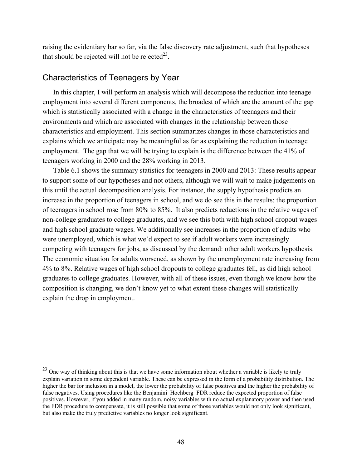raising the evidentiary bar so far, via the false discovery rate adjustment, such that hypotheses that should be rejected will not be rejected<sup>23</sup>.

## Characteristics of Teenagers by Year

In this chapter, I will perform an analysis which will decompose the reduction into teenage employment into several different components, the broadest of which are the amount of the gap which is statistically associated with a change in the characteristics of teenagers and their environments and which are associated with changes in the relationship between those characteristics and employment. This section summarizes changes in those characteristics and explains which we anticipate may be meaningful as far as explaining the reduction in teenage employment. The gap that we will be trying to explain is the difference between the 41% of teenagers working in 2000 and the 28% working in 2013.

Table 6.1 shows the summary statistics for teenagers in 2000 and 2013: These results appear to support some of our hypotheses and not others, although we will wait to make judgements on this until the actual decomposition analysis. For instance, the supply hypothesis predicts an increase in the proportion of teenagers in school, and we do see this in the results: the proportion of teenagers in school rose from 80% to 85%. It also predicts reductions in the relative wages of non-college graduates to college graduates, and we see this both with high school dropout wages and high school graduate wages. We additionally see increases in the proportion of adults who were unemployed, which is what we'd expect to see if adult workers were increasingly competing with teenagers for jobs, as discussed by the demand: other adult workers hypothesis. The economic situation for adults worsened, as shown by the unemployment rate increasing from 4% to 8%. Relative wages of high school dropouts to college graduates fell, as did high school graduates to college graduates. However, with all of these issues, even though we know how the composition is changing, we don't know yet to what extent these changes will statistically explain the drop in employment.

<sup>&</sup>lt;sup>23</sup> One way of thinking about this is that we have some information about whether a variable is likely to truly explain variation in some dependent variable. These can be expressed in the form of a probability distribution. The higher the bar for inclusion in a model, the lower the probability of false positives and the higher the probability of false negatives. Using procedures like the Benjamini–Hochberg FDR reduce the expected proportion of false positives. However, if you added in many random, noisy variables with no actual explanatory power and then used the FDR procedure to compensate, it is still possible that some of those variables would not only look significant, but also make the truly predictive variables no longer look significant.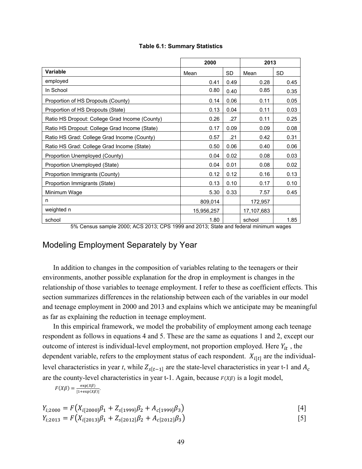|                                                        | 2000       |                 | 2013       |           |
|--------------------------------------------------------|------------|-----------------|------------|-----------|
| <b>Variable</b>                                        | Mean       | <b>SD</b>       | Mean       | <b>SD</b> |
| employed                                               | 0.41       | 0.49            | 0.28       | 0.45      |
| In School                                              | 0.80       | 0.40            | 0.85       | 0.35      |
| Proportion of HS Dropouts (County)                     | 0.14       | 0.06            | 0.11       | 0.05      |
| Proportion of HS Dropouts (State)                      | 0.13       | 0.04            | 0.11       | 0.03      |
| Ratio HS Dropout: College Grad Income (County)         | 0.26       | .27             | 0.11       | 0.25      |
| Ratio HS Dropout: College Grad Income (State)          | 0.17       | 0.09            | 0.09       | 0.08      |
| Ratio HS Grad: College Grad Income (County)            | 0.57       | .21             | 0.42       | 0.31      |
| Ratio HS Grad: College Grad Income (State)             | 0.50       | 0.06            | 0.40       | 0.06      |
| Proportion Unemployed (County)                         | 0.04       | 0.02            | 0.08       | 0.03      |
| Proportion Unemployed (State)                          | 0.04       | 0.01            | 0.08       | 0.02      |
| Proportion Immigrants (County)                         | 0.12       | 0.12            | 0.16       | 0.13      |
| Proportion Immigrants (State)                          | 0.13       | 0.10            | 0.17       | 0.10      |
| Minimum Wage                                           | 5.30       | 0.33            | 7.57       | 0.45      |
| n                                                      | 809,014    |                 | 172,957    |           |
| weighted n                                             | 15,956,257 |                 | 17,107,683 |           |
| school<br>$\overline{a}$<br>$\frac{1}{2}$<br>$-\cdots$ | 1.80       | $\cdot$ $\cdot$ | school     | 1.85      |

#### **Table 6.1: Summary Statistics**

5% Census sample 2000; ACS 2013; CPS 1999 and 2013; State and federal minimum wages

# Modeling Employment Separately by Year

In addition to changes in the composition of variables relating to the teenagers or their environments, another possible explanation for the drop in employment is changes in the relationship of those variables to teenage employment. I refer to these as coefficient effects. This section summarizes differences in the relationship between each of the variables in our model and teenage employment in 2000 and 2013 and explains which we anticipate may be meaningful as far as explaining the reduction in teenage employment.

In this empirical framework, we model the probability of employment among each teenage respondent as follows in equations 4 and 5. These are the same as equations 1 and 2, except our outcome of interest is individual-level employment, not proportion employed. Here  $Y_{it}$ , the dependent variable, refers to the employment status of each respondent.  $X_{i[t]}$  are the individuallevel characteristics in year *t*, while  $Z_{s[t-1]}$  are the state-level characteristics in year t-1 and  $A_c$ are the county-level characteristics in year t-1. Again, because  $F(X\beta)$  is a logit model,

$$
F(X\beta) = \frac{\exp(X\beta)}{[1+\exp(X\beta)]}
$$

$$
Y_{i;2000} = F(X_{i[2000]}\beta_1 + Z_{s[1999]}\beta_2 + A_{c[1999]}\beta_3)
$$
\n
$$
Y_{i;2013} = F(X_{i[2013]}\beta_1 + Z_{s[2012]}\beta_2 + A_{c[2012]}\beta_3)
$$
\n
$$
[5]
$$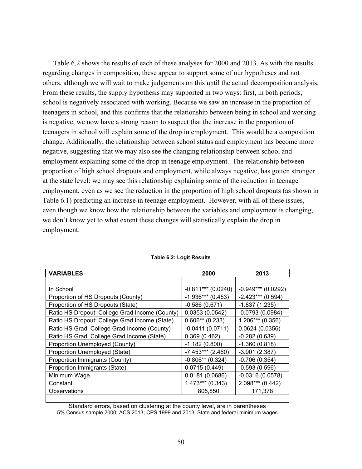Table 6.2 shows the results of each of these analyses for 2000 and 2013. As with the results regarding changes in composition, these appear to support some of our hypotheses and not others, although we will wait to make judgements on this until the actual decomposition analysis. From these results, the supply hypothesis may supported in two ways: first, in both periods, school is negatively associated with working. Because we saw an increase in the proportion of teenagers in school, and this confirms that the relationship between being in school and working is negative, we now have a strong reason to suspect that the increase in the proportion of teenagers in school will explain some of the drop in employment. This would be a composition change. Additionally, the relationship between school status and employment has become more negative, suggesting that we may also see the changing relationship between school and employment explaining some of the drop in teenage employment. The relationship between proportion of high school dropouts and employment, while always negative, has gotten stronger at the state level: we may see this relationship explaining some of the reduction in teenage employment, even as we see the reduction in the proportion of high school dropouts (as shown in Table 6.1) predicting an increase in teenage employment. However, with all of these issues, even though we know how the relationship between the variables and employment is changing, we don't know yet to what extent these changes will statistically explain the drop in employment.

| <b>VARIABLES</b>                               | 2000                 | 2013                 |  |
|------------------------------------------------|----------------------|----------------------|--|
|                                                |                      |                      |  |
| In School                                      | $-0.811***$ (0.0240) | $-0.949***$ (0.0292) |  |
| Proportion of HS Dropouts (County)             | $-1.936***$ (0.453)  | $-2.423***$ (0.594)  |  |
| Proportion of HS Dropouts (State)              | $-0.586(0.671)$      | $-1.837(1.235)$      |  |
| Ratio HS Dropout: College Grad Income (County) | 0.0353(0.0542)       | $-0.0793(0.0984)$    |  |
| Ratio HS Dropout: College Grad Income (State)  | $0.606**$ (0.233)    | $1.206***(0.356)$    |  |
| Ratio HS Grad: College Grad Income (County)    | $-0.0411(0.0711)$    | 0.0624(0.0356)       |  |
| Ratio HS Grad: College Grad Income (State)     | 0.369(0.462)         | $-0.282(0.639)$      |  |
| Proportion Unemployed (County)                 | $-1.182(0.800)$      | $-1.360(0.818)$      |  |
| Proportion Unemployed (State)                  | $-7.453***$ (2.460)  | $-3.901(2.387)$      |  |
| Proportion Immigrants (County)                 | $-0.806**$ (0.324)   | $-0.706(0.354)$      |  |
| Proportion Immigrants (State)                  | 0.0715(0.449)        | $-0.593(0.596)$      |  |
| Minimum Wage                                   | 0.0181(0.0686)       | $-0.0316(0.0578)$    |  |
| Constant                                       | $1.473***$ (0.343)   | $2.098***$ (0.442)   |  |
| Observations                                   | 805,850              | 171.378              |  |
|                                                |                      |                      |  |

#### **Table 6.2: Logit Results**

Standard errors, based on clustering at the county level, are in parentheses 5% Census sample 2000; ACS 2013; CPS 1999 and 2013; State and federal minimum wages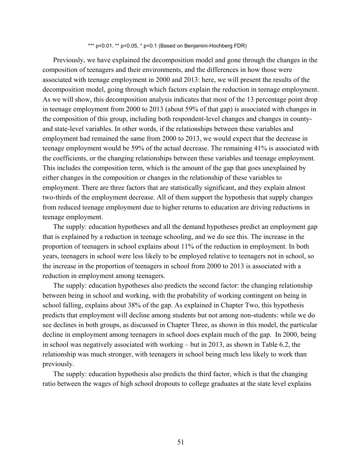\*\*\* p<0.01, \*\* p<0.05, \* p<0.1 (Based on Benjamini-Hochberg FDR)

Previously, we have explained the decomposition model and gone through the changes in the composition of teenagers and their environments, and the differences in how those were associated with teenage employment in 2000 and 2013: here, we will present the results of the decomposition model, going through which factors explain the reduction in teenage employment. As we will show, this decomposition analysis indicates that most of the 13 percentage point drop in teenage employment from 2000 to 2013 (about 59% of that gap) is associated with changes in the composition of this group, including both respondent-level changes and changes in countyand state-level variables. In other words, if the relationships between these variables and employment had remained the same from 2000 to 2013, we would expect that the decrease in teenage employment would be 59% of the actual decrease. The remaining 41% is associated with the coefficients, or the changing relationships between these variables and teenage employment. This includes the composition term, which is the amount of the gap that goes unexplained by either changes in the composition or changes in the relationship of these variables to employment. There are three factors that are statistically significant, and they explain almost two-thirds of the employment decrease. All of them support the hypothesis that supply changes from reduced teenage employment due to higher returns to education are driving reductions in teenage employment.

The supply: education hypotheses and all the demand hypotheses predict an employment gap that is explained by a reduction in teenage schooling, and we do see this. The increase in the proportion of teenagers in school explains about 11% of the reduction in employment. In both years, teenagers in school were less likely to be employed relative to teenagers not in school, so the increase in the proportion of teenagers in school from 2000 to 2013 is associated with a reduction in employment among teenagers.

The supply: education hypotheses also predicts the second factor: the changing relationship between being in school and working, with the probability of working contingent on being in school falling, explains about 38% of the gap. As explained in Chapter Two, this hypothesis predicts that employment will decline among students but not among non-students: while we do see declines in both groups, as discussed in Chapter Three, as shown in this model, the particular decline in employment among teenagers in school does explain much of the gap. In 2000, being in school was negatively associated with working – but in 2013, as shown in Table 6.2, the relationship was much stronger, with teenagers in school being much less likely to work than previously.

The supply: education hypothesis also predicts the third factor, which is that the changing ratio between the wages of high school dropouts to college graduates at the state level explains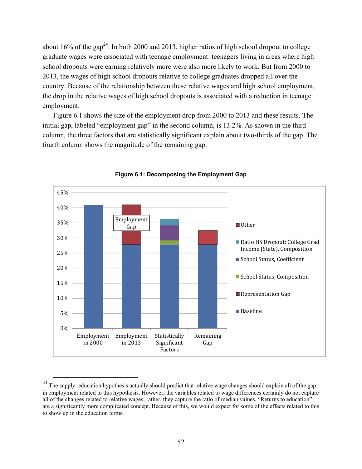about 16% of the gap<sup>24</sup>. In both 2000 and 2013, higher ratios of high school dropout to college graduate wages were associated with teenage employment: teenagers living in areas where high school dropouts were earning relatively more were also more likely to work. But from 2000 to 2013, the wages of high school dropouts relative to college graduates dropped all over the country. Because of the relationship between these relative wages and high school employment, the drop in the relative wages of high school dropouts is associated with a reduction in teenage employment.

Figure 6.1 shows the size of the employment drop from 2000 to 2013 and these results. The initial gap, labeled "employment gap" in the second column, is 13.2%. As shown in the third column, the three factors that are statistically significant explain about two-thirds of the gap. The fourth column shows the magnitude of the remaining gap.



**Figure 6.1: Decomposing the Employment Gap** 

<sup>&</sup>lt;sup>24</sup> The supply: education hypothesis actually should predict that relative wage changes should explain all of the gap in employment related to this hypothesis. However, the variables related to wage differences certainly do not capture all of the changes related to relative wages; rather, they capture the ratio of median values. "Returns to education" are a significantly more complicated concept. Because of this, we would expect for some of the effects related to this to show up in the education terms.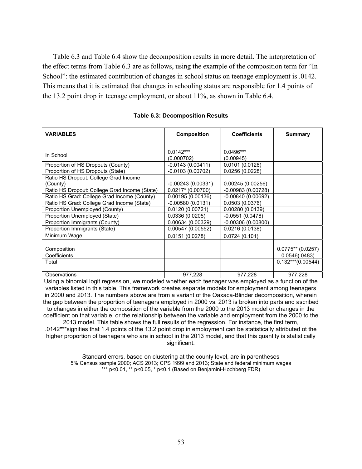Table 6.3 and Table 6.4 show the decomposition results in more detail. The interpretation of the effect terms from Table 6.3 are as follows, using the example of the composition term for "In School": the estimated contribution of changes in school status on teenage employment is .0142. This means that it is estimated that changes in schooling status are responsible for 1.4 points of the 13.2 point drop in teenage employment, or about 11%, as shown in Table 6.4.

| <b>VARIABLES</b>                              | <b>Composition</b>  | <b>Coefficients</b> | <b>Summary</b>      |
|-----------------------------------------------|---------------------|---------------------|---------------------|
|                                               |                     |                     |                     |
| In School                                     | $0.0142***$         | 0.0496***           |                     |
|                                               | (0.000702)          | (0.00945)           |                     |
| Proportion of HS Dropouts (County)            | $-0.0143(0.00411)$  | 0.0101(0.0126)      |                     |
| Proportion of HS Dropouts (State)             | $-0.0103(0.00702)$  | 0.0256(0.0228)      |                     |
| Ratio HS Dropout: College Grad Income         |                     |                     |                     |
| (County)                                      | $-0.00243(0.00331)$ | 0.00245(0.00256)    |                     |
| Ratio HS Dropout: College Grad Income (State) | $0.0217* (0.00700)$ | $-0.00983(0.00728)$ |                     |
| Ratio HS Grad: College Grad Income (County)   | 0.00195(0.00136)    | $-0.00840(0.00692)$ |                     |
| Ratio HS Grad: College Grad Income (State)    | $-0.00580(0.0131)$  | 0.0503(0.0376)      |                     |
| Proportion Unemployed (County)                | 0.0120(0.00721)     | 0.00280(0.0139)     |                     |
| Proportion Unemployed (State)                 | 0.0336(0.0205)      | $-0.0551(0.0478)$   |                     |
| Proportion Immigrants (County)                | 0.00634 (0.00329)   | $-0.00306(0.00800)$ |                     |
| Proportion Immigrants (State)                 | 0.00547 (0.00552)   | 0.0216(0.0138)      |                     |
| Minimum Wage                                  | 0.0151(0.0278)      | 0.0724(0.101)       |                     |
|                                               |                     |                     |                     |
| Composition                                   |                     |                     | $0.0775**$ (0.0257) |
| Coefficients                                  |                     |                     | 0.0546(.0483)       |
| Total                                         |                     |                     | $0.132***(0.00544)$ |
|                                               |                     |                     |                     |
| Observations                                  | 977,228             | 977,228             | 977,228             |

#### **Table 6.3: Decomposition Results**

Using a binomial logit regression, we modeled whether each teenager was employed as a function of the variables listed in this table. This framework creates separate models for employment among teenagers in 2000 and 2013. The numbers above are from a variant of the Oaxaca-Blinder decomposition, wherein the gap between the proportion of teenagers employed in 2000 vs. 2013 is broken into parts and ascribed to changes in either the composition of the variable from the 2000 to the 2013 model or changes in the coefficient on that variable, or the relationship between the variable and employment from the 2000 to the 2013 model. This table shows the full results of the regression. For instance, the first term, .0142\*\*\*signifies that 1.4 points of the 13.2 point drop in employment can be statistically attributed ot the higher proportion of teenagers who are in school in the 2013 model, and that this quantity is statistically

significant.

Standard errors, based on clustering at the county level, are in parentheses 5% Census sample 2000; ACS 2013; CPS 1999 and 2013; State and federal minimum wages \*\*\* p<0.01, \*\* p<0.05, \* p<0.1 (Based on Benjamini-Hochberg FDR)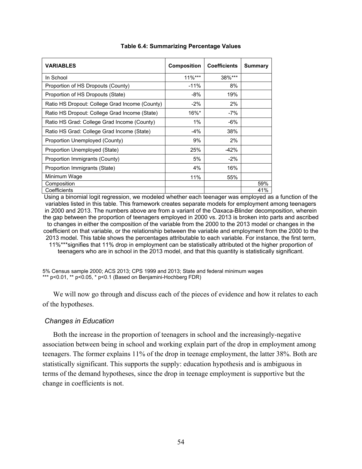| <b>VARIABLES</b>                               | <b>Composition</b> | <b>Coefficients</b> | Summary |
|------------------------------------------------|--------------------|---------------------|---------|
| In School                                      | $11\%***$          | 38%***              |         |
| Proportion of HS Dropouts (County)             | $-11%$             | 8%                  |         |
| Proportion of HS Dropouts (State)              | -8%                | 19%                 |         |
| Ratio HS Dropout: College Grad Income (County) | $-2\%$             | 2%                  |         |
| Ratio HS Dropout: College Grad Income (State)  | $16\%$ *           | -7%                 |         |
| Ratio HS Grad: College Grad Income (County)    | $1\%$              | $-6%$               |         |
| Ratio HS Grad: College Grad Income (State)     | $-4%$              | 38%                 |         |
| Proportion Unemployed (County)                 | 9%                 | 2%                  |         |
| Proportion Unemployed (State)                  | 25%                | $-42%$              |         |
| Proportion Immigrants (County)                 | 5%                 | $-2%$               |         |
| Proportion Immigrants (State)                  | 4%                 | 16%                 |         |
| Minimum Wage                                   | 11%                | 55%                 |         |
| Composition                                    |                    |                     | 59%     |
| Coefficients                                   |                    |                     | 41%     |

#### **Table 6.4: Summarizing Percentage Values**

Using a binomial logit regression, we modeled whether each teenager was employed as a function of the variables listed in this table. This framework creates separate models for employment among teenagers in 2000 and 2013. The numbers above are from a variant of the Oaxaca-Blinder decomposition, wherein the gap between the proportion of teenagers employed in 2000 vs. 2013 is broken into parts and ascribed to changes in either the composition of the variable from the 2000 to the 2013 model or changes in the coefficient on that variable, or the relationship between the variable and employment from the 2000 to the 2013 model. This table shows the percentages attributable to each variable. For instance, the first term, 11%\*\*\*signifies that 11% drop in employment can be statistically attributed ot the higher proportion of teenagers who are in school in the 2013 model, and that this quantity is statistically significant.

5% Census sample 2000; ACS 2013; CPS 1999 and 2013; State and federal minimum wages \*\*\* p<0.01, \*\* p<0.05, \* p<0.1 (Based on Benjamini-Hochberg FDR)

We will now go through and discuss each of the pieces of evidence and how it relates to each of the hypotheses.

## *Changes in Education*

Both the increase in the proportion of teenagers in school and the increasingly-negative association between being in school and working explain part of the drop in employment among teenagers. The former explains 11% of the drop in teenage employment, the latter 38%. Both are statistically significant. This supports the supply: education hypothesis and is ambiguous in terms of the demand hypotheses, since the drop in teenage employment is supportive but the change in coefficients is not.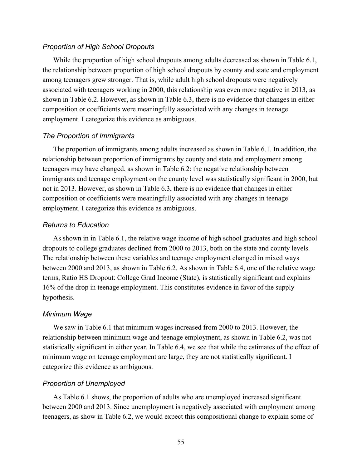#### *Proportion of High School Dropouts*

While the proportion of high school dropouts among adults decreased as shown in Table 6.1, the relationship between proportion of high school dropouts by county and state and employment among teenagers grew stronger. That is, while adult high school dropouts were negatively associated with teenagers working in 2000, this relationship was even more negative in 2013, as shown in Table 6.2. However, as shown in Table 6.3, there is no evidence that changes in either composition or coefficients were meaningfully associated with any changes in teenage employment. I categorize this evidence as ambiguous.

#### *The Proportion of Immigrants*

The proportion of immigrants among adults increased as shown in Table 6.1. In addition, the relationship between proportion of immigrants by county and state and employment among teenagers may have changed, as shown in Table 6.2: the negative relationship between immigrants and teenage employment on the county level was statistically significant in 2000, but not in 2013. However, as shown in Table 6.3, there is no evidence that changes in either composition or coefficients were meaningfully associated with any changes in teenage employment. I categorize this evidence as ambiguous.

### *Returns to Education*

As shown in in Table 6.1, the relative wage income of high school graduates and high school dropouts to college graduates declined from 2000 to 2013, both on the state and county levels. The relationship between these variables and teenage employment changed in mixed ways between 2000 and 2013, as shown in Table 6.2. As shown in Table 6.4, one of the relative wage terms, Ratio HS Dropout: College Grad Income (State), is statistically significant and explains 16% of the drop in teenage employment. This constitutes evidence in favor of the supply hypothesis.

#### *Minimum Wage*

We saw in Table 6.1 that minimum wages increased from 2000 to 2013. However, the relationship between minimum wage and teenage employment, as shown in Table 6.2, was not statistically significant in either year. In Table 6.4, we see that while the estimates of the effect of minimum wage on teenage employment are large, they are not statistically significant. I categorize this evidence as ambiguous.

#### *Proportion of Unemployed*

As Table 6.1 shows, the proportion of adults who are unemployed increased significant between 2000 and 2013. Since unemployment is negatively associated with employment among teenagers, as show in Table 6.2, we would expect this compositional change to explain some of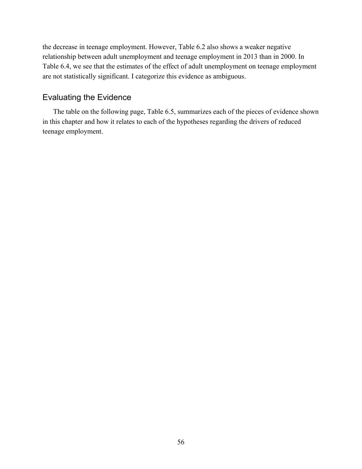the decrease in teenage employment. However, Table 6.2 also shows a weaker negative relationship between adult unemployment and teenage employment in 2013 than in 2000. In Table 6.4, we see that the estimates of the effect of adult unemployment on teenage employment are not statistically significant. I categorize this evidence as ambiguous.

## Evaluating the Evidence

The table on the following page, Table 6.5, summarizes each of the pieces of evidence shown in this chapter and how it relates to each of the hypotheses regarding the drivers of reduced teenage employment.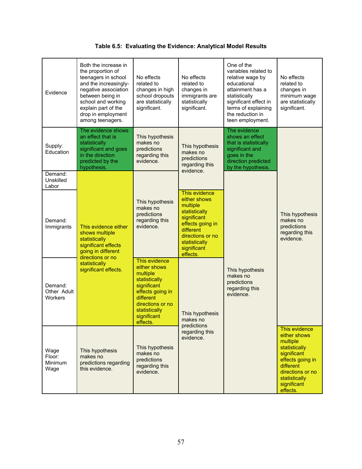| Evidence                                                                                                                                          | Both the increase in<br>the proportion of<br>teenagers in school<br>and the increasingly-<br>negative association<br>between being in<br>school and working<br>explain part of the<br>drop in employment<br>among teenagers. | No effects<br>related to<br>changes in high<br>school dropouts<br>are statistically<br>significant.                                                                        | No effects<br>related to<br>changes in<br>immigrants are<br>statistically<br>significant.                                                                                  | One of the<br>variables related to<br>relative wage by<br>educational<br>attainment has a<br>statistically<br>significant effect in<br>terms of explaining<br>the reduction in<br>teen employment. | No effects<br>related to<br>changes in<br>minimum wage<br>are statistically<br>significant.                                                                                |
|---------------------------------------------------------------------------------------------------------------------------------------------------|------------------------------------------------------------------------------------------------------------------------------------------------------------------------------------------------------------------------------|----------------------------------------------------------------------------------------------------------------------------------------------------------------------------|----------------------------------------------------------------------------------------------------------------------------------------------------------------------------|----------------------------------------------------------------------------------------------------------------------------------------------------------------------------------------------------|----------------------------------------------------------------------------------------------------------------------------------------------------------------------------|
| Supply:<br>Education                                                                                                                              | The evidence shows<br>an effect that is<br>statistically<br>significant and goes<br>in the direction<br>predicted by the<br>hypothesis.                                                                                      | This hypothesis<br>makes no<br>predictions<br>regarding this<br>evidence.                                                                                                  | This hypothesis<br>makes no<br>predictions<br>regarding this<br>evidence.                                                                                                  | The evidence<br>shows an effect<br>that is statistically<br>significant and<br>goes in the<br>direction predicted<br>by the hypothesis.                                                            |                                                                                                                                                                            |
| Demand:<br>Unskilled<br>Labor                                                                                                                     |                                                                                                                                                                                                                              |                                                                                                                                                                            |                                                                                                                                                                            |                                                                                                                                                                                                    |                                                                                                                                                                            |
| Demand:<br>This evidence either<br>Immigrants<br>shows multiple<br>statistically<br>significant effects<br>going in different<br>directions or no |                                                                                                                                                                                                                              | This hypothesis<br>makes no<br>predictions<br>regarding this<br>evidence.                                                                                                  | This evidence<br>either shows<br>multiple<br>statistically<br>significant<br>effects going in<br>different<br>directions or no<br>statistically<br>significant<br>effects. |                                                                                                                                                                                                    | This hypothesis<br>makes no<br>predictions<br>regarding this<br>evidence.                                                                                                  |
| Demand:<br>Other Adult<br>Workers                                                                                                                 | statistically<br>significant effects.                                                                                                                                                                                        | This evidence<br>either shows<br>multiple<br>statistically<br>significant<br>effects going in<br>different<br>directions or no<br>statistically<br>significant<br>effects. | This hypothesis<br>makes no                                                                                                                                                | This hypothesis<br>makes no<br>predictions<br>regarding this<br>evidence.                                                                                                                          |                                                                                                                                                                            |
| Wage<br>Floor:<br>Minimum<br>Wage                                                                                                                 | This hypothesis<br>makes no<br>predictions regarding<br>this evidence.                                                                                                                                                       | This hypothesis<br>makes no<br>predictions<br>regarding this<br>evidence.                                                                                                  | predictions<br>regarding this<br>evidence.                                                                                                                                 |                                                                                                                                                                                                    | This evidence<br>either shows<br>multiple<br>statistically<br>significant<br>effects going in<br>different<br>directions or no<br>statistically<br>significant<br>effects. |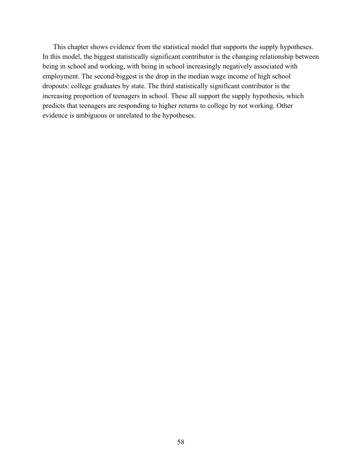This chapter shows evidence from the statistical model that supports the supply hypotheses. In this model, the biggest statistically significant contributor is the changing relationship between being in school and working, with being in school increasingly negatively associated with employment. The second-biggest is the drop in the median wage income of high school dropouts: college graduates by state. The third statistically significant contributor is the increasing proportion of teenagers in school. These all support the supply hypothesis, which predicts that teenagers are responding to higher returns to college by not working. Other evidence is ambiguous or unrelated to the hypotheses.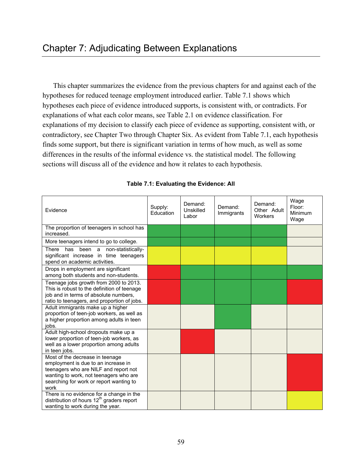This chapter summarizes the evidence from the previous chapters for and against each of the hypotheses for reduced teenage employment introduced earlier. Table 7.1 shows which hypotheses each piece of evidence introduced supports, is consistent with, or contradicts. For explanations of what each color means, see Table 2.1 on evidence classification. For explanations of my decision to classify each piece of evidence as supporting, consistent with, or contradictory, see Chapter Two through Chapter Six. As evident from Table 7.1, each hypothesis finds some support, but there is significant variation in terms of how much, as well as some differences in the results of the informal evidence vs. the statistical model. The following sections will discuss all of the evidence and how it relates to each hypothesis.

| Evidence                                                                                                                                                                                                     | Supply:<br>Education | Demand:<br>Unskilled<br>Labor | Demand:<br>Immigrants | Demand:<br>Other Adult<br>Workers | Wage<br>Floor:<br>Minimum<br>Wage |
|--------------------------------------------------------------------------------------------------------------------------------------------------------------------------------------------------------------|----------------------|-------------------------------|-----------------------|-----------------------------------|-----------------------------------|
| The proportion of teenagers in school has<br>increased.                                                                                                                                                      |                      |                               |                       |                                   |                                   |
| More teenagers intend to go to college.                                                                                                                                                                      |                      |                               |                       |                                   |                                   |
| There<br>has been a non-statistically-<br>significant increase in time teenagers<br>spend on academic activities.                                                                                            |                      |                               |                       |                                   |                                   |
| Drops in employment are significant<br>among both students and non-students.                                                                                                                                 |                      |                               |                       |                                   |                                   |
| Teenage jobs growth from 2000 to 2013.<br>This is robust to the definition of teenage<br>job and in terms of absolute numbers,<br>ratio to teenagers, and proportion of jobs.                                |                      |                               |                       |                                   |                                   |
| Adult immigrants make up a higher<br>proportion of teen-job workers, as well as<br>a higher proportion among adults in teen<br>jobs.                                                                         |                      |                               |                       |                                   |                                   |
| Adult high-school dropouts make up a<br>lower proportion of teen-job workers, as<br>well as a lower proportion among adults<br>in teen jobs.                                                                 |                      |                               |                       |                                   |                                   |
| Most of the decrease in teenage<br>employment is due to an increase in<br>teenagers who are NILF and report not<br>wanting to work, not teenagers who are<br>searching for work or report wanting to<br>work |                      |                               |                       |                                   |                                   |
| There is no evidence for a change in the<br>distribution of hours 12 <sup>th</sup> graders report<br>wanting to work during the year.                                                                        |                      |                               |                       |                                   |                                   |

**Table 7.1: Evaluating the Evidence: All**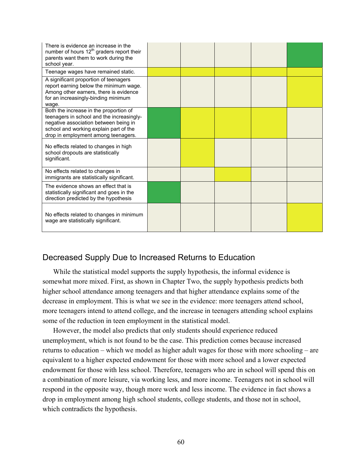| There is evidence an increase in the<br>number of hours 12 <sup>th</sup> graders report their<br>parents want them to work during the<br>school year.                                                         |  |  |  |
|---------------------------------------------------------------------------------------------------------------------------------------------------------------------------------------------------------------|--|--|--|
| Teenage wages have remained static.                                                                                                                                                                           |  |  |  |
| A significant proportion of teenagers<br>report earning below the minimum wage.<br>Among other earners, there is evidence<br>for an increasingly-binding minimum<br>wage.                                     |  |  |  |
| Both the increase in the proportion of<br>teenagers in school and the increasingly-<br>negative association between being in<br>school and working explain part of the<br>drop in employment among teenagers. |  |  |  |
| No effects related to changes in high<br>school dropouts are statistically<br>significant.                                                                                                                    |  |  |  |
| No effects related to changes in<br>immigrants are statistically significant.                                                                                                                                 |  |  |  |
| The evidence shows an effect that is<br>statistically significant and goes in the<br>direction predicted by the hypothesis                                                                                    |  |  |  |
| No effects related to changes in minimum<br>wage are statistically significant.                                                                                                                               |  |  |  |

# Decreased Supply Due to Increased Returns to Education

While the statistical model supports the supply hypothesis, the informal evidence is somewhat more mixed. First, as shown in Chapter Two, the supply hypothesis predicts both higher school attendance among teenagers and that higher attendance explains some of the decrease in employment. This is what we see in the evidence: more teenagers attend school, more teenagers intend to attend college, and the increase in teenagers attending school explains some of the reduction in teen employment in the statistical model.

However, the model also predicts that only students should experience reduced unemployment, which is not found to be the case. This prediction comes because increased returns to education – which we model as higher adult wages for those with more schooling – are equivalent to a higher expected endowment for those with more school and a lower expected endowment for those with less school. Therefore, teenagers who are in school will spend this on a combination of more leisure, via working less, and more income. Teenagers not in school will respond in the opposite way, though more work and less income. The evidence in fact shows a drop in employment among high school students, college students, and those not in school, which contradicts the hypothesis.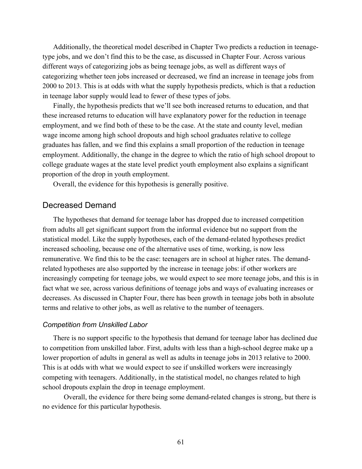Additionally, the theoretical model described in Chapter Two predicts a reduction in teenagetype jobs, and we don't find this to be the case, as discussed in Chapter Four. Across various different ways of categorizing jobs as being teenage jobs, as well as different ways of categorizing whether teen jobs increased or decreased, we find an increase in teenage jobs from 2000 to 2013. This is at odds with what the supply hypothesis predicts, which is that a reduction in teenage labor supply would lead to fewer of these types of jobs.

Finally, the hypothesis predicts that we'll see both increased returns to education, and that these increased returns to education will have explanatory power for the reduction in teenage employment, and we find both of these to be the case. At the state and county level, median wage income among high school dropouts and high school graduates relative to college graduates has fallen, and we find this explains a small proportion of the reduction in teenage employment. Additionally, the change in the degree to which the ratio of high school dropout to college graduate wages at the state level predict youth employment also explains a significant proportion of the drop in youth employment.

Overall, the evidence for this hypothesis is generally positive.

## Decreased Demand

The hypotheses that demand for teenage labor has dropped due to increased competition from adults all get significant support from the informal evidence but no support from the statistical model. Like the supply hypotheses, each of the demand-related hypotheses predict increased schooling, because one of the alternative uses of time, working, is now less remunerative. We find this to be the case: teenagers are in school at higher rates. The demandrelated hypotheses are also supported by the increase in teenage jobs: if other workers are increasingly competing for teenage jobs, we would expect to see more teenage jobs, and this is in fact what we see, across various definitions of teenage jobs and ways of evaluating increases or decreases. As discussed in Chapter Four, there has been growth in teenage jobs both in absolute terms and relative to other jobs, as well as relative to the number of teenagers.

#### *Competition from Unskilled Labor*

There is no support specific to the hypothesis that demand for teenage labor has declined due to competition from unskilled labor. First, adults with less than a high-school degree make up a lower proportion of adults in general as well as adults in teenage jobs in 2013 relative to 2000. This is at odds with what we would expect to see if unskilled workers were increasingly competing with teenagers. Additionally, in the statistical model, no changes related to high school dropouts explain the drop in teenage employment.

Overall, the evidence for there being some demand-related changes is strong, but there is no evidence for this particular hypothesis.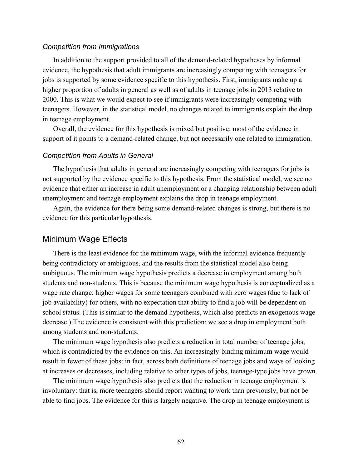#### *Competition from Immigrations*

In addition to the support provided to all of the demand-related hypotheses by informal evidence, the hypothesis that adult immigrants are increasingly competing with teenagers for jobs is supported by some evidence specific to this hypothesis. First, immigrants make up a higher proportion of adults in general as well as of adults in teenage jobs in 2013 relative to 2000. This is what we would expect to see if immigrants were increasingly competing with teenagers. However, in the statistical model, no changes related to immigrants explain the drop in teenage employment.

Overall, the evidence for this hypothesis is mixed but positive: most of the evidence in support of it points to a demand-related change, but not necessarily one related to immigration.

#### *Competition from Adults in General*

The hypothesis that adults in general are increasingly competing with teenagers for jobs is not supported by the evidence specific to this hypothesis. From the statistical model, we see no evidence that either an increase in adult unemployment or a changing relationship between adult unemployment and teenage employment explains the drop in teenage employment.

Again, the evidence for there being some demand-related changes is strong, but there is no evidence for this particular hypothesis.

## Minimum Wage Effects

There is the least evidence for the minimum wage, with the informal evidence frequently being contradictory or ambiguous, and the results from the statistical model also being ambiguous. The minimum wage hypothesis predicts a decrease in employment among both students and non-students. This is because the minimum wage hypothesis is conceptualized as a wage rate change: higher wages for some teenagers combined with zero wages (due to lack of job availability) for others, with no expectation that ability to find a job will be dependent on school status. (This is similar to the demand hypothesis, which also predicts an exogenous wage decrease.) The evidence is consistent with this prediction: we see a drop in employment both among students and non-students.

The minimum wage hypothesis also predicts a reduction in total number of teenage jobs, which is contradicted by the evidence on this. An increasingly-binding minimum wage would result in fewer of these jobs: in fact, across both definitions of teenage jobs and ways of looking at increases or decreases, including relative to other types of jobs, teenage-type jobs have grown.

The minimum wage hypothesis also predicts that the reduction in teenage employment is involuntary: that is, more teenagers should report wanting to work than previously, but not be able to find jobs. The evidence for this is largely negative. The drop in teenage employment is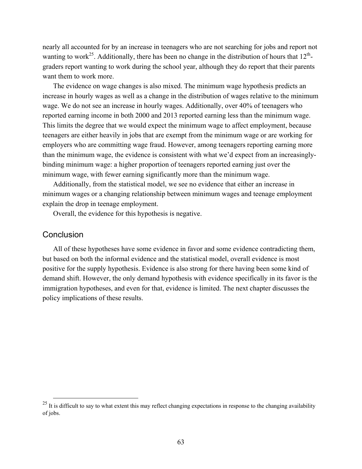nearly all accounted for by an increase in teenagers who are not searching for jobs and report not wanting to work<sup>25</sup>. Additionally, there has been no change in the distribution of hours that  $12^{th}$ graders report wanting to work during the school year, although they do report that their parents want them to work more.

The evidence on wage changes is also mixed. The minimum wage hypothesis predicts an increase in hourly wages as well as a change in the distribution of wages relative to the minimum wage. We do not see an increase in hourly wages. Additionally, over 40% of teenagers who reported earning income in both 2000 and 2013 reported earning less than the minimum wage. This limits the degree that we would expect the minimum wage to affect employment, because teenagers are either heavily in jobs that are exempt from the minimum wage or are working for employers who are committing wage fraud. However, among teenagers reporting earning more than the minimum wage, the evidence is consistent with what we'd expect from an increasinglybinding minimum wage: a higher proportion of teenagers reported earning just over the minimum wage, with fewer earning significantly more than the minimum wage.

Additionally, from the statistical model, we see no evidence that either an increase in minimum wages or a changing relationship between minimum wages and teenage employment explain the drop in teenage employment.

Overall, the evidence for this hypothesis is negative.

## **Conclusion**

All of these hypotheses have some evidence in favor and some evidence contradicting them, but based on both the informal evidence and the statistical model, overall evidence is most positive for the supply hypothesis. Evidence is also strong for there having been some kind of demand shift. However, the only demand hypothesis with evidence specifically in its favor is the immigration hypotheses, and even for that, evidence is limited. The next chapter discusses the policy implications of these results.

 $25$  It is difficult to say to what extent this may reflect changing expectations in response to the changing availability of jobs.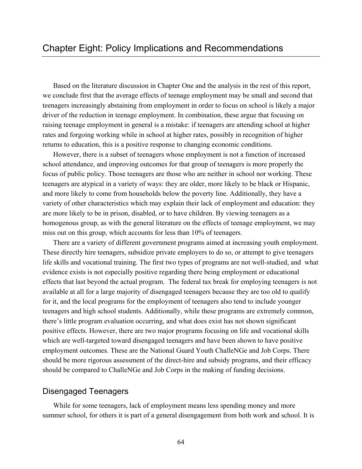Based on the literature discussion in Chapter One and the analysis in the rest of this report, we conclude first that the average effects of teenage employment may be small and second that teenagers increasingly abstaining from employment in order to focus on school is likely a major driver of the reduction in teenage employment. In combination, these argue that focusing on raising teenage employment in general is a mistake: if teenagers are attending school at higher rates and forgoing working while in school at higher rates, possibly in recognition of higher returns to education, this is a positive response to changing economic conditions.

However, there is a subset of teenagers whose employment is not a function of increased school attendance, and improving outcomes for that group of teenagers is more properly the focus of public policy. Those teenagers are those who are neither in school nor working. These teenagers are atypical in a variety of ways: they are older, more likely to be black or Hispanic, and more likely to come from households below the poverty line. Additionally, they have a variety of other characteristics which may explain their lack of employment and education: they are more likely to be in prison, disabled, or to have children. By viewing teenagers as a homogenous group, as with the general literature on the effects of teenage employment, we may miss out on this group, which accounts for less than 10% of teenagers.

There are a variety of different government programs aimed at increasing youth employment. These directly hire teenagers, subsidize private employers to do so, or attempt to give teenagers life skills and vocational training. The first two types of programs are not well-studied, and what evidence exists is not especially positive regarding there being employment or educational effects that last beyond the actual program. The federal tax break for employing teenagers is not available at all for a large majority of disengaged teenagers because they are too old to qualify for it, and the local programs for the employment of teenagers also tend to include younger teenagers and high school students. Additionally, while these programs are extremely common, there's little program evaluation occurring, and what does exist has not shown significant positive effects. However, there are two major programs focusing on life and vocational skills which are well-targeted toward disengaged teenagers and have been shown to have positive employment outcomes. These are the National Guard Youth ChalleNGe and Job Corps. There should be more rigorous assessment of the direct-hire and subsidy programs, and their efficacy should be compared to ChalleNGe and Job Corps in the making of funding decisions.

## Disengaged Teenagers

While for some teenagers, lack of employment means less spending money and more summer school, for others it is part of a general disengagement from both work and school. It is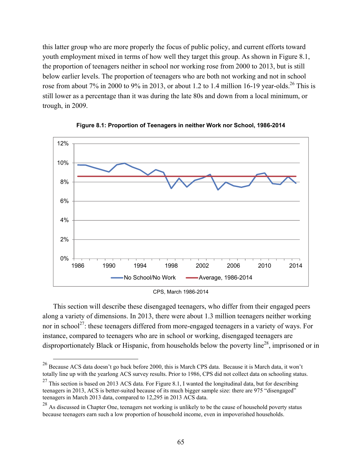this latter group who are more properly the focus of public policy, and current efforts toward youth employment mixed in terms of how well they target this group. As shown in Figure 8.1, the proportion of teenagers neither in school nor working rose from 2000 to 2013, but is still below earlier levels. The proportion of teenagers who are both not working and not in school rose from about 7% in 2000 to 9% in 2013, or about 1.2 to 1.4 million 16-19 year-olds.<sup>26</sup> This is still lower as a percentage than it was during the late 80s and down from a local minimum, or trough, in 2009.





This section will describe these disengaged teenagers, who differ from their engaged peers along a variety of dimensions. In 2013, there were about 1.3 million teenagers neither working nor in school<sup>27</sup>: these teenagers differed from more-engaged teenagers in a variety of ways. For instance, compared to teenagers who are in school or working, disengaged teenagers are disproportionately Black or Hispanic, from households below the poverty line<sup>28</sup>, imprisoned or in

CPS, March 1986-2014

 <sup>26</sup> Because ACS data doesn't go back before 2000, this is March CPS data. Because it is March data, it won't totally line up with the yearlong ACS survey results. Prior to 1986, CPS did not collect data on schooling status.

<sup>&</sup>lt;sup>27</sup> This section is based on 2013 ACS data. For Figure 8.1, I wanted the longitudinal data, but for describing teenagers in 2013, ACS is better-suited because of its much bigger sample size: there are 975 "disengaged" teenagers in March 2013 data, compared to 12,295 in 2013 ACS data.

<sup>&</sup>lt;sup>28</sup> As discussed in Chapter One, teenagers not working is unlikely to be the cause of household poverty status because teenagers earn such a low proportion of household income, even in impoverished households.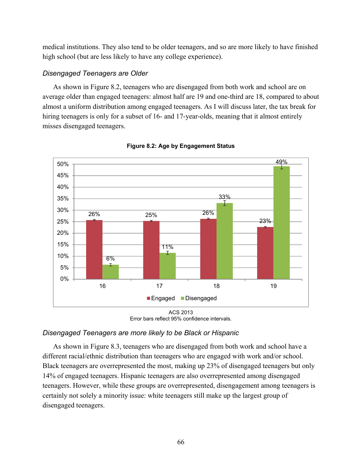medical institutions. They also tend to be older teenagers, and so are more likely to have finished high school (but are less likely to have any college experience).

## *Disengaged Teenagers are Older*

As shown in Figure 8.2, teenagers who are disengaged from both work and school are on average older than engaged teenagers: almost half are 19 and one-third are 18, compared to about almost a uniform distribution among engaged teenagers. As I will discuss later, the tax break for hiring teenagers is only for a subset of 16- and 17-year-olds, meaning that it almost entirely misses disengaged teenagers.



**Figure 8.2: Age by Engagement Status** 

## *Disengaged Teenagers are more likely to be Black or Hispanic*

As shown in Figure 8.3, teenagers who are disengaged from both work and school have a different racial/ethnic distribution than teenagers who are engaged with work and/or school. Black teenagers are overrepresented the most, making up 23% of disengaged teenagers but only 14% of engaged teenagers. Hispanic teenagers are also overrepresented among disengaged teenagers. However, while these groups are overrepresented, disengagement among teenagers is certainly not solely a minority issue: white teenagers still make up the largest group of disengaged teenagers.

ACS 2013 Error bars reflect 95% confidence intervals.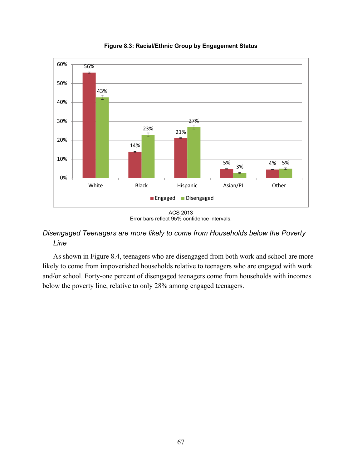

**Figure 8.3: Racial/Ethnic Group by Engagement Status** 

# *Disengaged Teenagers are more likely to come from Households below the Poverty Line*

As shown in Figure 8.4, teenagers who are disengaged from both work and school are more likely to come from impoverished households relative to teenagers who are engaged with work and/or school. Forty-one percent of disengaged teenagers come from households with incomes below the poverty line, relative to only 28% among engaged teenagers.

ACS 2013 Error bars reflect 95% confidence intervals.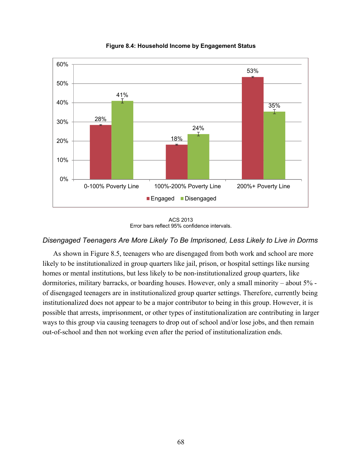

**Figure 8.4: Household Income by Engagement Status** 

ACS 2013 Error bars reflect 95% confidence intervals.

## *Disengaged Teenagers Are More Likely To Be Imprisoned, Less Likely to Live in Dorms*

As shown in Figure 8.5, teenagers who are disengaged from both work and school are more likely to be institutionalized in group quarters like jail, prison, or hospital settings like nursing homes or mental institutions, but less likely to be non-institutionalized group quarters, like dormitories, military barracks, or boarding houses. However, only a small minority – about 5% of disengaged teenagers are in institutionalized group quarter settings. Therefore, currently being institutionalized does not appear to be a major contributor to being in this group. However, it is possible that arrests, imprisonment, or other types of institutionalization are contributing in larger ways to this group via causing teenagers to drop out of school and/or lose jobs, and then remain out-of-school and then not working even after the period of institutionalization ends.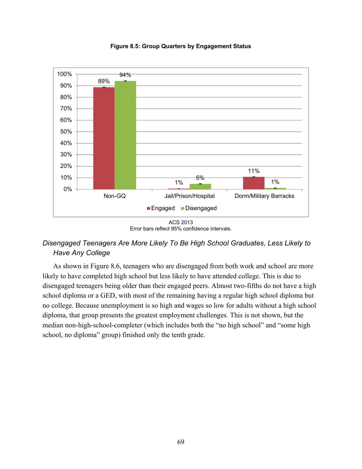

**Figure 8.5: Group Quarters by Engagement Status** 

# *Disengaged Teenagers Are More Likely To Be High School Graduates, Less Likely to Have Any College*

As shown in Figure 8.6, teenagers who are disengaged from both work and school are more likely to have completed high school but less likely to have attended college. This is due to disengaged teenagers being older than their engaged peers. Almost two-fifths do not have a high school diploma or a GED, with most of the remaining having a regular high school diploma but no college. Because unemployment is so high and wages so low for adults without a high school diploma, that group presents the greatest employment challenges. This is not shown, but the median non-high-school-completer (which includes both the "no high school" and "some high school, no diploma" group) finished only the tenth grade.

ACS 2013 Error bars reflect 95% confidence intervals.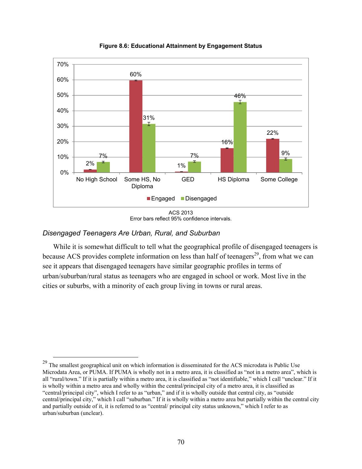

**Figure 8.6: Educational Attainment by Engagement Status** 



## *Disengaged Teenagers Are Urban, Rural, and Suburban*

While it is somewhat difficult to tell what the geographical profile of disengaged teenagers is because ACS provides complete information on less than half of teenagers<sup>29</sup>, from what we can see it appears that disengaged teenagers have similar geographic profiles in terms of urban/suburban/rural status as teenagers who are engaged in school or work. Most live in the cities or suburbs, with a minority of each group living in towns or rural areas.

<sup>&</sup>lt;sup>29</sup> The smallest geographical unit on which information is disseminated for the ACS microdata is Public Use Microdata Area, or PUMA. If PUMA is wholly not in a metro area, it is classified as "not in a metro area", which is all "rural/town." If it is partially within a metro area, it is classified as "not identifiable," which I call "unclear." If it is wholly within a metro area and wholly within the central/principal city of a metro area, it is classified as "central/principal city", which I refer to as "urban," and if it is wholly outside that central city, as "outside central/principal city," which I call "suburban." If it is wholly within a metro area but partially within the central city and partially outside of it, it is referred to as "central/ principal city status unknown," which I refer to as urban/suburban (unclear).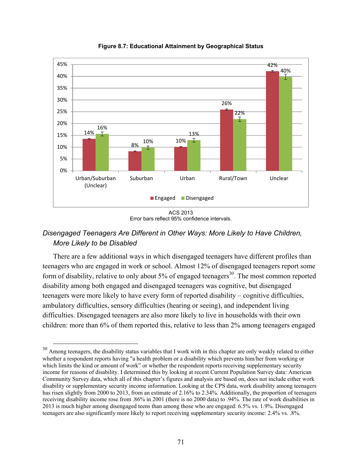

**Figure 8.7: Educational Attainment by Geographical Status** 

# *Disengaged Teenagers Are Different in Other Ways: More Likely to Have Children, More Likely to be Disabled*

There are a few additional ways in which disengaged teenagers have different profiles than teenagers who are engaged in work or school. Almost 12% of disengaged teenagers report some form of disability, relative to only about 5% of engaged teenagers<sup>30</sup>. The most common reported disability among both engaged and disengaged teenagers was cognitive, but disengaged teenagers were more likely to have every form of reported disability – cognitive difficulties, ambulatory difficulties, sensory difficulties (hearing or seeing), and independent living difficulties. Disengaged teenagers are also more likely to live in households with their own children: more than 6% of them reported this, relative to less than 2% among teenagers engaged

ACS 2013 Error bars reflect 95% confidence intervals.

 $30$  Among teenagers, the disability status variables that I work with in this chapter are only weakly related to either whether a respondent reports having "a health problem or a disability which prevents him/her from working or which limits the kind or amount of work" or whether the respondent reports receiving supplementary security income for reasons of disability. I determined this by looking at recent Current Population Survey data: American Community Survey data, which all of this chapter's figures and analysis are based on, does not include either work disability or supplementary security income information. Looking at the CPS data, work disability among teenagers has risen slightly from 2000 to 2013, from an estimate of 2.16% to 2.34%. Additionally, the proportion of teenagers receiving disability income rose from .86% in 2001 (there is no 2000 data) to .94%. The rate of work disabilities in 2013 is much higher among disengaged teens than among those who are engaged: 6.5% vs. 1.9%. Disengaged teenagers are also significantly more likely to report receiving supplementary security income: 2.4% vs. .8%.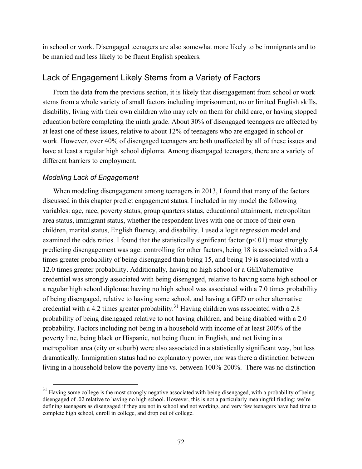in school or work. Disengaged teenagers are also somewhat more likely to be immigrants and to be married and less likely to be fluent English speakers.

## Lack of Engagement Likely Stems from a Variety of Factors

From the data from the previous section, it is likely that disengagement from school or work stems from a whole variety of small factors including imprisonment, no or limited English skills, disability, living with their own children who may rely on them for child care, or having stopped education before completing the ninth grade. About 30% of disengaged teenagers are affected by at least one of these issues, relative to about 12% of teenagers who are engaged in school or work. However, over 40% of disengaged teenagers are both unaffected by all of these issues and have at least a regular high school diploma. Among disengaged teenagers, there are a variety of different barriers to employment.

#### *Modeling Lack of Engagement*

When modeling disengagement among teenagers in 2013, I found that many of the factors discussed in this chapter predict engagement status. I included in my model the following variables: age, race, poverty status, group quarters status, educational attainment, metropolitan area status, immigrant status, whether the respondent lives with one or more of their own children, marital status, English fluency, and disability. I used a logit regression model and examined the odds ratios. I found that the statistically significant factor  $(p<01)$  most strongly predicting disengagement was age: controlling for other factors, being 18 is associated with a 5.4 times greater probability of being disengaged than being 15, and being 19 is associated with a 12.0 times greater probability. Additionally, having no high school or a GED/alternative credential was strongly associated with being disengaged, relative to having some high school or a regular high school diploma: having no high school was associated with a 7.0 times probability of being disengaged, relative to having some school, and having a GED or other alternative credential with a 4.2 times greater probability.<sup>31</sup> Having children was associated with a 2.8 probability of being disengaged relative to not having children, and being disabled with a 2.0 probability. Factors including not being in a household with income of at least 200% of the poverty line, being black or Hispanic, not being fluent in English, and not living in a metropolitan area (city or suburb) were also associated in a statistically significant way, but less dramatically. Immigration status had no explanatory power, nor was there a distinction between living in a household below the poverty line vs. between 100%-200%. There was no distinction

 $31$  Having some college is the most strongly negative associated with being disengaged, with a probability of being disengaged of .02 relative to having no high school. However, this is not a particularly meaningful finding: we're defining teenagers as disengaged if they are not in school and not working, and very few teenagers have had time to complete high school, enroll in college, and drop out of college.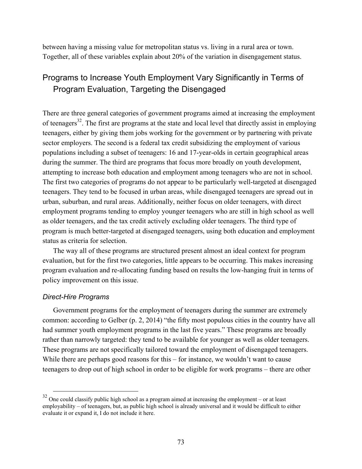between having a missing value for metropolitan status vs. living in a rural area or town. Together, all of these variables explain about 20% of the variation in disengagement status.

# Programs to Increase Youth Employment Vary Significantly in Terms of Program Evaluation, Targeting the Disengaged

There are three general categories of government programs aimed at increasing the employment of teenagers<sup>32</sup>. The first are programs at the state and local level that directly assist in employing teenagers, either by giving them jobs working for the government or by partnering with private sector employers. The second is a federal tax credit subsidizing the employment of various populations including a subset of teenagers: 16 and 17-year-olds in certain geographical areas during the summer. The third are programs that focus more broadly on youth development, attempting to increase both education and employment among teenagers who are not in school. The first two categories of programs do not appear to be particularly well-targeted at disengaged teenagers. They tend to be focused in urban areas, while disengaged teenagers are spread out in urban, suburban, and rural areas. Additionally, neither focus on older teenagers, with direct employment programs tending to employ younger teenagers who are still in high school as well as older teenagers, and the tax credit actively excluding older teenagers. The third type of program is much better-targeted at disengaged teenagers, using both education and employment status as criteria for selection.

The way all of these programs are structured present almost an ideal context for program evaluation, but for the first two categories, little appears to be occurring. This makes increasing program evaluation and re-allocating funding based on results the low-hanging fruit in terms of policy improvement on this issue.

#### *Direct-Hire Programs*

Government programs for the employment of teenagers during the summer are extremely common: according to Gelber (p. 2, 2014) "the fifty most populous cities in the country have all had summer youth employment programs in the last five years." These programs are broadly rather than narrowly targeted: they tend to be available for younger as well as older teenagers. These programs are not specifically tailored toward the employment of disengaged teenagers. While there are perhaps good reasons for this – for instance, we wouldn't want to cause teenagers to drop out of high school in order to be eligible for work programs – there are other

 $32$  One could classify public high school as a program aimed at increasing the employment – or at least employability – of teenagers, but, as public high school is already universal and it would be difficult to either evaluate it or expand it, I do not include it here.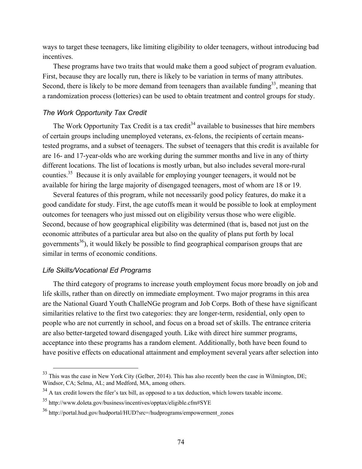ways to target these teenagers, like limiting eligibility to older teenagers, without introducing bad incentives.

These programs have two traits that would make them a good subject of program evaluation. First, because they are locally run, there is likely to be variation in terms of many attributes. Second, there is likely to be more demand from teenagers than available funding $33$ , meaning that a randomization process (lotteries) can be used to obtain treatment and control groups for study.

## *The Work Opportunity Tax Credit*

The Work Opportunity Tax Credit is a tax credit<sup>34</sup> available to businesses that hire members of certain groups including unemployed veterans, ex-felons, the recipients of certain meanstested programs, and a subset of teenagers. The subset of teenagers that this credit is available for are 16- and 17-year-olds who are working during the summer months and live in any of thirty different locations. The list of locations is mostly urban, but also includes several more-rural counties.<sup>35</sup> Because it is only available for employing younger teenagers, it would not be available for hiring the large majority of disengaged teenagers, most of whom are 18 or 19.

Several features of this program, while not necessarily good policy features, do make it a good candidate for study. First, the age cutoffs mean it would be possible to look at employment outcomes for teenagers who just missed out on eligibility versus those who were eligible. Second, because of how geographical eligibility was determined (that is, based not just on the economic attributes of a particular area but also on the quality of plans put forth by local governments<sup>36</sup>), it would likely be possible to find geographical comparison groups that are similar in terms of economic conditions.

#### *Life Skills/Vocational Ed Programs*

The third category of programs to increase youth employment focus more broadly on job and life skills, rather than on directly on immediate employment. Two major programs in this area are the National Guard Youth ChalleNGe program and Job Corps. Both of these have significant similarities relative to the first two categories: they are longer-term, residential, only open to people who are not currently in school, and focus on a broad set of skills. The entrance criteria are also better-targeted toward disengaged youth. Like with direct hire summer programs, acceptance into these programs has a random element. Additionally, both have been found to have positive effects on educational attainment and employment several years after selection into

<sup>&</sup>lt;sup>33</sup> This was the case in New York City (Gelber, 2014). This has also recently been the case in Wilmington, DE; Windsor, CA: Selma, AL; and Medford, MA, among others.

<sup>&</sup>lt;sup>34</sup> A tax credit lowers the filer's tax bill, as opposed to a tax deduction, which lowers taxable income.

<sup>35</sup> <http://www.doleta.gov/business/incentives/opptax/eligible.cfm#SYE>

<sup>36</sup> [http://portal.hud.gov/hudportal/HUD?src=/hudprograms/empowerment\\_zones](http://portal.hud.gov/hudportal/HUD?src=/hudprograms/empowerment_zones)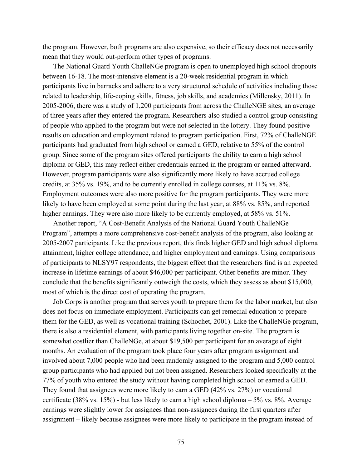the program. However, both programs are also expensive, so their efficacy does not necessarily mean that they would out-perform other types of programs.

The National Guard Youth ChalleNGe program is open to unemployed high school dropouts between 16-18. The most-intensive element is a 20-week residential program in which participants live in barracks and adhere to a very structured schedule of activities including those related to leadership, life-coping skills, fitness, job skills, and academics (Millensky, 2011). In 2005-2006, there was a study of 1,200 participants from across the ChalleNGE sites, an average of three years after they entered the program. Researchers also studied a control group consisting of people who applied to the program but were not selected in the lottery. They found positive results on education and employment related to program participation. First, 72% of ChalleNGE participants had graduated from high school or earned a GED, relative to 55% of the control group. Since some of the program sites offered participants the ability to earn a high school diploma or GED, this may reflect either credentials earned in the program or earned afterward. However, program participants were also significantly more likely to have accrued college credits, at 35% vs. 19%, and to be currently enrolled in college courses, at 11% vs. 8%. Employment outcomes were also more positive for the program participants. They were more likely to have been employed at some point during the last year, at 88% vs. 85%, and reported higher earnings. They were also more likely to be currently employed, at 58% vs. 51%.

Another report, "A Cost-Benefit Analysis of the National Guard Youth ChalleNGe Program", attempts a more comprehensive cost-benefit analysis of the program, also looking at 2005-2007 participants. Like the previous report, this finds higher GED and high school diploma attainment, higher college attendance, and higher employment and earnings. Using comparisons of participants to NLSY97 respondents, the biggest effect that the researchers find is an expected increase in lifetime earnings of about \$46,000 per participant. Other benefits are minor. They conclude that the benefits significantly outweigh the costs, which they assess as about \$15,000, most of which is the direct cost of operating the program.

Job Corps is another program that serves youth to prepare them for the labor market, but also does not focus on immediate employment. Participants can get remedial education to prepare them for the GED, as well as vocational training (Schochet, 2001). Like the ChalleNGe program, there is also a residential element, with participants living together on-site. The program is somewhat costlier than ChalleNGe, at about \$19,500 per participant for an average of eight months. An evaluation of the program took place four years after program assignment and involved about 7,000 people who had been randomly assigned to the program and 5,000 control group participants who had applied but not been assigned. Researchers looked specifically at the 77% of youth who entered the study without having completed high school or earned a GED. They found that assignees were more likely to earn a GED (42% vs. 27%) or vocational certificate (38% vs. 15%) - but less likely to earn a high school diploma  $-5\%$  vs. 8%. Average earnings were slightly lower for assignees than non-assignees during the first quarters after assignment – likely because assignees were more likely to participate in the program instead of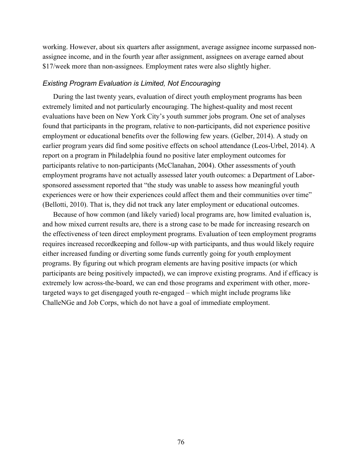working. However, about six quarters after assignment, average assignee income surpassed nonassignee income, and in the fourth year after assignment, assignees on average earned about \$17/week more than non-assignees. Employment rates were also slightly higher.

#### *Existing Program Evaluation is Limited, Not Encouraging*

During the last twenty years, evaluation of direct youth employment programs has been extremely limited and not particularly encouraging. The highest-quality and most recent evaluations have been on New York City's youth summer jobs program. One set of analyses found that participants in the program, relative to non-participants, did not experience positive employment or educational benefits over the following few years. (Gelber, 2014). A study on earlier program years did find some positive effects on school attendance (Leos-Urbel, 2014). A report on a program in Philadelphia found no positive later employment outcomes for participants relative to non-participants (McClanahan, 2004). Other assessments of youth employment programs have not actually assessed later youth outcomes: a Department of Laborsponsored assessment reported that "the study was unable to assess how meaningful youth experiences were or how their experiences could affect them and their communities over time" (Bellotti, 2010). That is, they did not track any later employment or educational outcomes.

Because of how common (and likely varied) local programs are, how limited evaluation is, and how mixed current results are, there is a strong case to be made for increasing research on the effectiveness of teen direct employment programs. Evaluation of teen employment programs requires increased recordkeeping and follow-up with participants, and thus would likely require either increased funding or diverting some funds currently going for youth employment programs. By figuring out which program elements are having positive impacts (or which participants are being positively impacted), we can improve existing programs. And if efficacy is extremely low across-the-board, we can end those programs and experiment with other, moretargeted ways to get disengaged youth re-engaged – which might include programs like ChalleNGe and Job Corps, which do not have a goal of immediate employment.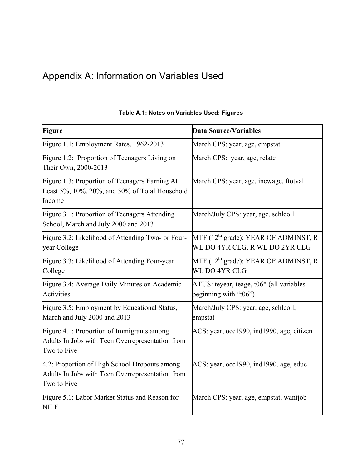# Appendix A: Information on Variables Used

| <b>Figure</b>                                                                                                    | <b>Data Source/Variables</b>                                                  |
|------------------------------------------------------------------------------------------------------------------|-------------------------------------------------------------------------------|
| Figure 1.1: Employment Rates, 1962-2013                                                                          | March CPS: year, age, empstat                                                 |
| Figure 1.2: Proportion of Teenagers Living on<br>Their Own, 2000-2013                                            | March CPS: year, age, relate                                                  |
| Figure 1.3: Proportion of Teenagers Earning At<br>Least 5%, 10%, 20%, and 50% of Total Household<br>Income       | March CPS: year, age, incwage, ftotval                                        |
| Figure 3.1: Proportion of Teenagers Attending<br>School, March and July 2000 and 2013                            | March/July CPS: year, age, schlcoll                                           |
| Figure 3.2: Likelihood of Attending Two- or Four-<br>year College                                                | MTF $(12^{th}$ grade): YEAR OF ADMINST, R<br>WL DO 4YR CLG, R WL DO 2YR CLG   |
| Figure 3.3: Likelihood of Attending Four-year<br>College                                                         | MTF $(12^{th}$ grade): YEAR OF ADMINST, R<br>WL DO 4YR CLG                    |
| Figure 3.4: Average Daily Minutes on Academic<br><b>Activities</b>                                               | ATUS: teyear, teage, t06 <sup>*</sup> (all variables<br>beginning with "t06") |
| Figure 3.5: Employment by Educational Status,<br>March and July 2000 and 2013                                    | March/July CPS: year, age, schlcoll,<br>empstat                               |
| Figure 4.1: Proportion of Immigrants among<br>Adults In Jobs with Teen Overrepresentation from<br>Two to Five    | ACS: year, occ1990, ind1990, age, citizen                                     |
| 4.2: Proportion of High School Dropouts among<br>Adults In Jobs with Teen Overrepresentation from<br>Two to Five | $ACS: year, occ1990, ind1990, age, educ$                                      |
| Figure 5.1: Labor Market Status and Reason for<br><b>NILF</b>                                                    | March CPS: year, age, empstat, wantjob                                        |

# **Table A.1: Notes on Variables Used: Figures**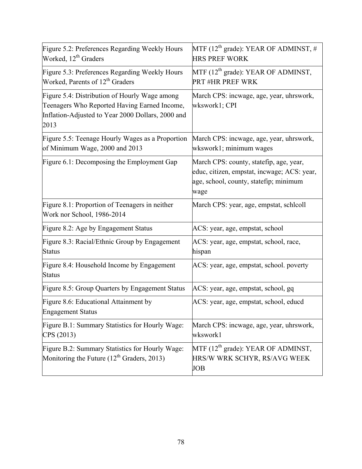| Figure 5.2: Preferences Regarding Weekly Hours<br>Worked, 12 <sup>th</sup> Graders                                                                         | MTF (12 <sup>th</sup> grade): YEAR OF ADMINST, #<br><b>HRS PREF WORK</b>                                                                 |  |  |
|------------------------------------------------------------------------------------------------------------------------------------------------------------|------------------------------------------------------------------------------------------------------------------------------------------|--|--|
| Figure 5.3: Preferences Regarding Weekly Hours<br>Worked, Parents of 12 <sup>th</sup> Graders                                                              | MTF $(12^{th}$ grade): YEAR OF ADMINST,<br><b>PRT #HR PREF WRK</b>                                                                       |  |  |
| Figure 5.4: Distribution of Hourly Wage among<br>Teenagers Who Reported Having Earned Income,<br>Inflation-Adjusted to Year 2000 Dollars, 2000 and<br>2013 | March CPS: incwage, age, year, uhrswork,<br>wkswork1; CPI                                                                                |  |  |
| Figure 5.5: Teenage Hourly Wages as a Proportion<br>of Minimum Wage, 2000 and 2013                                                                         | March CPS: incwage, age, year, uhrswork,<br>wkswork1; minimum wages                                                                      |  |  |
| Figure 6.1: Decomposing the Employment Gap                                                                                                                 | March CPS: county, statefip, age, year,<br>educ, citizen, empstat, incwage; ACS: year,<br>age, school, county, statefip; minimum<br>wage |  |  |
| Figure 8.1: Proportion of Teenagers in neither<br>Work nor School, 1986-2014                                                                               | March CPS: year, age, empstat, schlcoll                                                                                                  |  |  |
| Figure 8.2: Age by Engagement Status                                                                                                                       | ACS: year, age, empstat, school                                                                                                          |  |  |
| Figure 8.3: Racial/Ethnic Group by Engagement<br><b>Status</b>                                                                                             | ACS: year, age, empstat, school, race,<br>hispan                                                                                         |  |  |
| Figure 8.4: Household Income by Engagement<br>Status                                                                                                       | ACS: year, age, empstat, school. poverty                                                                                                 |  |  |
| Figure 8.5: Group Quarters by Engagement Status                                                                                                            | ACS: year, age, empstat, school, gq                                                                                                      |  |  |
| Figure 8.6: Educational Attainment by<br><b>Engagement Status</b>                                                                                          | ACS: year, age, empstat, school, educd                                                                                                   |  |  |
| Figure B.1: Summary Statistics for Hourly Wage:<br>CPS (2013)                                                                                              | March CPS: incwage, age, year, uhrswork,<br>wkswork1                                                                                     |  |  |
| Figure B.2: Summary Statistics for Hourly Wage:<br>Monitoring the Future $(12^{th}$ Graders, 2013)                                                         | MTF $(12^{th}$ grade): YEAR OF ADMINST,<br>HRS/W WRK SCHYR, R\$/AVG WEEK<br><b>JOB</b>                                                   |  |  |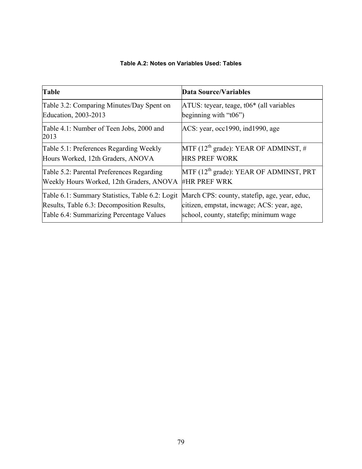| Table                                            | <b>Data Source/Variables</b>                   |
|--------------------------------------------------|------------------------------------------------|
| Table 3.2: Comparing Minutes/Day Spent on        | $ATUS$ : teyear, teage, t06 $*$ (all variables |
| Education, 2003-2013                             | beginning with " $t06$ ")                      |
| Table 4.1: Number of Teen Jobs, 2000 and<br>2013 | ACS: year, occ1990, ind1990, age               |
| Table 5.1: Preferences Regarding Weekly          | MTF ( $12th$ grade): YEAR OF ADMINST, #        |
| Hours Worked, 12th Graders, ANOVA                | <b>HRS PREF WORK</b>                           |
| Table 5.2: Parental Preferences Regarding        | $MTF (12th grade): YEAR OF ADMINST, PRT$       |
| Weekly Hours Worked, 12th Graders, ANOVA         | <b>#HR PREF WRK</b>                            |
| Table 6.1: Summary Statistics, Table 6.2: Logit  | March CPS: county, statefip, age, year, educ,  |
| Results, Table 6.3: Decomposition Results,       | citizen, empstat, incwage; ACS: year, age,     |
| Table 6.4: Summarizing Percentage Values         | school, county, statefip; minimum wage         |

#### **Table A.2: Notes on Variables Used: Tables**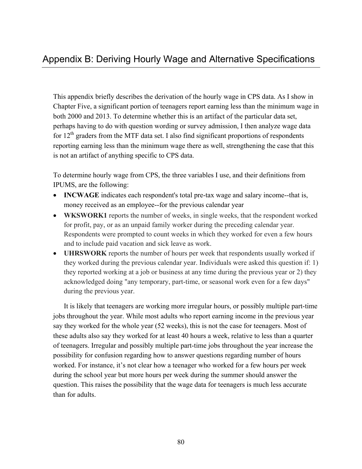This appendix briefly describes the derivation of the hourly wage in CPS data. As I show in Chapter Five, a significant portion of teenagers report earning less than the minimum wage in both 2000 and 2013. To determine whether this is an artifact of the particular data set, perhaps having to do with question wording or survey admission, I then analyze wage data for  $12<sup>th</sup>$  graders from the MTF data set. I also find significant proportions of respondents reporting earning less than the minimum wage there as well, strengthening the case that this is not an artifact of anything specific to CPS data.

To determine hourly wage from CPS, the three variables I use, and their definitions from IPUMS, are the following:

- **INCWAGE** indicates each respondent's total pre-tax wage and salary income--that is, money received as an employee--for the previous calendar year
- **WKSWORK1** reports the number of weeks, in single weeks, that the respondent worked for profit, pay, or as an unpaid family worker during the preceding calendar year. Respondents were prompted to count weeks in which they worked for even a few hours and to include paid vacation and sick leave as work.
- **UHRSWORK** reports the number of hours per week that respondents usually worked if they worked during the previous calendar year. Individuals were asked this question if: 1) they reported working at a job or business at any time during the previous year or 2) they acknowledged doing "any temporary, part-time, or seasonal work even for a few days" during the previous year.

It is likely that teenagers are working more irregular hours, or possibly multiple part-time jobs throughout the year. While most adults who report earning income in the previous year say they worked for the whole year (52 weeks), this is not the case for teenagers. Most of these adults also say they worked for at least 40 hours a week, relative to less than a quarter of teenagers. Irregular and possibly multiple part-time jobs throughout the year increase the possibility for confusion regarding how to answer questions regarding number of hours worked. For instance, it's not clear how a teenager who worked for a few hours per week during the school year but more hours per week during the summer should answer the question. This raises the possibility that the wage data for teenagers is much less accurate than for adults.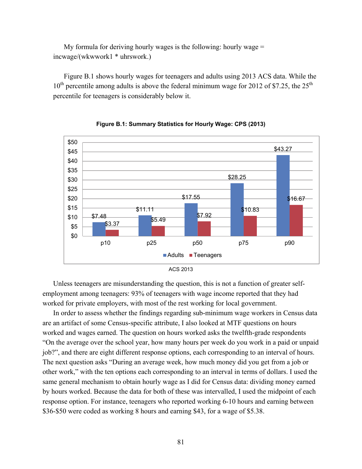My formula for deriving hourly wages is the following: hourly wage  $=$ incwage/(wkwwork1 \* uhrswork.)

Figure B.1 shows hourly wages for teenagers and adults using 2013 ACS data. While the  $10^{th}$  percentile among adults is above the federal minimum wage for 2012 of \$7.25, the 25<sup>th</sup> percentile for teenagers is considerably below it.





ACS 2013

Unless teenagers are misunderstanding the question, this is not a function of greater selfemployment among teenagers: 93% of teenagers with wage income reported that they had worked for private employers, with most of the rest working for local government.

In order to assess whether the findings regarding sub-minimum wage workers in Census data are an artifact of some Census-specific attribute, I also looked at MTF questions on hours worked and wages earned. The question on hours worked asks the twelfth-grade respondents "On the average over the school year, how many hours per week do you work in a paid or unpaid job?", and there are eight different response options, each corresponding to an interval of hours. The next question asks "During an average week, how much money did you get from a job or other work," with the ten options each corresponding to an interval in terms of dollars. I used the same general mechanism to obtain hourly wage as I did for Census data: dividing money earned by hours worked. Because the data for both of these was intervalled, I used the midpoint of each response option. For instance, teenagers who reported working 6-10 hours and earning between \$36-\$50 were coded as working 8 hours and earning \$43, for a wage of \$5.38.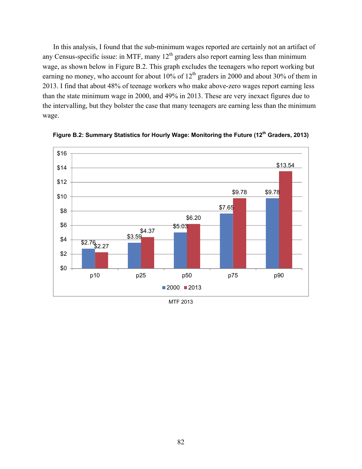In this analysis, I found that the sub-minimum wages reported are certainly not an artifact of any Census-specific issue: in MTF, many  $12<sup>th</sup>$  graders also report earning less than minimum wage, as shown below in Figure B.2. This graph excludes the teenagers who report working but earning no money, who account for about 10% of  $12<sup>th</sup>$  graders in 2000 and about 30% of them in 2013. I find that about 48% of teenage workers who make above-zero wages report earning less than the state minimum wage in 2000, and 49% in 2013. These are very inexact figures due to the intervalling, but they bolster the case that many teenagers are earning less than the minimum wage.



**Figure B.2: Summary Statistics for Hourly Wage: Monitoring the Future (12th Graders, 2013)** 

MTF 2013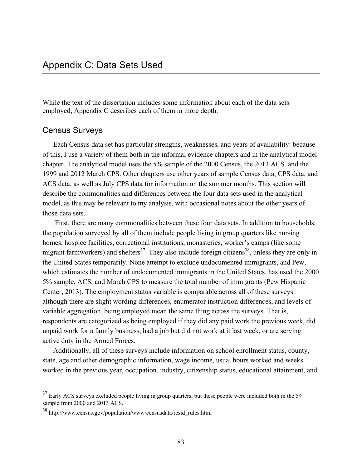While the text of the dissertation includes some information about each of the data sets employed, Appendix C describes each of them in more depth.

## Census Surveys

Each Census data set has particular strengths, weaknesses, and years of availability: because of this, I use a variety of them both in the informal evidence chapters and in the analytical model chapter. The analytical model uses the 5% sample of the 2000 Census, the 2013 ACS. and the 1999 and 2012 March CPS. Other chapters use other years of sample Census data, CPS data, and ACS data, as well as July CPS data for information on the summer months. This section will describe the commonalities and differences between the four data sets used in the analytical model, as this may be relevant to my analysis, with occasional notes about the other years of those data sets.

 First, there are many commonalities between these four data sets. In addition to households, the population surveyed by all of them include people living in group quarters like nursing homes, hospice facilities, correctional institutions, monasteries, worker's camps (like some migrant farmworkers) and shelters<sup>37</sup>. They also include foreign citizens<sup>38</sup>, unless they are only in the United States temporarily. None attempt to exclude undocumented immigrants, and Pew, which estimates the number of undocumented immigrants in the United States, has used the 2000 5% sample, ACS, and March CPS to measure the total number of immigrants (Pew Hispanic Center, 2013). The employment status variable is comparable across all of these surveys: although there are slight wording differences, enumerator instruction differences, and levels of variable aggregation, being employed mean the same thing across the surveys. That is, respondents are categorized as being employed if they did any paid work the previous week, did unpaid work for a family business, had a job but did not work at it last week, or are serving active duty in the Armed Forces.

Additionally, all of these surveys include information on school enrollment status, county, state, age and other demographic information, wage income, usual hours worked and weeks worked in the previous year, occupation, industry, citizenship status, educational attainment, and

<sup>&</sup>lt;sup>37</sup> Early ACS surveys excluded people living in group quarters, but these people were included both in the 5% sample from 2000 and 2013 ACS.

<sup>38</sup> [http://www.census.gov/population/www/censusdata/resid\\_rules.html](http://www.census.gov/population/www/censusdata/resid_rules.html)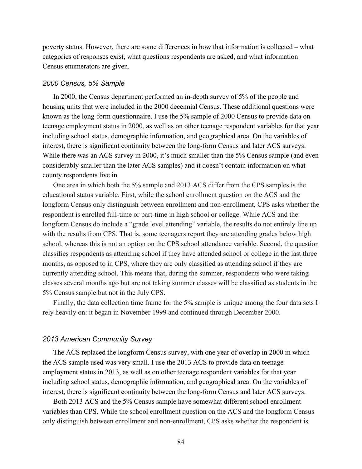poverty status. However, there are some differences in how that information is collected – what categories of responses exist, what questions respondents are asked, and what information Census enumerators are given.

#### *2000 Census, 5% Sample*

In 2000, the Census department performed an in-depth survey of 5% of the people and housing units that were included in the 2000 decennial Census. These additional questions were known as the long-form questionnaire. I use the 5% sample of 2000 Census to provide data on teenage employment status in 2000, as well as on other teenage respondent variables for that year including school status, demographic information, and geographical area. On the variables of interest, there is significant continuity between the long-form Census and later ACS surveys. While there was an ACS survey in 2000, it's much smaller than the 5% Census sample (and even considerably smaller than the later ACS samples) and it doesn't contain information on what county respondents live in.

One area in which both the 5% sample and 2013 ACS differ from the CPS samples is the educational status variable. First, while the school enrollment question on the ACS and the longform Census only distinguish between enrollment and non-enrollment, CPS asks whether the respondent is enrolled full-time or part-time in high school or college. While ACS and the longform Census do include a "grade level attending" variable, the results do not entirely line up with the results from CPS. That is, some teenagers report they are attending grades below high school, whereas this is not an option on the CPS school attendance variable. Second, the question classifies respondents as attending school if they have attended school or college in the last three months, as opposed to in CPS, where they are only classified as attending school if they are currently attending school. This means that, during the summer, respondents who were taking classes several months ago but are not taking summer classes will be classified as students in the 5% Census sample but not in the July CPS.

Finally, the data collection time frame for the 5% sample is unique among the four data sets I rely heavily on: it began in November 1999 and continued through December 2000.

#### *2013 American Community Survey*

The ACS replaced the longform Census survey, with one year of overlap in 2000 in which the ACS sample used was very small. I use the 2013 ACS to provide data on teenage employment status in 2013, as well as on other teenage respondent variables for that year including school status, demographic information, and geographical area. On the variables of interest, there is significant continuity between the long-form Census and later ACS surveys.

Both 2013 ACS and the 5% Census sample have somewhat different school enrollment variables than CPS. While the school enrollment question on the ACS and the longform Census only distinguish between enrollment and non-enrollment, CPS asks whether the respondent is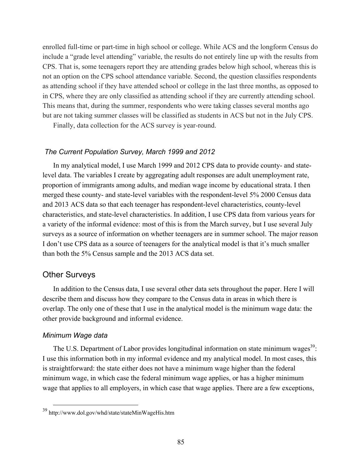enrolled full-time or part-time in high school or college. While ACS and the longform Census do include a "grade level attending" variable, the results do not entirely line up with the results from CPS. That is, some teenagers report they are attending grades below high school, whereas this is not an option on the CPS school attendance variable. Second, the question classifies respondents as attending school if they have attended school or college in the last three months, as opposed to in CPS, where they are only classified as attending school if they are currently attending school. This means that, during the summer, respondents who were taking classes several months ago but are not taking summer classes will be classified as students in ACS but not in the July CPS.

Finally, data collection for the ACS survey is year-round.

#### *The Current Population Survey, March 1999 and 2012*

In my analytical model, I use March 1999 and 2012 CPS data to provide county- and statelevel data. The variables I create by aggregating adult responses are adult unemployment rate, proportion of immigrants among adults, and median wage income by educational strata. I then merged these county- and state-level variables with the respondent-level 5% 2000 Census data and 2013 ACS data so that each teenager has respondent-level characteristics, county-level characteristics, and state-level characteristics. In addition, I use CPS data from various years for a variety of the informal evidence: most of this is from the March survey, but I use several July surveys as a source of information on whether teenagers are in summer school. The major reason I don't use CPS data as a source of teenagers for the analytical model is that it's much smaller than both the 5% Census sample and the 2013 ACS data set.

# Other Surveys

In addition to the Census data, I use several other data sets throughout the paper. Here I will describe them and discuss how they compare to the Census data in areas in which there is overlap. The only one of these that I use in the analytical model is the minimum wage data: the other provide background and informal evidence.

#### *Minimum Wage data*

The U.S. Department of Labor provides longitudinal information on state minimum wages<sup>39</sup>: I use this information both in my informal evidence and my analytical model. In most cases, this is straightforward: the state either does not have a minimum wage higher than the federal minimum wage, in which case the federal minimum wage applies, or has a higher minimum wage that applies to all employers, in which case that wage applies. There are a few exceptions,

 <sup>39</sup> <http://www.dol.gov/whd/state/stateMinWageHis.htm>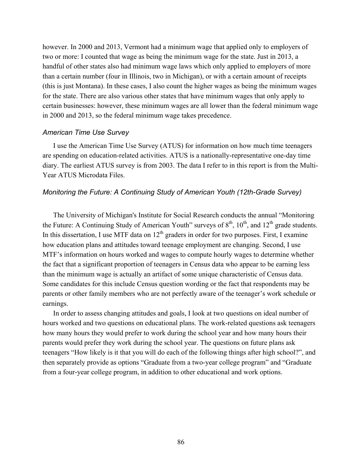however. In 2000 and 2013, Vermont had a minimum wage that applied only to employers of two or more: I counted that wage as being the minimum wage for the state. Just in 2013, a handful of other states also had minimum wage laws which only applied to employers of more than a certain number (four in Illinois, two in Michigan), or with a certain amount of receipts (this is just Montana). In these cases, I also count the higher wages as being the minimum wages for the state. There are also various other states that have minimum wages that only apply to certain businesses: however, these minimum wages are all lower than the federal minimum wage in 2000 and 2013, so the federal minimum wage takes precedence.

#### *American Time Use Survey*

I use the American Time Use Survey (ATUS) for information on how much time teenagers are spending on education-related activities. ATUS is a nationally-representative one-day time diary. The earliest ATUS survey is from 2003. The data I refer to in this report is from the Multi-Year ATUS Microdata Files.

#### *Monitoring the Future: A Continuing Study of American Youth (12th-Grade Survey)*

The University of Michigan's Institute for Social Research conducts the annual "Monitoring the Future: A Continuing Study of American Youth" surveys of  $8<sup>th</sup>$ ,  $10<sup>th</sup>$ , and  $12<sup>th</sup>$  grade students. In this dissertation, I use MTF data on  $12<sup>th</sup>$  graders in order for two purposes. First, I examine how education plans and attitudes toward teenage employment are changing. Second, I use MTF's information on hours worked and wages to compute hourly wages to determine whether the fact that a significant proportion of teenagers in Census data who appear to be earning less than the minimum wage is actually an artifact of some unique characteristic of Census data. Some candidates for this include Census question wording or the fact that respondents may be parents or other family members who are not perfectly aware of the teenager's work schedule or earnings.

In order to assess changing attitudes and goals, I look at two questions on ideal number of hours worked and two questions on educational plans. The work-related questions ask teenagers how many hours they would prefer to work during the school year and how many hours their parents would prefer they work during the school year. The questions on future plans ask teenagers "How likely is it that you will do each of the following things after high school?", and then separately provide as options "Graduate from a two-year college program" and "Graduate from a four-year college program, in addition to other educational and work options.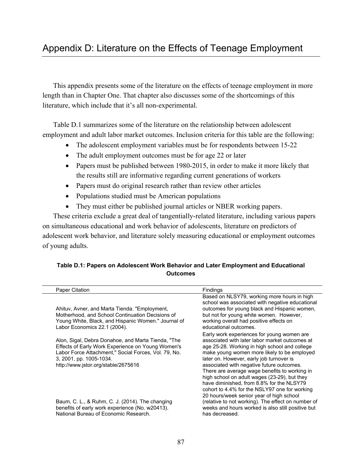This appendix presents some of the literature on the effects of teenage employment in more length than in Chapter One. That chapter also discusses some of the shortcomings of this literature, which include that it's all non-experimental.

Table D.1 summarizes some of the literature on the relationship between adolescent employment and adult labor market outcomes. Inclusion criteria for this table are the following:

- The adolescent employment variables must be for respondents between 15-22
- The adult employment outcomes must be for age 22 or later
- Papers must be published between 1980-2015, in order to make it more likely that the results still are informative regarding current generations of workers
- Papers must do original research rather than review other articles
- Populations studied must be American populations
- They must either be published journal articles or NBER working papers.

These criteria exclude a great deal of tangentially-related literature, including various papers on simultaneous educational and work behavior of adolescents, literature on predictors of adolescent work behavior, and literature solely measuring educational or employment outcomes of young adults.

## **Table D.1: Papers on Adolescent Work Behavior and Later Employment and Educational Outcomes**

| <b>Paper Citation</b>                                                                                                                                                                                                             | Findings                                                                                                                                                                                                                                                                                                                                                                                                                                                                             |
|-----------------------------------------------------------------------------------------------------------------------------------------------------------------------------------------------------------------------------------|--------------------------------------------------------------------------------------------------------------------------------------------------------------------------------------------------------------------------------------------------------------------------------------------------------------------------------------------------------------------------------------------------------------------------------------------------------------------------------------|
| Ahituv, Avner, and Marta Tienda. "Employment,<br>Motherhood, and School Continuation Decisions of<br>Young White, Black, and Hispanic Women." Journal of<br>Labor Economics 22.1 (2004).                                          | Based on NLSY79, working more hours in high<br>school was associated with negative educational<br>outcomes for young black and Hispanic women,<br>but not for young white women. However,<br>working overall had positive effects on<br>educational outcomes.                                                                                                                                                                                                                        |
| Alon, Sigal, Debra Donahoe, and Marta Tienda, "The<br>Effects of Early Work Experience on Young Women's<br>Labor Force Attachment," Social Forces, Vol. 79, No.<br>3, 2001, pp. 1005-1034.<br>http://www.jstor.org/stable/2675616 | Early work experiences for young women are<br>associated with later labor market outcomes at<br>age 25-28. Working in high school and college<br>make young women more likely to be employed<br>later on. However, early job turnover is<br>associated with negative future outcomes.<br>There are average wage benefits to working in<br>high school on adult wages (23-29), but they<br>have diminished, from 8.8% for the NLSY79<br>cohort to 4.4% for the NSLY97 one for working |
| Baum, C. L., & Ruhm, C. J. (2014). The changing<br>benefits of early work experience (No. w20413).<br>National Bureau of Economic Research.                                                                                       | 20 hours/week senior year of high school<br>(relative to not working). The effect on number of<br>weeks and hours worked is also still positive but<br>has decreased.                                                                                                                                                                                                                                                                                                                |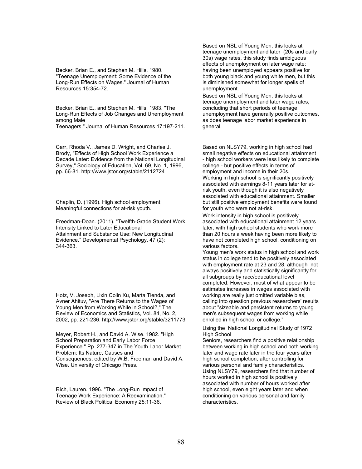Becker, Brian E., and Stephen M. Hills. 1980. "Teenage Unemployment: Some Evidence of the Long-Run Effects on Wages." Journal of Human Resources 15:354-72.

Becker, Brian E., and Stephen M. Hills. 1983. "The Long-Run Effects of Job Changes and Unemployment among Male

Teenagers." Journal of Human Resources 17:197-211.

Carr, Rhoda V., James D. Wright, and Charles J. Brody, "Effects of High School Work Experience a Decade Later: Evidence from the National Longitudinal Survey," Sociology of Education, Vol. 69, No. 1, 1996, pp. 66-81. <http://www.jstor.org/stable/2112724>

Chaplin, D. (1996). High school employment: Meaningful connections for at-risk youth.

Freedman-Doan. (2011). "Twelfth-Grade Student Work Intensity Linked to Later Educational Attainment and Substance Use: New Longitudinal Evidence." Developmental Psychology, 47 (2): 344-363.

Hotz, V. Joseph, Lixin Colin Xu, Marta Tienda, and Avner Ahituv, "Are There Returns to the Wages of Young Men from Working While in School?," The Review of Economics and Statistics, Vol. 84, No. 2, 2002, pp. 221-236. <http://www.jstor.org/stable/3211773>

Meyer, Robert H., and David A. Wise. 1982. "High School Preparation and Early Labor Force Experience." Pp. 277-347 in The Youth Labor Market Problem: Its Nature, Causes and Consequences, edited by W.B. Freeman and David A. Wise. University of Chicago Press.

Rich, Lauren. 1996. "The Long-Run Impact of Teenage Work Experience: A Reexamination." Review of Black Political Economy 25:11-36.

Based on NSL of Young Men, this looks at teenage unemployment and later (20s and early 30s) wage rates, this study finds ambiguous effects of unemployment on later wage rate: having been unemployed appears positive for both young black and young white men, but this is diminished somewhat for longer spells of unemployment.

Based on NSL of Young Men, this looks at teenage unemployment and later wage rates, concluding that short periods of teenage unemployment have generally positive outcomes, as does teenage labor market experience in general.

Based on NLSY79, working in high school had small negative effects on educational attainment - high school workers were less likely to complete college - but positive effects in terms of employment and income in their 20s. Working in high school is significantly positively associated with earnings 8-11 years later for atrisk youth, even though it is also negatively associated with educational attainment. Smaller but still positive employment benefits were found for youth who were not at-risk.

Work intensity in high school is positively associated with educational attainment 12 years later, with high school students who work more than 20 hours a week having been more likely to have not completed high school, conditioning on various factors.

Young men's work status in high school and work status in college tend to be positively associated with employment rate at 23 and 28, although not always positively and statistically significantly for all subgroups by race/educational level completed. However, most of what appear to be estimates increases in wages associated with working are really just omitted variable bias, calling into question previous researchers' results about "sizeable and persistent returns to young men's subsequent wages from working while enrolled in high school or college."

Using the National Longitudinal Study of 1972 High School

Seniors, researchers find a positive relationship between working in high school and both working later and wage rate later in the four years after high school completion, after controlling for various personal and family characteristics. Using NLSY79, researchers find that number of hours worked in high school is positively associated with number of hours worked after high school, even eight years later and when conditioning on various personal and family characteristics.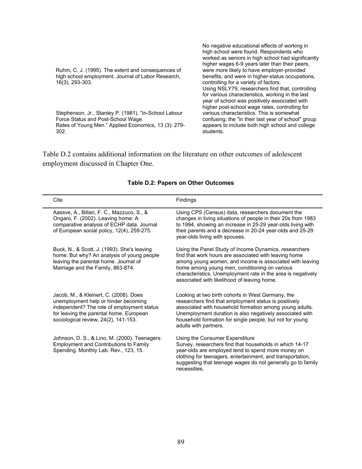| Ruhm, C. J. (1995). The extent and consequences of<br>high school employment. Journal of Labor Research,<br>16(3), 293-303. | No negative educational effects of working in<br>high school were found. Respondents who<br>worked as seniors in high school had significantly<br>higher wages 6-9 years later than their peers,<br>were more likely to have employer-provided<br>benefits, and were in higher-status occupations,<br>controlling for a variety of factors.<br>Using NSLY79, researchers find that, controlling<br>for various characteristics, working in the last<br>year of school was positively associated with<br>higher post-school wage rates, controlling for |
|-----------------------------------------------------------------------------------------------------------------------------|--------------------------------------------------------------------------------------------------------------------------------------------------------------------------------------------------------------------------------------------------------------------------------------------------------------------------------------------------------------------------------------------------------------------------------------------------------------------------------------------------------------------------------------------------------|
| Stephenson, Jr., Stanley P. (1981). "In-School Labour                                                                       | various characteristics. This is somewhat                                                                                                                                                                                                                                                                                                                                                                                                                                                                                                              |
| Force Status and Post-School Wage                                                                                           | confusing: the "in their last year of school" group                                                                                                                                                                                                                                                                                                                                                                                                                                                                                                    |
| Rates of Young Men." Applied Economics, 13 (3): 279-                                                                        | appears to include both high school and college                                                                                                                                                                                                                                                                                                                                                                                                                                                                                                        |
| 302.                                                                                                                        | students.                                                                                                                                                                                                                                                                                                                                                                                                                                                                                                                                              |

Table D.2 contains additional information on the literature on other outcomes of adolescent employment discussed in Chapter One.

| Cite                                                                                                                                                                                                            | Findings                                                                                                                                                                                                                                                                                                                                   |
|-----------------------------------------------------------------------------------------------------------------------------------------------------------------------------------------------------------------|--------------------------------------------------------------------------------------------------------------------------------------------------------------------------------------------------------------------------------------------------------------------------------------------------------------------------------------------|
| Aassve, A., Billari, F. C., Mazzuco, S., &<br>Ongaro, F. (2002). Leaving home: A<br>comparative analysis of ECHP data. Journal<br>of European social policy, 12(4), 259-275.                                    | Using CPS (Census) data, researchers document the<br>changes in living situations of people in their 20s from 1983<br>to 1994, showing an increase in 25-29 year-olds living with<br>their parents and a decrease in 20-24 year-olds and 25-29<br>year-olds living with spouses.                                                           |
| Buck, N., & Scott, J. (1993). She's leaving<br>home: But why? An analysis of young people<br>leaving the parental home. Journal of<br>Marriage and the Family, 863-874.                                         | Using the Panel Study of Income Dynamics, researchers<br>find that work hours are associated with leaving home<br>among young women, and income is associated with leaving<br>home among young men, conditioning on various<br>characteristics. Unemployment rate in the area is negatively<br>associated with likelihood of leaving home. |
| Jacob, M., & Kleinert, C. (2008). Does<br>unemployment help or hinder becoming<br>independent? The role of employment status<br>for leaving the parental home. European<br>sociological review, 24(2), 141-153. | Looking at two birth cohorts in West Germany, the<br>researchers find that employment status is positively<br>associated with household formation among young adults.<br>Unemployment duration is also negatively associated with<br>household formation for single people, but not for young<br>adults with partners.                     |
| Johnson, D. S., & Lino, M. (2000). Teenagers:<br><b>Employment and Contributions to Family</b><br>Spending. Monthly Lab. Rev., 123, 15.                                                                         | Using the Consumer Expenditure<br>Survey, researchers find that households in which 14-17<br>year-olds are employed tend to spend more money on<br>clothing for teenagers, entertainment, and transportation,<br>suggesting that teenage wages do not generally go to family<br>necessities.                                               |

### **Table D.2: Papers on Other Outcomes**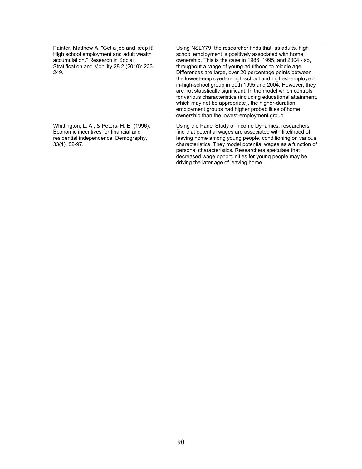Painter, Matthew A. "Get a job and keep it! High school employment and adult wealth accumulation." Research in Social Stratification and Mobility 28.2 (2010): 233- 249.

Using NSLY79, the researcher finds that, as adults, high school employment is positively associated with home ownership. This is the case in 1986, 1995, and 2004 - so, throughout a range of young adulthood to middle age. Differences are large, over 20 percentage points between the lowest-employed-in-high-school and highest-employedin-high-school group in both 1995 and 2004. However, they are not statistically significant. In the model which controls for various characteristics (including educational attainment, which may not be appropriate), the higher-duration employment groups had higher probabilities of home ownership than the lowest-employment group.

Whittington, L. A., & Peters, H. E. (1996). Economic incentives for financial and residential independence. Demography, 33(1), 82-97.

Using the Panel Study of Income Dynamics, researchers find that potential wages are associated with likelihood of leaving home among young people, conditioning on various characteristics. They model potential wages as a function of personal characteristics. Researchers speculate that decreased wage opportunities for young people may be driving the later age of leaving home.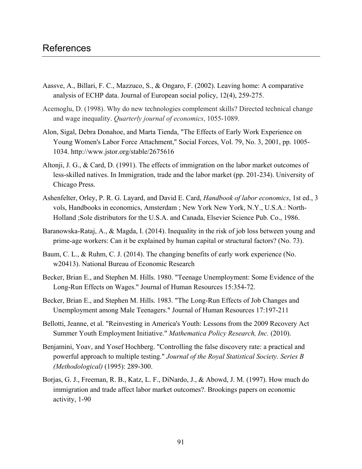- Aassve, A., Billari, F. C., Mazzuco, S., & Ongaro, F. (2002). Leaving home: A comparative analysis of ECHP data. Journal of European social policy, 12(4), 259-275.
- Acemoglu, D. (1998). Why do new technologies complement skills? Directed technical change and wage inequality. *Quarterly journal of economics*, 1055-1089.
- Alon, Sigal, Debra Donahoe, and Marta Tienda, "The Effects of Early Work Experience on Young Women's Labor Force Attachment," Social Forces, Vol. 79, No. 3, 2001, pp. 1005- 1034. <http://www.jstor.org/stable/2675616>
- Altonji, J. G., & Card, D. (1991). The effects of immigration on the labor market outcomes of less-skilled natives. In Immigration, trade and the labor market (pp. 201-234). University of Chicago Press.
- Ashenfelter, Orley, P. R. G. Layard, and David E. Card, *Handbook of labor economics*, 1st ed., 3 vols, Handbooks in economics, Amsterdam ; New York New York, N.Y., U.S.A.: North-Holland ;Sole distributors for the U.S.A. and Canada, Elsevier Science Pub. Co., 1986.
- Baranowska-Rataj, A., & Magda, I. (2014). Inequality in the risk of job loss between young and prime-age workers: Can it be explained by human capital or structural factors? (No. 73).
- Baum, C. L., & Ruhm, C. J. (2014). The changing benefits of early work experience (No. w20413). National Bureau of Economic Research
- Becker, Brian E., and Stephen M. Hills. 1980. "Teenage Unemployment: Some Evidence of the Long-Run Effects on Wages." Journal of Human Resources 15:354-72.
- Becker, Brian E., and Stephen M. Hills. 1983. "The Long-Run Effects of Job Changes and Unemployment among Male Teenagers." Journal of Human Resources 17:197-211
- Bellotti, Jeanne, et al. "Reinvesting in America's Youth: Lessons from the 2009 Recovery Act Summer Youth Employment Initiative." *Mathematica Policy Research, Inc.* (2010).
- Benjamini, Yoav, and Yosef Hochberg. "Controlling the false discovery rate: a practical and powerful approach to multiple testing." *Journal of the Royal Statistical Society. Series B (Methodological)* (1995): 289-300.
- Borjas, G. J., Freeman, R. B., Katz, L. F., DiNardo, J., & Abowd, J. M. (1997). How much do immigration and trade affect labor market outcomes?. Brookings papers on economic activity, 1-90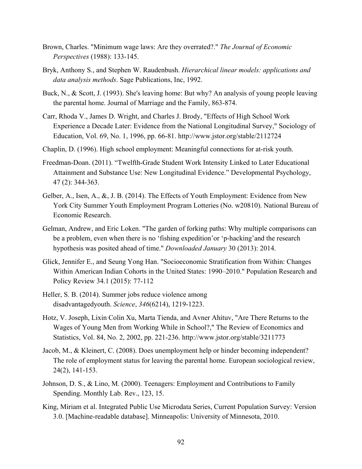- Brown, Charles. "Minimum wage laws: Are they overrated?." *The Journal of Economic Perspectives* (1988): 133-145.
- Bryk, Anthony S., and Stephen W. Raudenbush. *Hierarchical linear models: applications and data analysis methods*. Sage Publications, Inc, 1992.
- Buck, N., & Scott, J. (1993). She's leaving home: But why? An analysis of young people leaving the parental home. Journal of Marriage and the Family, 863-874.
- Carr, Rhoda V., James D. Wright, and Charles J. Brody, "Effects of High School Work Experience a Decade Later: Evidence from the National Longitudinal Survey," Sociology of Education, Vol. 69, No. 1, 1996, pp. 66-81.<http://www.jstor.org/stable/2112724>
- Chaplin, D. (1996). High school employment: Meaningful connections for at-risk youth.
- Freedman-Doan. (2011). "Twelfth-Grade Student Work Intensity Linked to Later Educational Attainment and Substance Use: New Longitudinal Evidence." Developmental Psychology, 47 (2): 344-363.
- Gelber, A., Isen, A., &, J. B. (2014). The Effects of Youth Employment: Evidence from New York City Summer Youth Employment Program Lotteries (No. w20810). National Bureau of Economic Research.
- Gelman, Andrew, and Eric Loken. "The garden of forking paths: Why multiple comparisons can be a problem, even when there is no 'fishing expedition'or 'p-hacking'and the research hypothesis was posited ahead of time." *Downloaded January* 30 (2013): 2014.
- Glick, Jennifer E., and Seung Yong Han. "Socioeconomic Stratification from Within: Changes Within American Indian Cohorts in the United States: 1990–2010." Population Research and Policy Review 34.1 (2015): 77-112
- Heller, S. B. (2014). Summer jobs reduce violence among disadvantagedyouth. *Science*, *346*(6214), 1219-1223.
- Hotz, V. Joseph, Lixin Colin Xu, Marta Tienda, and Avner Ahituv, "Are There Returns to the Wages of Young Men from Working While in School?," The Review of Economics and Statistics, Vol. 84, No. 2, 2002, pp. 221-236.<http://www.jstor.org/stable/3211773>
- Jacob, M., & Kleinert, C. (2008). Does unemployment help or hinder becoming independent? The role of employment status for leaving the parental home. European sociological review, 24(2), 141-153.
- Johnson, D. S., & Lino, M. (2000). Teenagers: Employment and Contributions to Family Spending. Monthly Lab. Rev., 123, 15.
- King, Miriam et al. Integrated Public Use Microdata Series, Current Population Survey: Version 3.0. [Machine-readable database]. Minneapolis: University of Minnesota, 2010.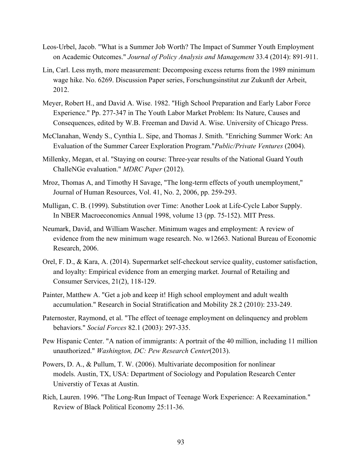- Leos‐Urbel, Jacob. "What is a Summer Job Worth? The Impact of Summer Youth Employment on Academic Outcomes." *Journal of Policy Analysis and Management* 33.4 (2014): 891-911.
- Lin, Carl. Less myth, more measurement: Decomposing excess returns from the 1989 minimum wage hike. No. 6269. Discussion Paper series, Forschungsinstitut zur Zukunft der Arbeit, 2012.
- Meyer, Robert H., and David A. Wise. 1982. "High School Preparation and Early Labor Force Experience." Pp. 277-347 in The Youth Labor Market Problem: Its Nature, Causes and Consequences, edited by W.B. Freeman and David A. Wise. University of Chicago Press.
- McClanahan, Wendy S., Cynthia L. Sipe, and Thomas J. Smith. "Enriching Summer Work: An Evaluation of the Summer Career Exploration Program."*Public/Private Ventures* (2004).
- Millenky, Megan, et al. "Staying on course: Three-year results of the National Guard Youth ChalleNGe evaluation." *MDRC Paper* (2012).
- Mroz, Thomas A, and Timothy H Savage, "The long-term effects of youth unemployment," Journal of Human Resources, Vol. 41, No. 2, 2006, pp. 259-293.
- Mulligan, C. B. (1999). Substitution over Time: Another Look at Life-Cycle Labor Supply. In NBER Macroeconomics Annual 1998, volume 13 (pp. 75-152). MIT Press.
- Neumark, David, and William Wascher. Minimum wages and employment: A review of evidence from the new minimum wage research. No. w12663. National Bureau of Economic Research, 2006.
- Orel, F. D., & Kara, A. (2014). Supermarket self-checkout service quality, customer satisfaction, and loyalty: Empirical evidence from an emerging market. Journal of Retailing and Consumer Services, 21(2), 118-129.
- Painter, Matthew A. "Get a job and keep it! High school employment and adult wealth accumulation." Research in Social Stratification and Mobility 28.2 (2010): 233-249.
- Paternoster, Raymond, et al. "The effect of teenage employment on delinquency and problem behaviors." *Social Forces* 82.1 (2003): 297-335.
- Pew Hispanic Center. "A nation of immigrants: A portrait of the 40 million, including 11 million unauthorized." *Washington, DC: Pew Research Center*(2013).
- Powers, D. A., & Pullum, T. W. (2006). Multivariate decomposition for nonlinear models. Austin, TX, USA: Department of Sociology and Population Research Center Universtiy of Texas at Austin.
- Rich, Lauren. 1996. "The Long-Run Impact of Teenage Work Experience: A Reexamination." Review of Black Political Economy 25:11-36.